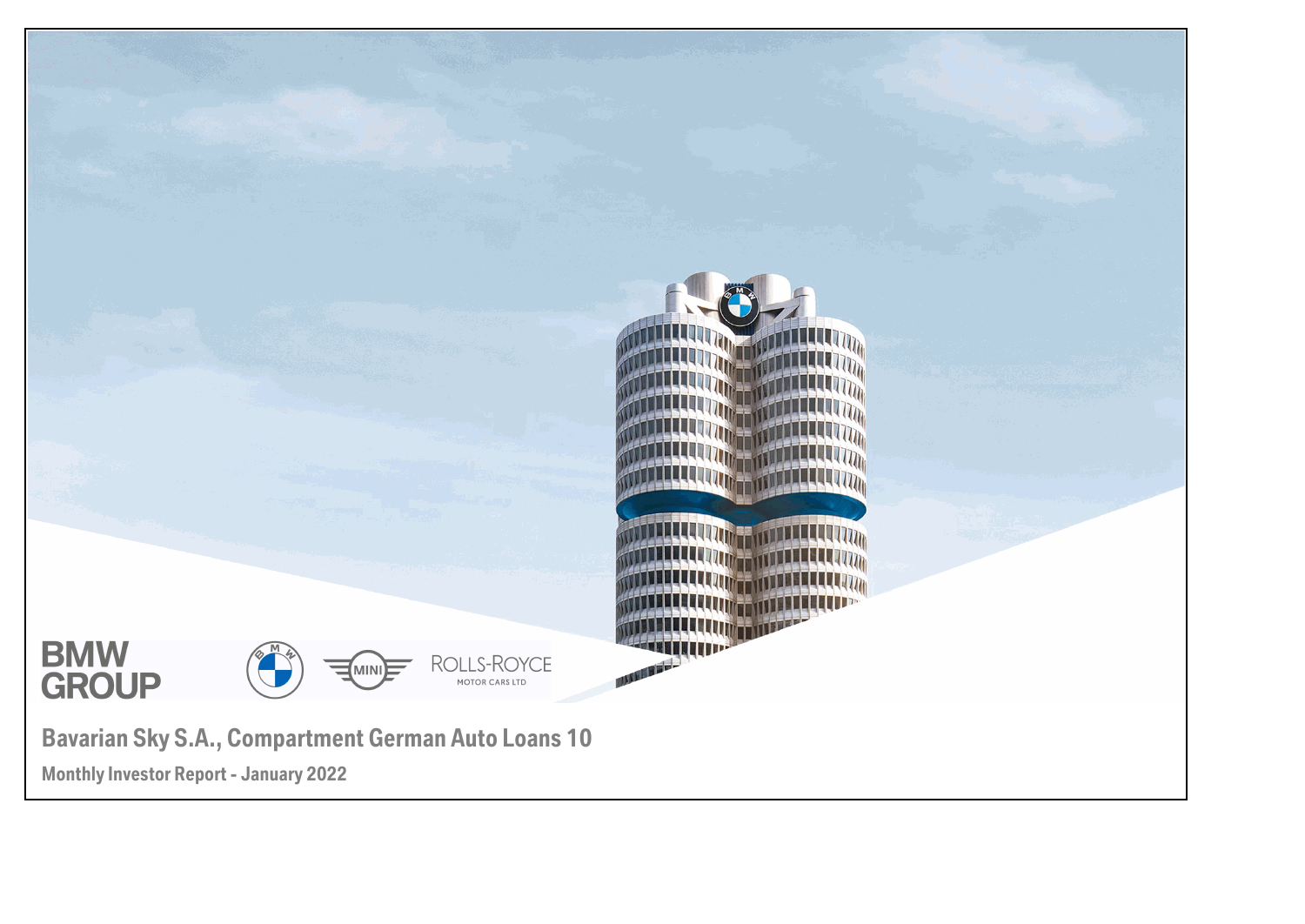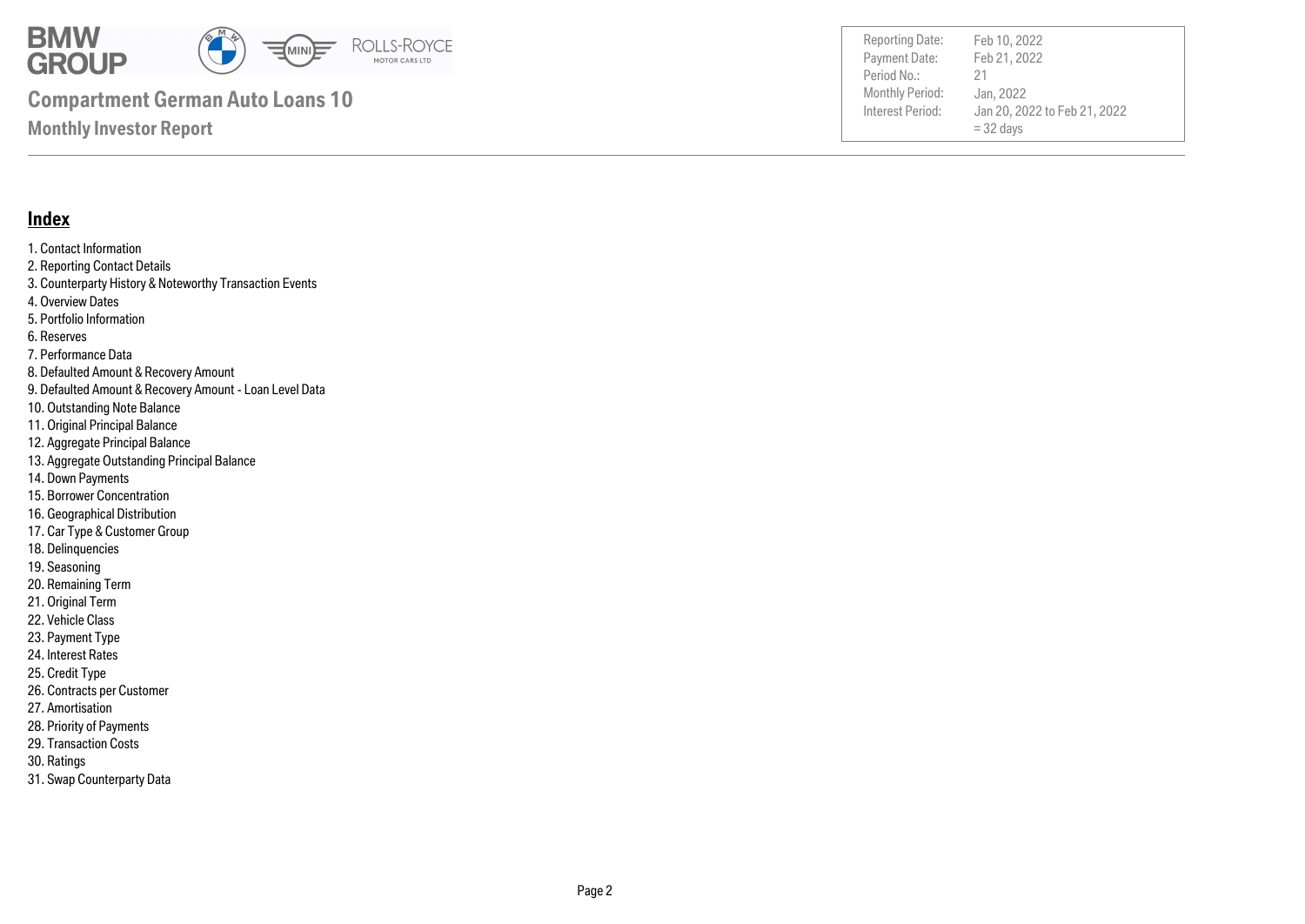

Payment Date: Period No.: Jan 20, 2022 to Feb 21, 2022  $= 32$  days Feb 21, 2022 Jan, 2022 21 Reporting Date: Feb 10, 2022

#### **Index**

1. Contact Information 2. Reporting Contact Details 3. Counterparty History & Noteworthy Transaction Events 4. Overview Dates 5. Portfolio Information 6. Reserves 7. Performance Data 8. Defaulted Amount & Recovery Amount 9. Defaulted Amount & Recovery Amount - Loan Level Data 10. Outstanding Note Balance 11. Original Principal Balance 12. Aggregate Principal Balance 13. Aggregate Outstanding Principal Balance 14. Down Payments 15. Borrower Concentration 16. Geographical Distribution

- 17. Car Type & Customer Group
- 18. Delinquencies
- 19. Seasoning
- 20. Remaining Term
- 21. Original Term
- 22. Vehicle Class
- 23. Payment Type
- 24. Interest Rates
- 25. Credit Type
- 26. Contracts per Customer
- 27. Amortisation
- 28. Priority of Payments
- 29. Transaction Costs
- 30. Ratings
- 31. Swap Counterparty Data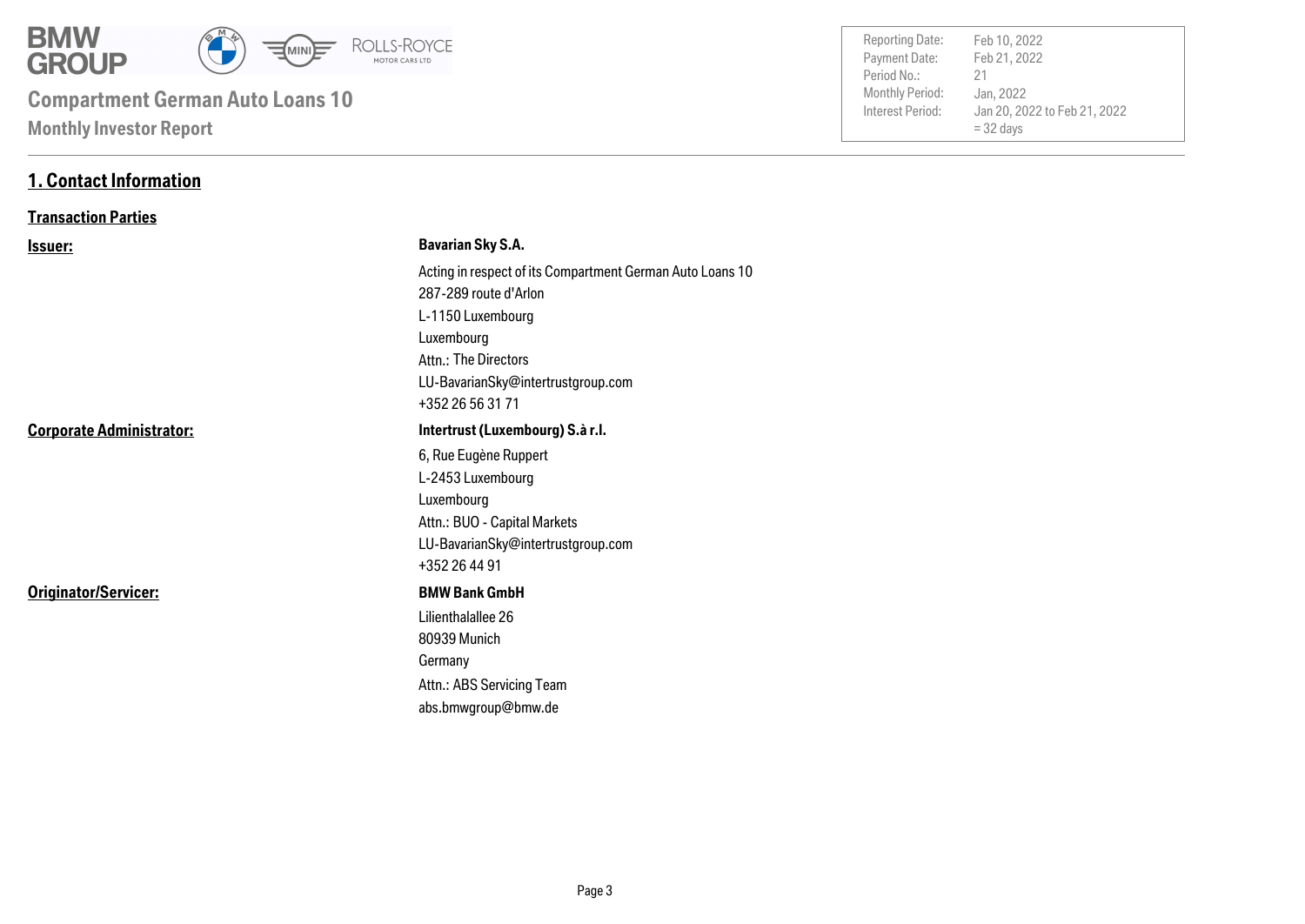

| Period No.:<br>Monthly Period:<br>Interest Period: | 21<br>Jan, 2022<br>Jan 20, 2022 to Feb 21, 2022<br>$=$ 32 days |
|----------------------------------------------------|----------------------------------------------------------------|
|                                                    |                                                                |
| Payment Date:                                      | Feb 21, 2022                                                   |
| <b>Reporting Date:</b>                             | Feb 10, 2022                                                   |

#### **1. Contact Information**

#### **Transaction Parties**

| <u>Issuer:</u>                  | <b>Bavarian Sky S.A.</b>                                  |
|---------------------------------|-----------------------------------------------------------|
|                                 | Acting in respect of its Compartment German Auto Loans 10 |
|                                 | 287-289 route d'Arlon                                     |
|                                 | L-1150 Luxembourg                                         |
|                                 | Luxembourg                                                |
|                                 | Attn.: The Directors                                      |
|                                 | LU-BavarianSky@intertrustgroup.com                        |
|                                 | +352 26 56 31 71                                          |
| <b>Corporate Administrator:</b> | Intertrust (Luxembourg) S.à r.l.                          |
|                                 | 6, Rue Eugène Ruppert                                     |
|                                 | L-2453 Luxembourg                                         |
|                                 | Luxembourg                                                |
|                                 | Attn.: BUO - Capital Markets                              |
|                                 | LU-BavarianSky@intertrustgroup.com                        |
|                                 | +352 26 44 91                                             |
| Originator/Servicer:            | <b>BMW Bank GmbH</b>                                      |
|                                 | Lilienthalallee 26                                        |
|                                 | 80939 Munich                                              |
|                                 | Germany                                                   |
|                                 | Attn.: ABS Servicing Team                                 |
|                                 | abs.bmwgroup@bmw.de                                       |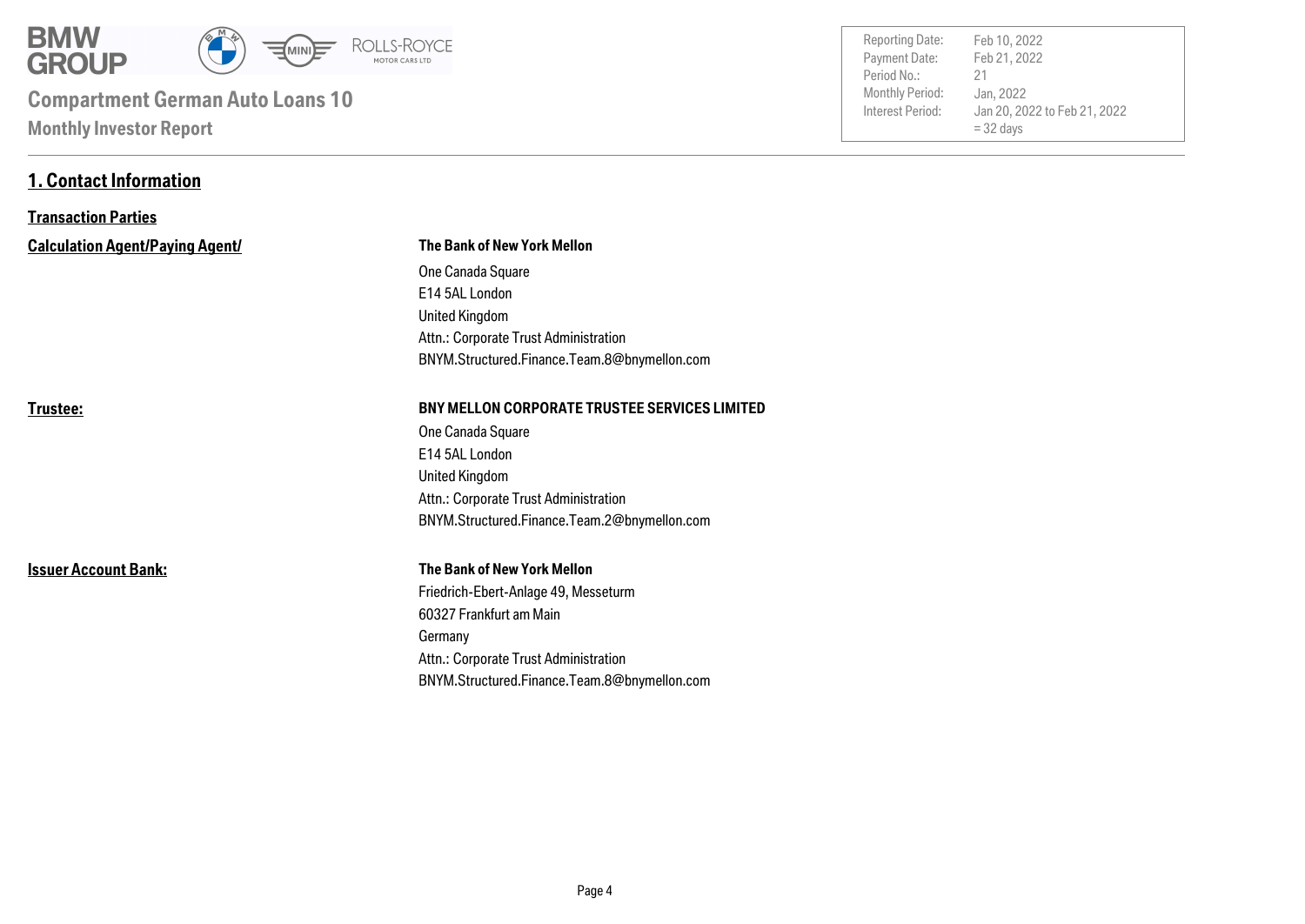

**1. Contact Information**

| <b>Reporting Date:</b> | Feb 10, 2022                 |
|------------------------|------------------------------|
| Payment Date:          | Feb 21, 2022                 |
| Period No.:            | 21                           |
| Monthly Period:        | Jan, 2022                    |
| Interest Period:       | Jan 20, 2022 to Feb 21, 2022 |
|                        | $=$ 32 days                  |
|                        |                              |

| <b>Transaction Parties</b>             |                                                      |
|----------------------------------------|------------------------------------------------------|
| <b>Calculation Agent/Paying Agent/</b> | The Bank of New York Mellon                          |
|                                        | One Canada Square                                    |
|                                        | E14 5AL London                                       |
|                                        | <b>United Kingdom</b>                                |
|                                        | Attn.: Corporate Trust Administration                |
|                                        | BNYM.Structured.Finance.Team.8@bnymellon.com         |
| Trustee:                               | <b>BNY MELLON CORPORATE TRUSTEE SERVICES LIMITED</b> |
|                                        | One Canada Square                                    |
|                                        | E14 5AL London                                       |
|                                        | <b>United Kingdom</b>                                |
|                                        | Attn.: Corporate Trust Administration                |
|                                        | BNYM.Structured.Finance.Team.2@bnymellon.com         |
| <b>Issuer Account Bank:</b>            | <b>The Bank of New York Mellon</b>                   |
|                                        | Friedrich-Ebert-Anlage 49, Messeturm                 |
|                                        | 60327 Frankfurt am Main                              |
|                                        | Germany                                              |
|                                        | Attn.: Corporate Trust Administration                |
|                                        | BNYM.Structured.Finance.Team.8@bnymellon.com         |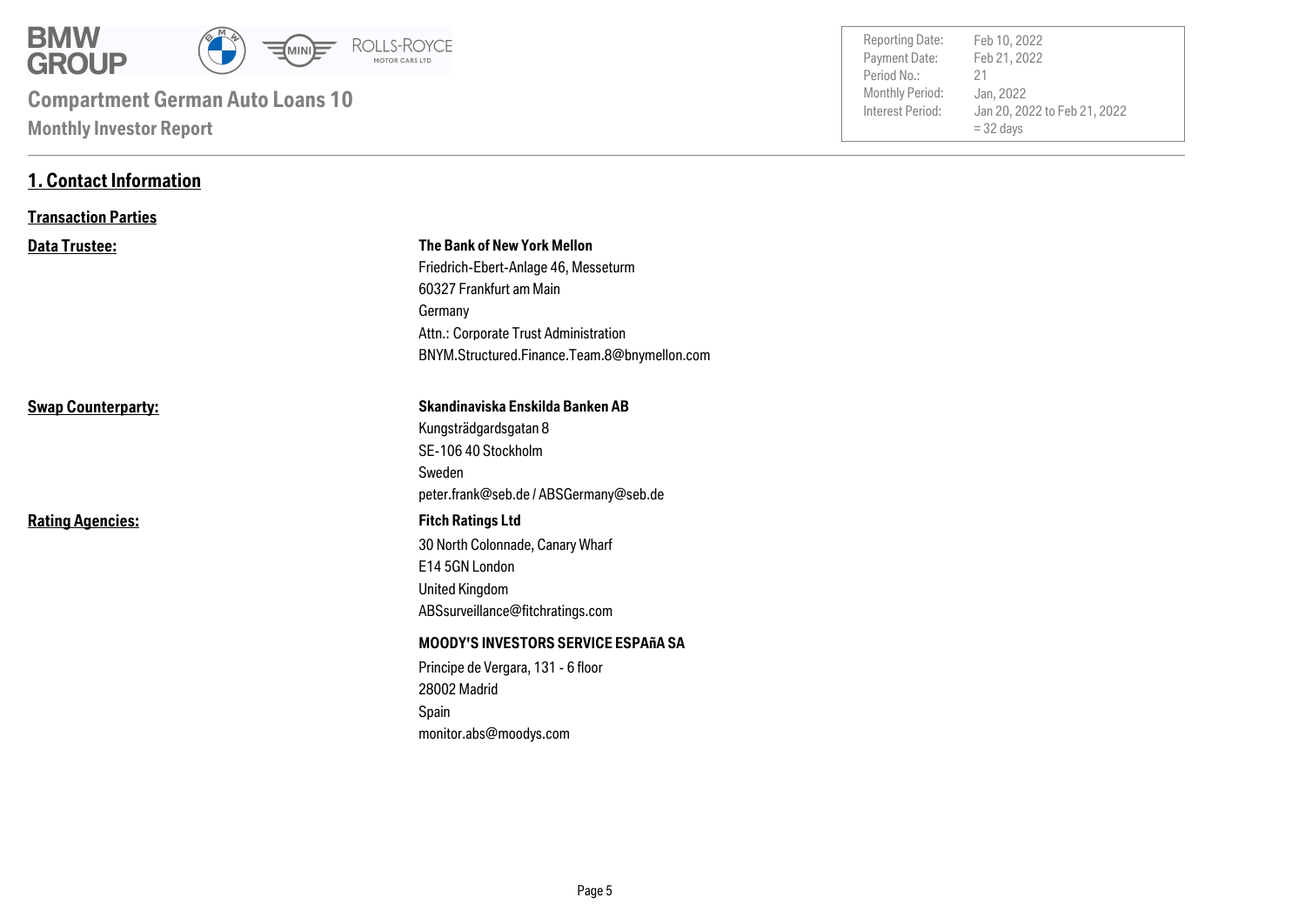

**1. Contact Information**

| <b>Reporting Date:</b><br>Payment Date:<br>Period No.:<br>Monthly Period:<br>Interest Period: | Feb 10, 2022<br>Feb 21, 2022<br>21<br>Jan, 2022<br>Jan 20, 2022 to Feb 21, 2022 |
|-----------------------------------------------------------------------------------------------|---------------------------------------------------------------------------------|
|                                                                                               | $=$ 32 days                                                                     |
|                                                                                               |                                                                                 |

| <b>Transaction Parties</b> |                                                                                                                                                                                                           |
|----------------------------|-----------------------------------------------------------------------------------------------------------------------------------------------------------------------------------------------------------|
| <b>Data Trustee:</b>       | <b>The Bank of New York Mellon</b><br>Friedrich-Ebert-Anlage 46, Messeturm<br>60327 Frankfurt am Main<br>Germany<br>Attn.: Corporate Trust Administration<br>BNYM.Structured.Finance.Team.8@bnymellon.com |
| <b>Swap Counterparty:</b>  | Skandinaviska Enskilda Banken AB<br>Kungsträdgardsgatan 8<br>SE-106 40 Stockholm<br>Sweden<br>peter.frank@seb.de / ABSGermany@seb.de                                                                      |
| <b>Rating Agencies:</b>    | <b>Fitch Ratings Ltd</b><br>30 North Colonnade, Canary Wharf<br>E14 5GN London<br><b>United Kingdom</b><br>ABSsurveillance@fitchratings.com                                                               |
|                            | <b>MOODY'S INVESTORS SERVICE ESPAñA SA</b><br>Principe de Vergara, 131 - 6 floor<br>28002 Madrid<br>Spain<br>monitor.abs@moodys.com                                                                       |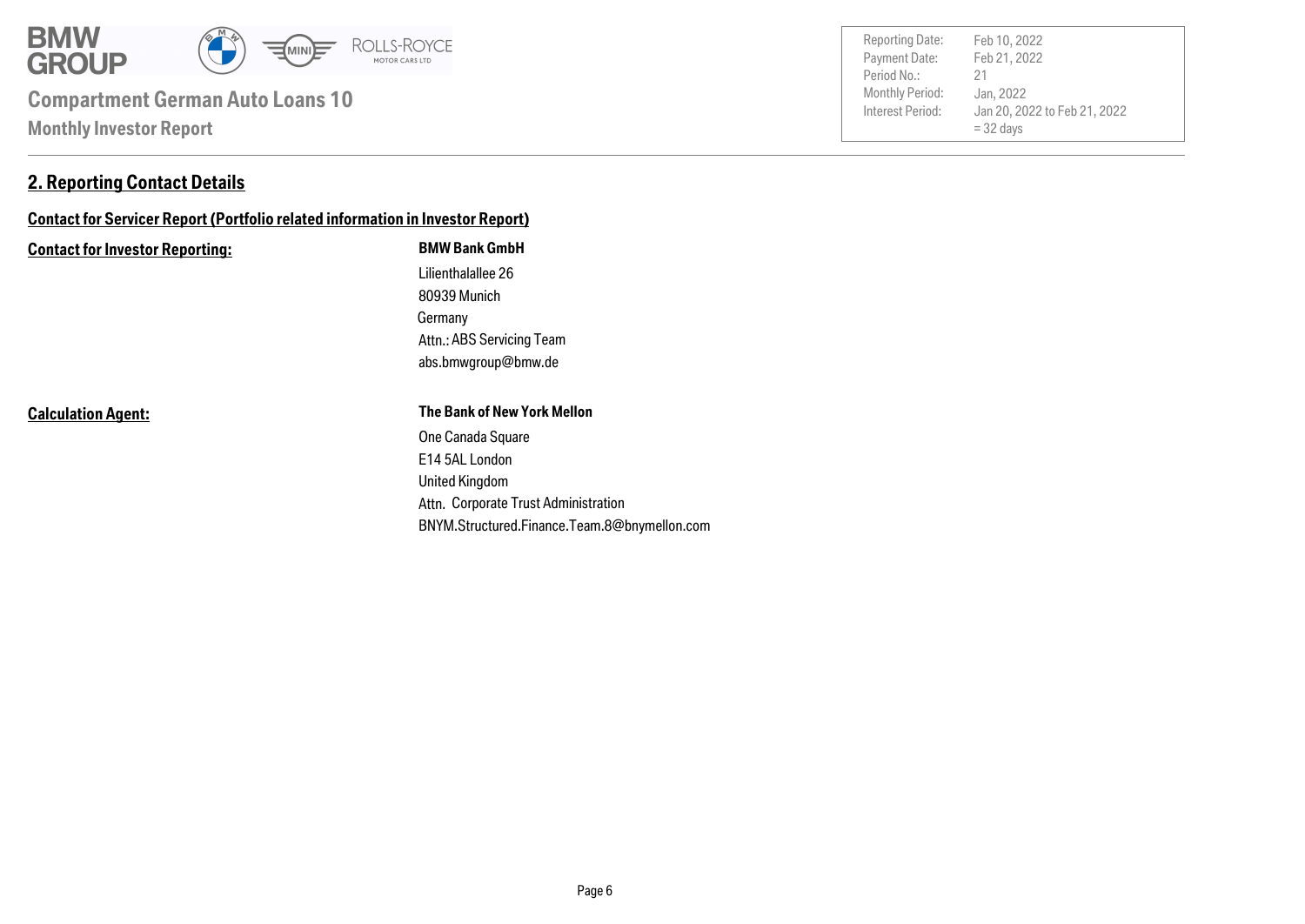

#### **2. Reporting Contact Details**

### **Contact for Servicer Report (Portfolio related information in Investor Report)**

#### **Contact for Investor Reporting: BMW Bank GmbH**

Germany 80939 Munich Lilienthalallee 26 abs.bmwgroup@bmw.de Attn.: ABS Servicing Team

**Calculation Agent:**

#### **The Bank of New York Mellon**

Attn. Corporate Trust Administration United Kingdom E14 5AL London One Canada Square BNYM.Structured.Finance.Team.8@bnymellon.com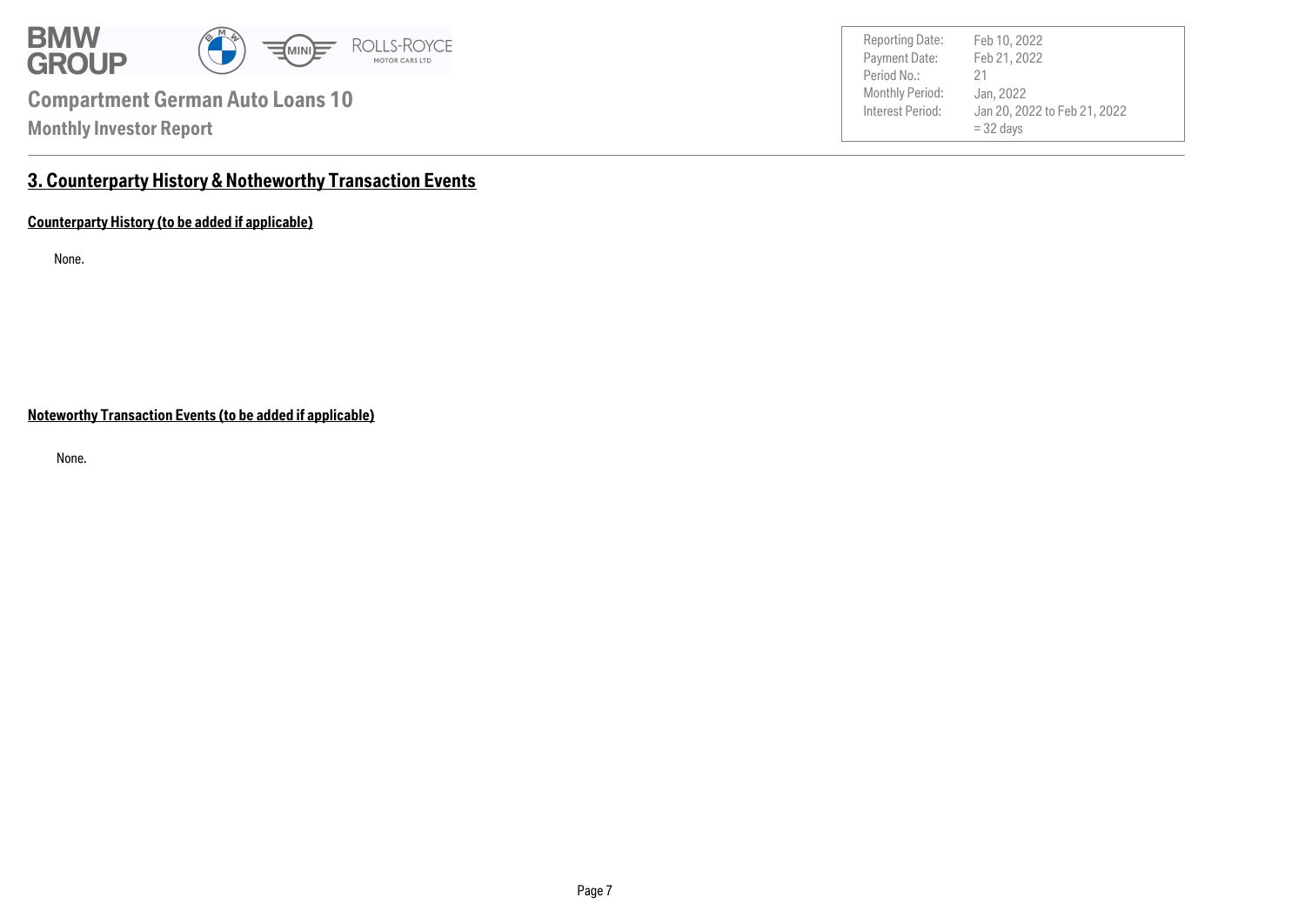

Payment Date: Period No.: Jan 20, 2022 to Feb 21, 2022 = 32 days Feb 21, 2022 Jan, 2022 21 Reporting Date: Feb 10, 2022

### **3. Counterparty History & Notheworthy Transaction Events**

**Counterparty History (to be added if applicable)**

None.

**Noteworthy Transaction Events (to be added if applicable)**

None.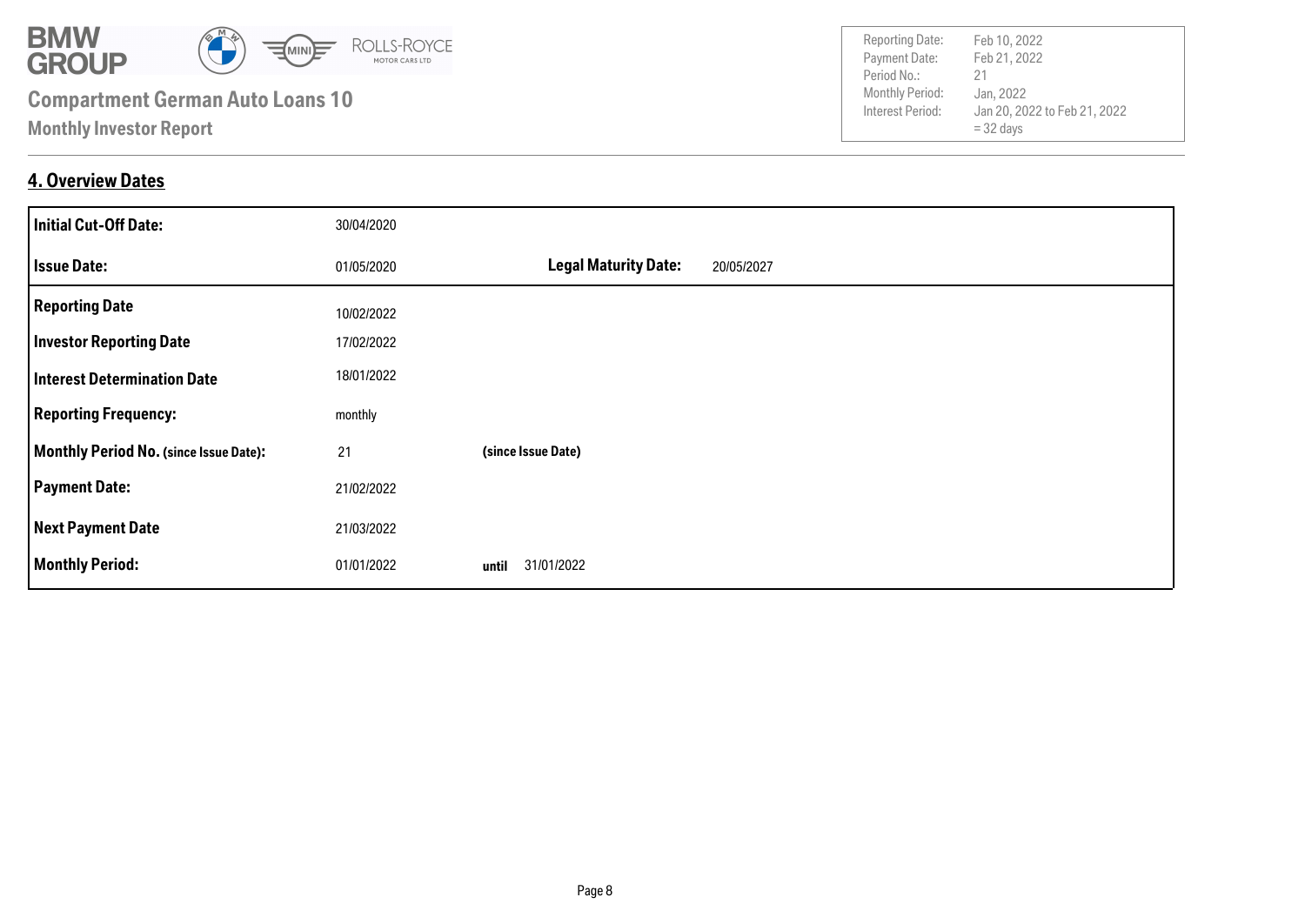

#### **4. Overview Dates**

| <b>Initial Cut-Off Date:</b>                  | 30/04/2020 |                                           |
|-----------------------------------------------|------------|-------------------------------------------|
| <b>Issue Date:</b>                            | 01/05/2020 | <b>Legal Maturity Date:</b><br>20/05/2027 |
| <b>Reporting Date</b>                         | 10/02/2022 |                                           |
| <b>Investor Reporting Date</b>                | 17/02/2022 |                                           |
| <b>Interest Determination Date</b>            | 18/01/2022 |                                           |
| <b>Reporting Frequency:</b>                   | monthly    |                                           |
| <b>Monthly Period No. (since Issue Date):</b> | 21         | (since Issue Date)                        |
| <b>Payment Date:</b>                          | 21/02/2022 |                                           |
| <b>Next Payment Date</b>                      | 21/03/2022 |                                           |
| <b>Monthly Period:</b>                        | 01/01/2022 | 31/01/2022<br>until                       |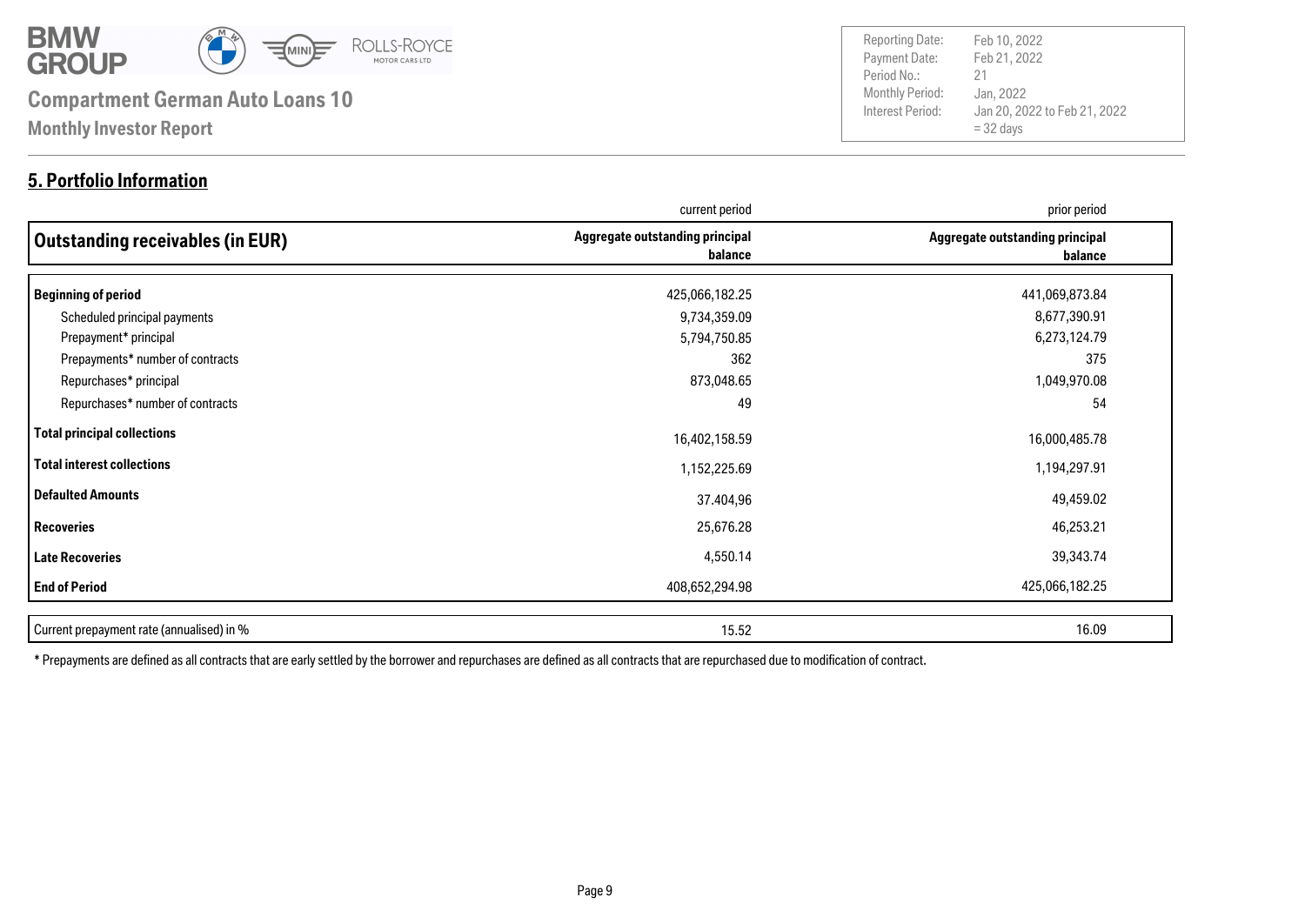

#### **5. Portfolio Information**

Payment Date: Period No.: Jan 20, 2022 to Feb 21, 2022 = 32 days Feb 21, 2022 Jan, 2022 21 Reporting Date: Feb 10, 2022

|                                           | current period                             | prior period                               |
|-------------------------------------------|--------------------------------------------|--------------------------------------------|
| Outstanding receivables (in EUR)          | Aggregate outstanding principal<br>balance | Aggregate outstanding principal<br>balance |
| <b>Beginning of period</b>                | 425,066,182.25                             | 441,069,873.84                             |
| Scheduled principal payments              | 9,734,359.09                               | 8,677,390.91                               |
| Prepayment* principal                     | 5,794,750.85                               | 6,273,124.79                               |
| Prepayments* number of contracts          | 362                                        | 375                                        |
| Repurchases* principal                    | 873,048.65                                 | 1,049,970.08                               |
| Repurchases* number of contracts          | 49                                         | 54                                         |
| <b>Total principal collections</b>        | 16,402,158.59                              | 16,000,485.78                              |
| Total interest collections                | 1,152,225.69                               | 1,194,297.91                               |
| <b>Defaulted Amounts</b>                  | 37.404,96                                  | 49,459.02                                  |
| <b>Recoveries</b>                         | 25,676.28                                  | 46,253.21                                  |
| <b>Late Recoveries</b>                    | 4,550.14                                   | 39,343.74                                  |
| <b>End of Period</b>                      | 408,652,294.98                             | 425,066,182.25                             |
| Current prepayment rate (annualised) in % | 15.52                                      | 16.09                                      |

\* Prepayments are defined as all contracts that are early settled by the borrower and repurchases are defined as all contracts that are repurchased due to modification of contract.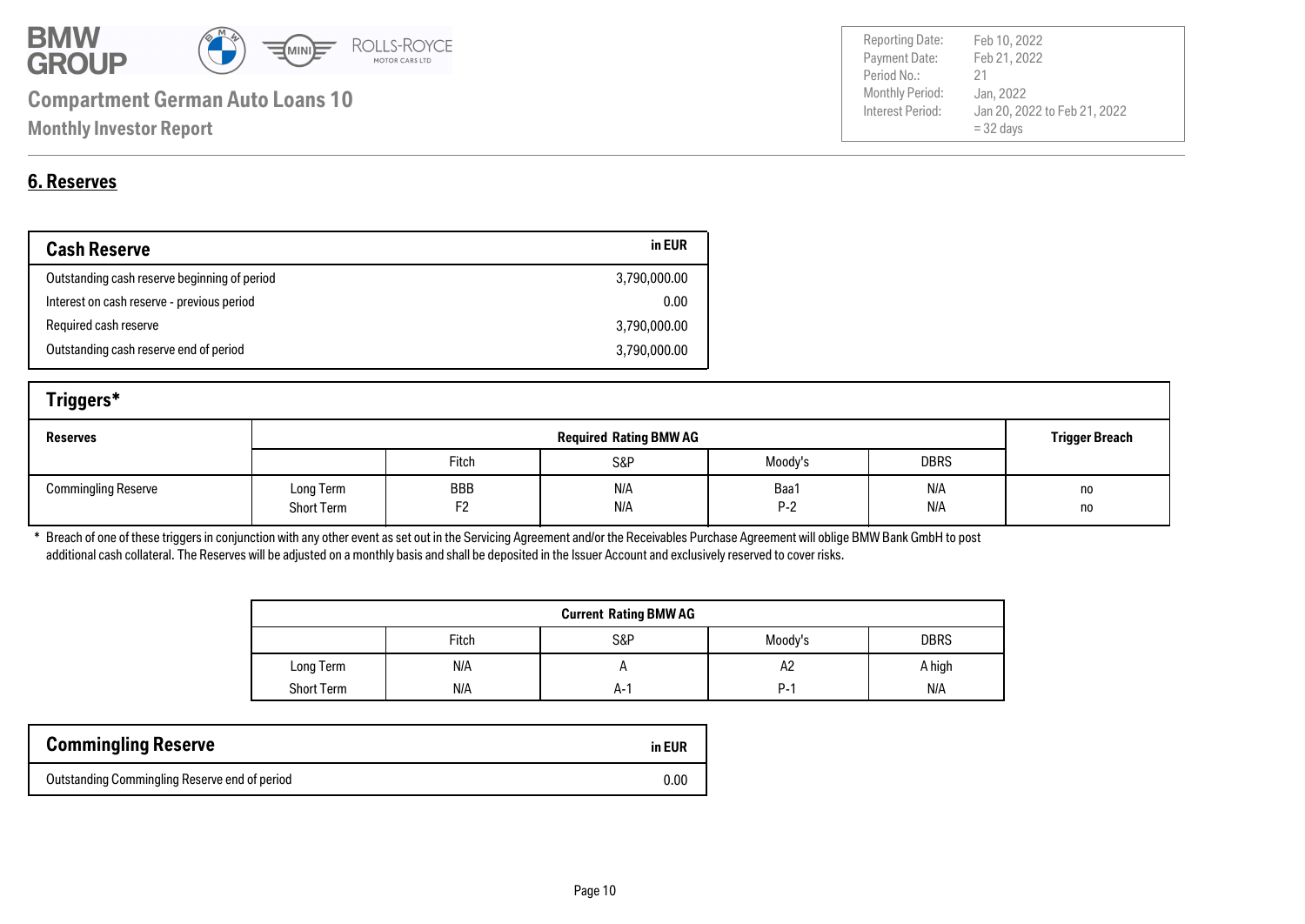

| <b>Reporting Date:</b> | Feb 10, 2022                 |
|------------------------|------------------------------|
| Payment Date:          | Feb 21, 2022                 |
| Period No.:            | 21                           |
| Monthly Period:        | Jan, 2022                    |
| Interest Period:       | Jan 20, 2022 to Feb 21, 2022 |
|                        | $=$ 32 days                  |
|                        |                              |

### **6. Reserves**

| <b>Cash Reserve</b>                          | in EUR       |
|----------------------------------------------|--------------|
| Outstanding cash reserve beginning of period | 3,790,000.00 |
| Interest on cash reserve - previous period   | 0.00         |
| Required cash reserve                        | 3,790,000.00 |
| Outstanding cash reserve end of period       | 3,790,000.00 |

| Triggers*                  |                                |                               |            |               |             |                       |
|----------------------------|--------------------------------|-------------------------------|------------|---------------|-------------|-----------------------|
| <b>Reserves</b>            |                                | <b>Required Rating BMW AG</b> |            |               |             | <b>Trigger Breach</b> |
|                            |                                | Fitch                         | S&P        | Moody's       | <b>DBRS</b> |                       |
| <b>Commingling Reserve</b> | Long Term<br><b>Short Term</b> | BBB<br>F <sub>2</sub>         | N/A<br>N/A | Baa1<br>$P-2$ | N/A<br>N/A  | no<br>no              |

\* Breach of one of these triggers in conjunction with any other event as set out in the Servicing Agreement and/or the Receivables Purchase Agreement will oblige BMW Bank GmbH to post additional cash collateral. The Reserves will be adjusted on a monthly basis and shall be deposited in the Issuer Account and exclusively reserved to cover risks.

| <b>Current Rating BMW AG</b> |       |     |            |             |  |
|------------------------------|-------|-----|------------|-------------|--|
|                              | Fitch | S&P | Moody's    | <b>DBRS</b> |  |
| Long Term                    | N/A   |     | A2         | A high      |  |
| <b>Short Term</b>            | N/A   | A-' | <b>P-1</b> | N/A         |  |

| <b>Commingling Reserve</b>                    | in EUR |
|-----------------------------------------------|--------|
| Outstanding Commingling Reserve end of period | 0.00   |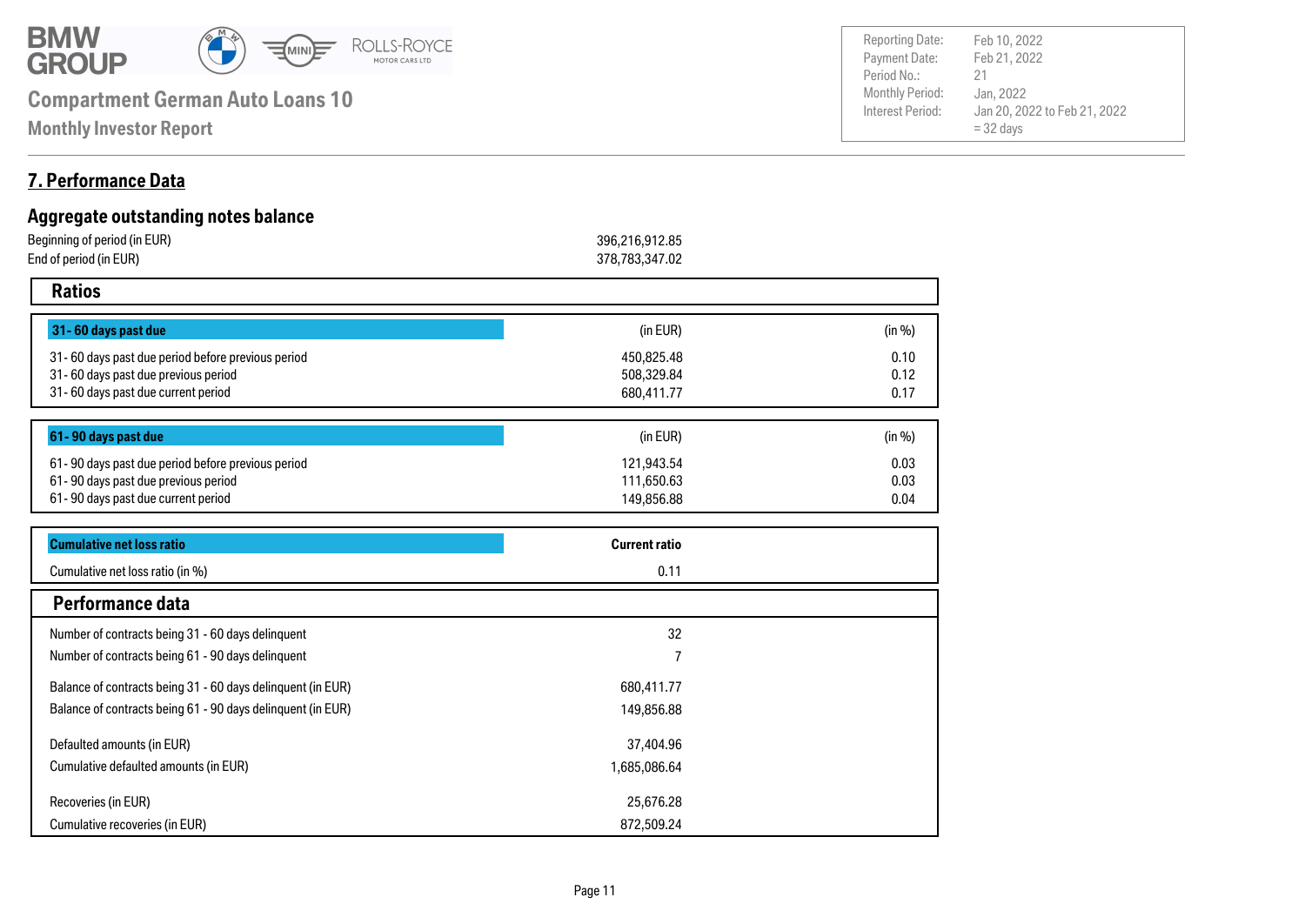

**Monthly Investor Report**

#### **7. Performance Data**

| Aggregate outstanding notes balance               |                      |        |  |
|---------------------------------------------------|----------------------|--------|--|
| Beginning of period (in EUR)                      | 396,216,912.85       |        |  |
| End of period (in EUR)                            | 378,783,347.02       |        |  |
| <b>Ratios</b>                                     |                      |        |  |
| 31-60 days past due                               | (in EUR)             | (in %) |  |
| 31-60 days past due period before previous period | 450,825.48           | 0.10   |  |
| 31-60 days past due previous period               | 508,329.84           | 0.12   |  |
| 31-60 days past due current period                | 680,411.77           | 0.17   |  |
| 61-90 days past due                               | (in EUR)             | (in %) |  |
| 61-90 days past due period before previous period | 121,943.54           | 0.03   |  |
| 61-90 days past due previous period               | 111,650.63           | 0.03   |  |
| 61-90 days past due current period                | 149,856.88           | 0.04   |  |
| <b>Cumulative net loss ratio</b>                  | <b>Current ratio</b> |        |  |
| Cumulative net loss ratio (in %)                  | 0.11                 |        |  |

| Cumulative net loss ratio (in %)                            | U. 11        |  |
|-------------------------------------------------------------|--------------|--|
| Performance data                                            |              |  |
| Number of contracts being 31 - 60 days delinquent           | 32           |  |
| Number of contracts being 61 - 90 days delinquent           |              |  |
| Balance of contracts being 31 - 60 days delinquent (in EUR) | 680,411.77   |  |
| Balance of contracts being 61 - 90 days delinguent (in EUR) | 149,856.88   |  |
| Defaulted amounts (in EUR)                                  | 37,404.96    |  |
| Cumulative defaulted amounts (in EUR)                       | 1,685,086.64 |  |
| Recoveries (in EUR)                                         | 25,676.28    |  |
| Cumulative recoveries (in EUR)                              | 872.509.24   |  |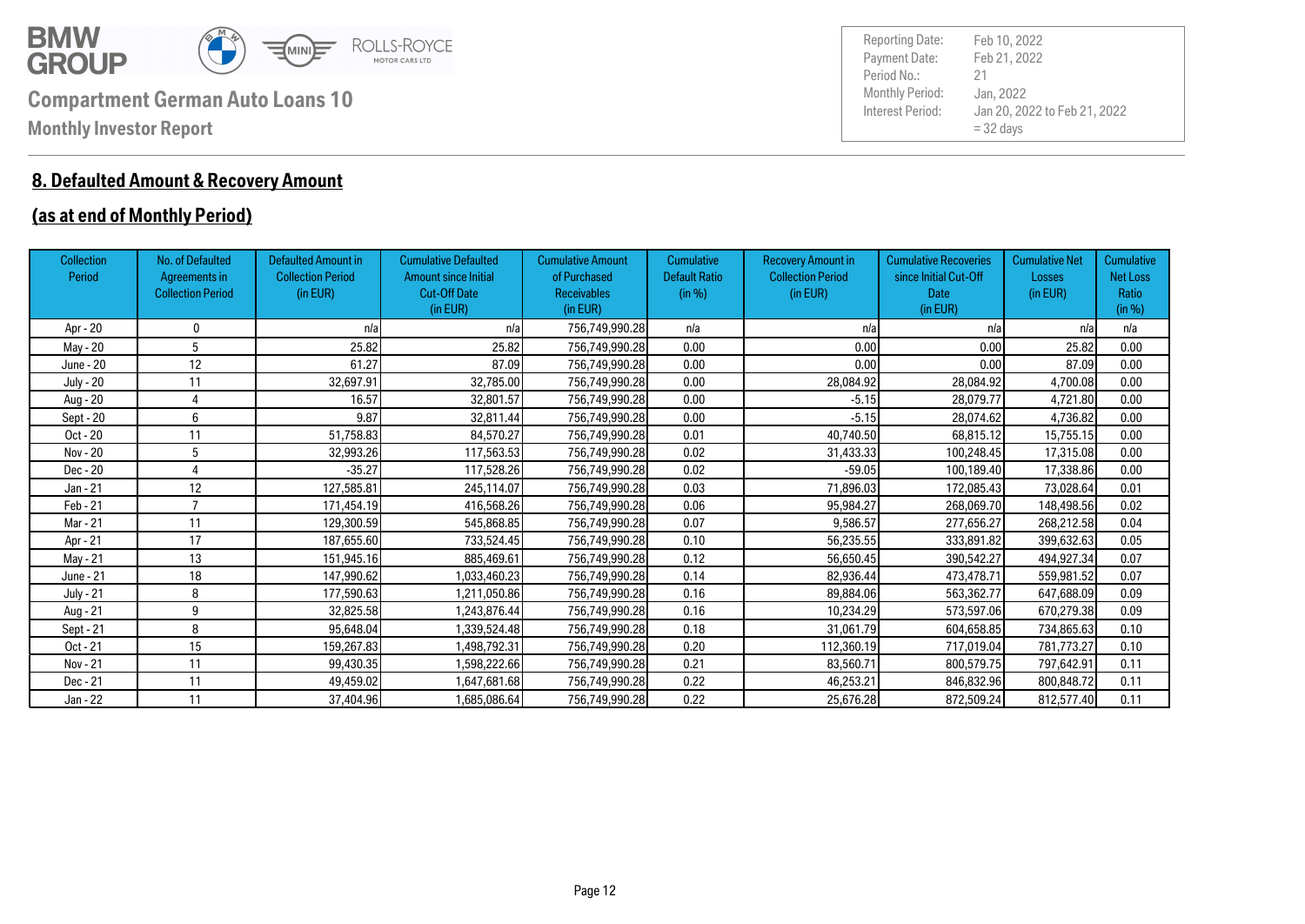

#### **8. Defaulted Amount & Recovery Amount**

#### **(as at end of Monthly Period)**

| Collection<br>Period | No. of Defaulted<br>Agreements in<br><b>Collection Period</b> | <b>Defaulted Amount in</b><br><b>Collection Period</b><br>(in EUR) | <b>Cumulative Defaulted</b><br><b>Amount since Initial</b><br><b>Cut-Off Date</b><br>(in EUR) | <b>Cumulative Amount</b><br>of Purchased<br><b>Receivables</b><br>(in EUR) | <b>Cumulative</b><br><b>Default Ratio</b><br>(in %) | <b>Recovery Amount in</b><br><b>Collection Period</b><br>(in EUR) | <b>Cumulative Recoveries</b><br>since Initial Cut-Off<br><b>Date</b><br>(in EUR) | <b>Cumulative Net</b><br>Losses<br>(in EUR) | Cumulative<br><b>Net Loss</b><br>Ratio<br>(in %) |
|----------------------|---------------------------------------------------------------|--------------------------------------------------------------------|-----------------------------------------------------------------------------------------------|----------------------------------------------------------------------------|-----------------------------------------------------|-------------------------------------------------------------------|----------------------------------------------------------------------------------|---------------------------------------------|--------------------------------------------------|
| Apr - 20             | 0                                                             | n/a                                                                | n/a                                                                                           | 756,749,990.28                                                             | n/a                                                 | n/a                                                               | n/a                                                                              | n/a                                         | n/a                                              |
| May - 20             | 5                                                             | 25.82                                                              | 25.82                                                                                         | 756,749,990.28                                                             | 0.00                                                | 0.00                                                              | 0.00                                                                             | 25.82                                       | 0.00                                             |
| June - 20            | 12                                                            | 61.27                                                              | 87.09                                                                                         | 756,749,990.28                                                             | 0.00                                                | 0.00                                                              | 0.00                                                                             | 87.09                                       | 0.00                                             |
| <b>July - 20</b>     | 11                                                            | 32,697.91                                                          | 32.785.00                                                                                     | 756,749,990.28                                                             | 0.00                                                | 28,084.92                                                         | 28,084.92                                                                        | 4,700.08                                    | 0.00                                             |
| Aug - 20             |                                                               | 16.57                                                              | 32,801.57                                                                                     | 756,749,990.28                                                             | 0.00                                                | $-5.15$                                                           | 28,079.77                                                                        | 4,721.80                                    | 0.00                                             |
| Sept - 20            | 6                                                             | 9.87                                                               | 32,811.44                                                                                     | 756,749,990.28                                                             | 0.00                                                | $-5.15$                                                           | 28,074.62                                                                        | 4,736.82                                    | 0.00                                             |
| Oct - 20             | 11                                                            | 51,758.83                                                          | 84,570.27                                                                                     | 756,749,990.28                                                             | 0.01                                                | 40,740.50                                                         | 68,815.12                                                                        | 15,755.15                                   | 0.00                                             |
| Nov - 20             | 5                                                             | 32,993.26                                                          | 117,563.53                                                                                    | 756,749,990.28                                                             | 0.02                                                | 31,433.33                                                         | 100,248.45                                                                       | 17,315.08                                   | 0.00                                             |
| Dec - 20             |                                                               | $-35.27$                                                           | 117,528.26                                                                                    | 756,749,990.28                                                             | 0.02                                                | $-59.05$                                                          | 100,189.40                                                                       | 17,338.86                                   | 0.00                                             |
| Jan - 21             | 12                                                            | 127,585.81                                                         | 245,114.07                                                                                    | 756,749,990.28                                                             | 0.03                                                | 71,896.03                                                         | 172,085.43                                                                       | 73,028.64                                   | 0.01                                             |
| Feb - 21             |                                                               | 171,454.19                                                         | 416,568.26                                                                                    | 756,749,990.28                                                             | 0.06                                                | 95,984.27                                                         | 268,069.70                                                                       | 148,498.56                                  | 0.02                                             |
| Mar - 21             | 11                                                            | 129,300.59                                                         | 545,868.85                                                                                    | 756,749,990.28                                                             | 0.07                                                | 9,586.57                                                          | 277,656.27                                                                       | 268,212.58                                  | 0.04                                             |
| Apr - 21             | 17                                                            | 187,655.60                                                         | 733,524.45                                                                                    | 756,749,990.28                                                             | 0.10                                                | 56,235.55                                                         | 333,891.82                                                                       | 399,632.63                                  | 0.05                                             |
| May - 21             | 13                                                            | 151,945.16                                                         | 885,469.61                                                                                    | 756,749,990.28                                                             | 0.12                                                | 56,650.45                                                         | 390,542.27                                                                       | 494,927.34                                  | 0.07                                             |
| June - 21            | 18                                                            | 147,990.62                                                         | 1,033,460.23                                                                                  | 756,749,990.28                                                             | 0.14                                                | 82,936.44                                                         | 473,478.71                                                                       | 559,981.52                                  | 0.07                                             |
| July - 21            | 8                                                             | 177,590.63                                                         | 1,211,050.86                                                                                  | 756,749,990.28                                                             | 0.16                                                | 89,884.06                                                         | 563,362.77                                                                       | 647,688.09                                  | 0.09                                             |
| Aug - 21             | 9                                                             | 32.825.58                                                          | 1,243,876.44                                                                                  | 756,749,990.28                                                             | 0.16                                                | 10,234.29                                                         | 573,597.06                                                                       | 670.279.38                                  | 0.09                                             |
| Sept - 21            | 8                                                             | 95,648.04                                                          | 1,339,524.48                                                                                  | 756,749,990.28                                                             | 0.18                                                | 31,061.79                                                         | 604,658.85                                                                       | 734,865.63                                  | 0.10                                             |
| Oct - 21             | 15                                                            | 159,267.83                                                         | 1,498,792.31                                                                                  | 756,749,990.28                                                             | 0.20                                                | 112,360.19                                                        | 717,019.04                                                                       | 781,773.27                                  | 0.10                                             |
| Nov - 21             | 11                                                            | 99,430.35                                                          | 1,598,222.66                                                                                  | 756,749,990.28                                                             | 0.21                                                | 83,560.71                                                         | 800,579.75                                                                       | 797,642.91                                  | 0.11                                             |
| Dec - 21             | 11                                                            | 49,459.02                                                          | 1,647,681.68                                                                                  | 756,749,990.28                                                             | 0.22                                                | 46,253.21                                                         | 846,832.96                                                                       | 800,848.72                                  | 0.11                                             |
| Jan - 22             | 11                                                            | 37,404.96                                                          | 1,685,086.64                                                                                  | 756,749,990.28                                                             | 0.22                                                | 25,676.28                                                         | 872,509.24                                                                       | 812,577.40                                  | 0.11                                             |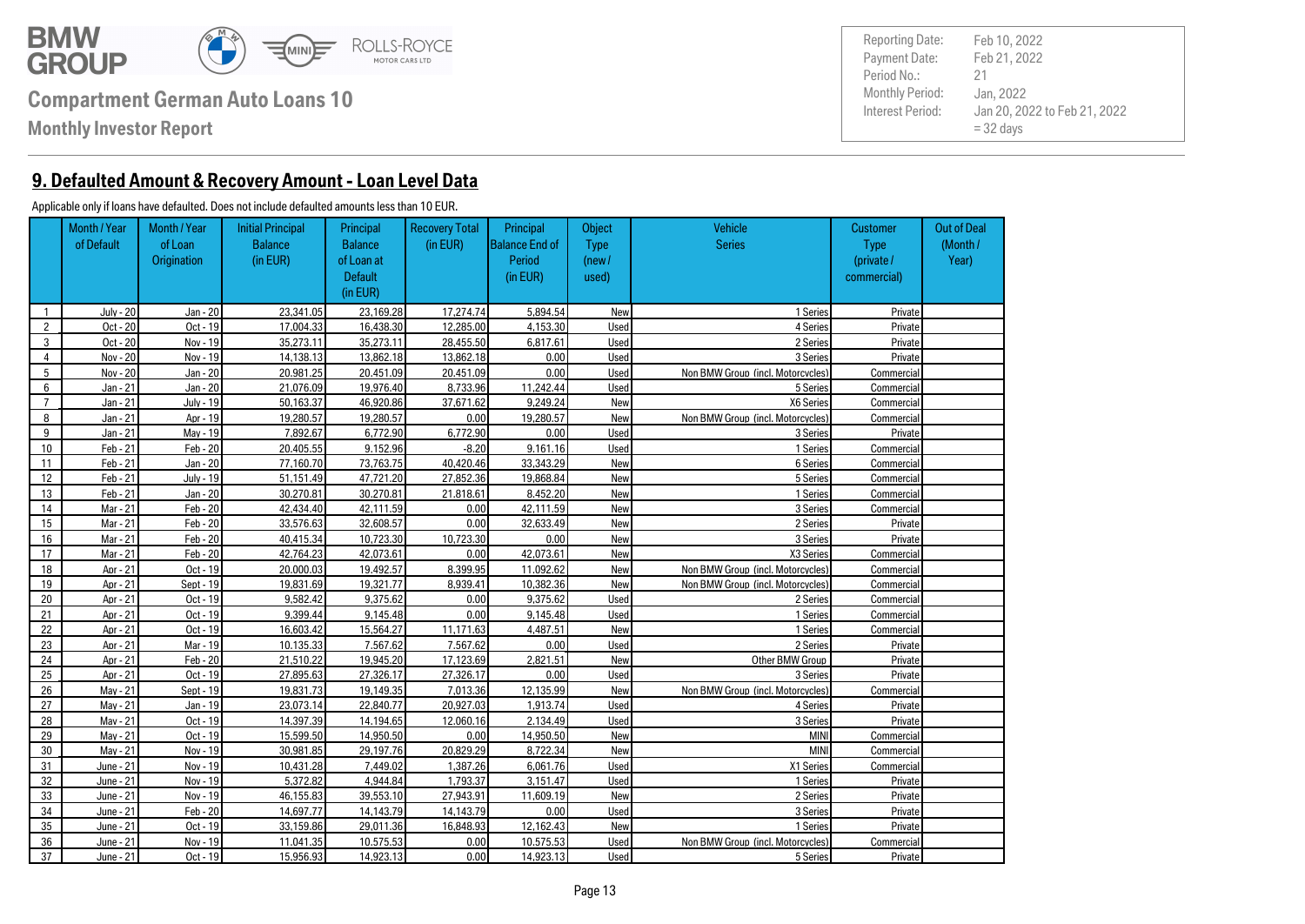

**Monthly Investor Report**

**9. Defaulted Amount & Recovery Amount - Loan Level Data**

#### Applicable only if loans have defaulted. Does not include defaulted amounts less than 10 EUR.

|                | Month / Year<br>of Default | Month / Year<br>of Loan<br>Origination | <b>Initial Principal</b><br><b>Balance</b><br>(in EUR) | Principal<br><b>Balance</b><br>of Loan at<br><b>Default</b><br>(in EUR) | <b>Recovery Total</b><br>(in EUR) | Principal<br><b>Balance End of</b><br>Period<br>(in EUR) | Object<br><b>Type</b><br>(new /<br>used) | <b>Vehicle</b><br><b>Series</b>   | <b>Customer</b><br><b>Type</b><br>(private /<br>commercial) | <b>Out of Deal</b><br>(Month/<br>Year) |
|----------------|----------------------------|----------------------------------------|--------------------------------------------------------|-------------------------------------------------------------------------|-----------------------------------|----------------------------------------------------------|------------------------------------------|-----------------------------------|-------------------------------------------------------------|----------------------------------------|
| $\mathbf{1}$   | <b>July - 20</b>           | Jan - 20                               | 23.341.05                                              | 23.169.28                                                               | 17.274.74                         | 5.894.54                                                 | New                                      | 1 Series                          | Private                                                     |                                        |
| $\overline{2}$ | Oct - 20                   | Oct - 19                               | 17.004.33                                              | 16.438.30                                                               | 12.285.00                         | 4.153.30                                                 | Used                                     | 4 Series                          | Private                                                     |                                        |
| 3              | Oct - 20                   | Nov - 19                               | 35.273.11                                              | 35.273.11                                                               | 28,455,50                         | 6,817,61                                                 | <b>Used</b>                              | 2 Series                          | Private                                                     |                                        |
| $\overline{4}$ | Nov - 20                   | Nov - 19                               | 14.138.13                                              | 13.862.18                                                               | 13.862.18                         | 0.00                                                     | Used                                     | 3 Series                          | Private                                                     |                                        |
| 5              | Nov - 20                   | Jan - 20                               | 20.981.25                                              | 20.451.09                                                               | 20.451.09                         | 0.00                                                     | Used                                     | Non BMW Group (incl. Motorcycles) | Commercial                                                  |                                        |
| 6              | Jan - 21                   | Jan - 20                               | 21.076.09                                              | 19.976.40                                                               | 8.733.96                          | 11.242.44                                                | Used                                     | 5 Series                          | Commercial                                                  |                                        |
| $\overline{7}$ | Jan - 21                   | July - 19                              | 50.163.37                                              | 46.920.86                                                               | 37.671.62                         | 9.249.24                                                 | New                                      | X6 Series                         | Commercial                                                  |                                        |
| 8              | $Jan - 21$                 | Apr - 19                               | 19.280.57                                              | 19.280.57                                                               | 0.00                              | 19.280.57                                                | New                                      | Non BMW Group (incl. Motorcycles) | Commercial                                                  |                                        |
| 9              | Jan - 21                   | Mav - 19                               | 7.892.67                                               | 6.772.90                                                                | 6.772.90                          | 0.00                                                     | Used                                     | 3 Series                          | Private                                                     |                                        |
| 10             | Feb - 21                   | Feb - 20                               | 20.405.55                                              | 9.152.96                                                                | $-8.20$                           | 9.161.16                                                 | Used                                     | 1 Series                          | Commercial                                                  |                                        |
| 11             | Feb - 21                   | Jan - 20                               | 77.160.70                                              | 73.763.75                                                               | 40.420.46                         | 33.343.29                                                | New                                      | 6 Series                          | Commercial                                                  |                                        |
| 12             | Feb - 21                   | July - 19                              | 51.151.49                                              | 47.721.20                                                               | 27.852.36                         | 19.868.84                                                | New                                      | 5 Series                          | Commercial                                                  |                                        |
| 13             | Feb - 21                   | Jan - 20                               | 30.270.81                                              | 30.270.81                                                               | 21.818.61                         | 8.452.20                                                 | New                                      | 1 Series                          | Commercial                                                  |                                        |
| 14             | Mar - 21                   | $Feb - 20$                             | 42.434.40                                              | 42.111.59                                                               | 0.00                              | 42.111.59                                                | New                                      | 3 Series                          | Commercial                                                  |                                        |
| 15             | Mar - 21                   | $Feb - 20$                             | 33.576.63                                              | 32.608.57                                                               | 0.00                              | 32.633.49                                                | New                                      | 2 Series                          | Private                                                     |                                        |
| 16             | Mar - 21                   | $Feb - 20$                             | 40.415.34                                              | 10.723.30                                                               | 10.723.30                         | 0.00                                                     | New                                      | 3 Series                          | Private                                                     |                                        |
| 17             | Mar - 21                   | $Feb - 20$                             | 42.764.23                                              | 42.073.61                                                               | 0.00                              | 42.073.61                                                | New                                      | X3 Series                         | Commercial                                                  |                                        |
| 18             | Apr - 21                   | Oct - 19                               | 20.000.03                                              | 19.492.57                                                               | 8.399.95                          | 11.092.62                                                | New                                      | Non BMW Group (incl. Motorcycles) | Commercial                                                  |                                        |
| 19             | Apr - 21                   | Sept - 19                              | 19.831.69                                              | 19.321.77                                                               | 8.939.41                          | 10.382.36                                                | New                                      | Non BMW Group (incl. Motorcycles) | Commercial                                                  |                                        |
| 20             | Apr - 21                   | $Oct - 19$                             | 9.582.42                                               | 9.375.62                                                                | 0.00                              | 9.375.62                                                 | Used                                     | 2 Series                          | Commercial                                                  |                                        |
| 21             | Apr - 21                   | Oct - 19                               | 9.399.44                                               | 9.145.48                                                                | 0.00                              | 9.145.48                                                 | Used                                     | 1 Series                          | Commercial                                                  |                                        |
| 22             | Apr - 21                   | Oct - 19                               | 16.603.42                                              | 15.564.27                                                               | 11.171.63                         | 4.487.51                                                 | New                                      | 1 Series                          | Commercial                                                  |                                        |
| 23             | Apr - 21                   | Mar - 19                               | 10.135.33                                              | 7.567.62                                                                | 7.567.62                          | 0.00                                                     | Used                                     | 2 Series                          | Private                                                     |                                        |
| 24             | Apr - 21                   | $Feb - 20$                             | 21.510.22                                              | 19.945.20                                                               | 17.123.69                         | 2.821.51                                                 | New                                      | Other BMW Group                   | Private                                                     |                                        |
| 25             | Apr - 21                   | Oct - 19                               | 27.895.63                                              | 27.326.17                                                               | 27.326.17                         | 0.00                                                     | Used                                     | 3 Series                          | Private                                                     |                                        |
| 26             | Mav - 21                   | Sept - 19                              | 19.831.73                                              | 19.149.35                                                               | 7.013.36                          | 12.135.99                                                | New                                      | Non BMW Group (incl. Motorcycles) | Commercial                                                  |                                        |
| 27             | Mav - 21                   | Jan - 19                               | 23.073.14                                              | 22,840.77                                                               | 20.927.03                         | 1.913.74                                                 | <b>Used</b>                              | 4 Series                          | Private                                                     |                                        |
| 28             | Mav - 21                   | Oct - 19                               | 14.397.39                                              | 14.194.65                                                               | 12.060.16                         | 2.134.49                                                 | <b>Used</b>                              | 3 Series                          | Private                                                     |                                        |
| 29             | Mav - 21                   | Oct - 19                               | 15.599.50                                              | 14.950.50                                                               | 0.00                              | 14.950.50                                                | New                                      | MINI                              | Commercial                                                  |                                        |
| 30             | Mav - 21                   | Nov - 19                               | 30.981.85                                              | 29.197.76                                                               | 20.829.29                         | 8.722.34                                                 | New                                      | <b>MINI</b>                       | Commercial                                                  |                                        |
| 31             | June - 21                  | Nov - 19                               | 10.431.28                                              | 7.449.02                                                                | 1.387.26                          | 6.061.76                                                 | Used                                     | X1 Series                         | Commercial                                                  |                                        |
| 32             | June - 21                  | Nov - 19                               | 5.372.82                                               | 4.944.84                                                                | 1.793.37                          | 3.151.47                                                 | Used                                     | 1 Series                          | Private                                                     |                                        |
| 33             | June - 21                  | Nov - 19                               | 46.155.83                                              | 39.553.10                                                               | 27.943.91                         | 11.609.19                                                | New                                      | 2 Series                          | Private                                                     |                                        |
| 34             | June - 21                  | $Feb - 20$                             | 14.697.77                                              | 14.143.79                                                               | 14.143.79                         | 0.00                                                     | Used                                     | 3 Series                          | Private                                                     |                                        |
| 35             | June - 21                  | Oct - 19                               | 33.159.86                                              | 29.011.36                                                               | 16.848.93                         | 12.162.43                                                | New                                      | 1 Series                          | Private                                                     |                                        |
| 36             | June - 21                  | Nov - 19                               | 11.041.35                                              | 10.575.53                                                               | 0.00                              | 10.575.53                                                | Used                                     | Non BMW Group (incl. Motorcycles) | Commercial                                                  |                                        |
| 37             | June - 21                  | Oct - 19                               | 15.956.93                                              | 14.923.13                                                               | 0.00                              | 14.923.13                                                | <b>Used</b>                              | 5 Series                          | Private                                                     |                                        |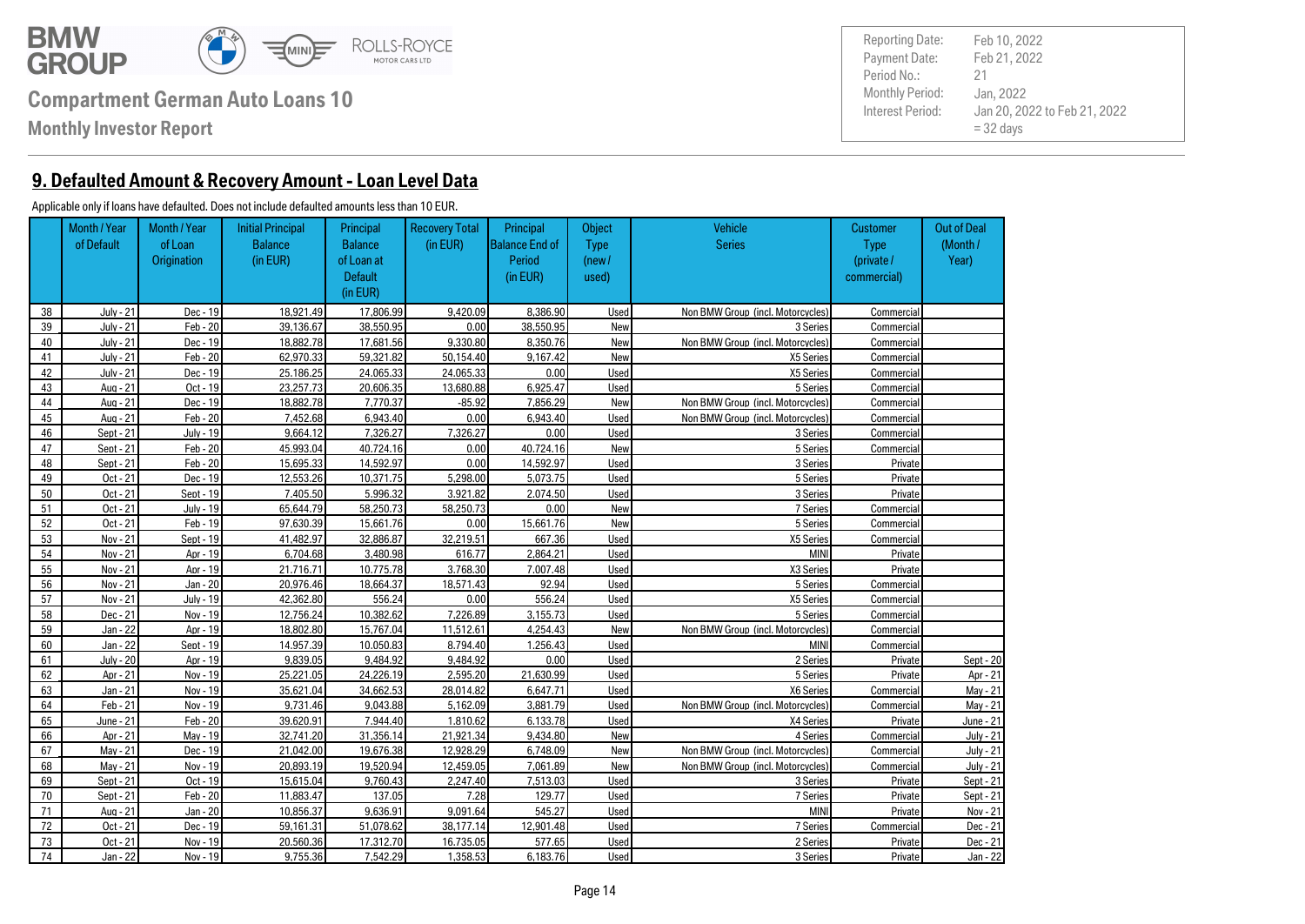

**Monthly Investor Report**

**9. Defaulted Amount & Recovery Amount - Loan Level Data**

#### Applicable only if loans have defaulted. Does not include defaulted amounts less than 10 EUR.

|    | Month / Year     | Month / Year     | <b>Initial Principal</b> | Principal      | <b>Recovery Total</b> | Principal             | Object      | <b>Vehicle</b>                    | <b>Customer</b> | <b>Out of Deal</b> |
|----|------------------|------------------|--------------------------|----------------|-----------------------|-----------------------|-------------|-----------------------------------|-----------------|--------------------|
|    | of Default       | of Loan          | <b>Balance</b>           | <b>Balance</b> | (in EUR)              | <b>Balance End of</b> | <b>Type</b> | <b>Series</b>                     | <b>Type</b>     | (Month/            |
|    |                  | Origination      | (in EUR)                 | of Loan at     |                       | Period                | (new /      |                                   | (private /      | Year)              |
|    |                  |                  |                          | <b>Default</b> |                       | (in EUR)              | used)       |                                   | commercial)     |                    |
|    |                  |                  |                          | (in EUR)       |                       |                       |             |                                   |                 |                    |
| 38 | <b>July - 21</b> | Dec - 19         | 18.921.49                | 17.806.99      | 9.420.09              | 8.386.90              | Used        | Non BMW Group (incl. Motorcycles) | Commercial      |                    |
| 39 | July - 21        | Feb - 20         | 39.136.67                | 38.550.95      | 0.00                  | 38.550.95             | New         | 3 Series                          | Commercial      |                    |
| 40 | July - 21        | Dec - 19         | 18,882.78                | 17.681.56      | 9.330.80              | 8.350.76              | New         | Non BMW Group (incl. Motorcycles) | Commercial      |                    |
| 41 | July - 21        | $Feb - 20$       | 62.970.33                | 59.321.82      | 50.154.40             | 9.167.42              | New         | X5 Series                         | Commercial      |                    |
| 42 | July - 21        | Dec - 19         | 25.186.25                | 24.065.33      | 24.065.33             | 0.00                  | Used        | X5 Series                         | Commercial      |                    |
| 43 | Aug - 21         | Oct - 19         | 23.257.73                | 20.606.35      | 13.680.88             | 6.925.47              | Used        | 5 Series                          | Commercial      |                    |
| 44 | Aug - 21         | Dec - 19         | 18,882.78                | 7.770.37       | $-85.92$              | 7.856.29              | New         | Non BMW Group (incl. Motorcycles) | Commercial      |                    |
| 45 | Aua - 21         | $Feb - 20$       | 7.452.68                 | 6.943.40       | 0.00                  | 6.943.40              | Used        | Non BMW Group (incl. Motorcycles) | Commercial      |                    |
| 46 | Sept - 21        | <b>July - 19</b> | 9.664.12                 | 7.326.27       | 7.326.27              | 0.00                  | Used        | 3 Series                          | Commercial      |                    |
| 47 | Sept - 21        | $Feb - 20$       | 45.993.04                | 40.724.16      | 0.00                  | 40.724.16             | New         | 5 Series                          | Commercial      |                    |
| 48 | Sept - 21        | $Feb - 20$       | 15.695.33                | 14.592.97      | 0.00                  | 14.592.97             | Used        | 3 Series                          | Private         |                    |
| 49 | Oct - 21         | Dec - 19         | 12.553.26                | 10.371.75      | 5.298.00              | 5.073.75              | Used        | 5 Series                          | Private         |                    |
| 50 | Oct - 21         | Sept - 19        | 7.405.50                 | 5.996.32       | 3.921.82              | 2.074.50              | Used        | 3 Series                          | Private         |                    |
| 51 | Oct - 21         | <b>July - 19</b> | 65.644.79                | 58.250.73      | 58.250.73             | 0.00                  | New         | 7 Series                          | Commercial      |                    |
| 52 | Oct - 21         | Feb - 19         | 97.630.39                | 15.661.76      | 0.00                  | 15.661.76             | New         | 5 Series                          | Commercial      |                    |
| 53 | Nov - 21         | Sept - 19        | 41.482.97                | 32.886.87      | 32.219.51             | 667.36                | Used        | X5 Series                         | Commercial      |                    |
| 54 | Nov - 21         | Apr - 19         | 6.704.68                 | 3.480.98       | 616.77                | 2.864.21              | Used        | <b>MINI</b>                       | Private         |                    |
| 55 | Nov - 21         | Apr - 19         | 21.716.71                | 10.775.78      | 3.768.30              | 7.007.48              | Used        | X3 Series                         | Private         |                    |
| 56 | Nov - 21         | Jan - 20         | 20.976.46                | 18.664.37      | 18.571.43             | 92.94                 | Used        | 5 Series                          | Commercial      |                    |
| 57 | Nov - 21         | July - 19        | 42.362.80                | 556.24         | 0.00                  | 556.24                | Used        | X5 Series                         | Commercial      |                    |
| 58 | Dec - 21         | Nov - 19         | 12.756.24                | 10.382.62      | 7.226.89              | 3.155.73              | Used        | 5 Series                          | Commercial      |                    |
| 59 | Jan - 22         | Apr - 19         | 18.802.80                | 15.767.04      | 11.512.61             | 4.254.43              | New         | Non BMW Group (incl. Motorcycles) | Commercial      |                    |
| 60 | Jan - 22         | Sept - 19        | 14.957.39                | 10.050.83      | 8.794.40              | 1.256.43              | Used        | <b>MINI</b>                       | Commercial      |                    |
| 61 | <b>July - 20</b> | Apr - 19         | 9.839.05                 | 9.484.92       | 9.484.92              | 0.00                  | Used        | 2 Series                          | Private         | Sept - 20          |
| 62 | Apr - 21         | Nov - 19         | 25.221.05                | 24.226.19      | 2.595.20              | 21.630.99             | Used        | 5 Series                          | Private         | Apr - 21           |
| 63 | Jan - 21         | Nov - 19         | 35.621.04                | 34.662.53      | 28.014.82             | 6.647.71              | Used        | X6 Series                         | Commercial      | May - 21           |
| 64 | Feb - 21         | Nov - 19         | 9.731.46                 | 9.043.88       | 5.162.09              | 3.881.79              | Used        | Non BMW Group (incl. Motorcycles) | Commercial      | May - 21           |
| 65 | June - 21        | Feb - 20         | 39.620.91                | 7.944.40       | 1.810.62              | 6.133.78              | Used        | X4 Series                         | Private         | June - 21          |
| 66 | Apr - 21         | Mav - 19         | 32.741.20                | 31.356.14      | 21.921.34             | 9.434.80              | New         | 4 Series                          | Commercial      | <b>July - 21</b>   |
| 67 | Mav - 21         | Dec - 19         | 21.042.00                | 19.676.38      | 12.928.29             | 6.748.09              | New         | Non BMW Group (incl. Motorcycles) | Commercial      | <b>July - 21</b>   |
| 68 | Mav - 21         | Nov - 19         | 20.893.19                | 19.520.94      | 12.459.05             | 7.061.89              | New         | Non BMW Group (incl. Motorcycles) | Commercial      | July - 21          |
| 69 | Sept - 21        | Oct - 19         | 15.615.04                | 9.760.43       | 2.247.40              | 7.513.03              | Used        | 3 Series                          | Private         | Sept - 21          |
| 70 | Sept - 21        | $Feb - 20$       | 11.883.47                | 137.05         | 7.28                  | 129.77                | Used        | 7 Series                          | Private         | Sept - 21          |
| 71 | Aua - 21         | Jan - 20         | 10.856.37                | 9.636.91       | 9.091.64              | 545.27                | Used        | <b>MINI</b>                       | Private         | Nov - 21           |
| 72 | Oct - 21         | Dec - 19         | 59.161.31                | 51.078.62      | 38.177.14             | 12.901.48             | Used        | 7 Series                          | Commercial      | Dec - 21           |
| 73 | Oct - 21         | Nov - 19         | 20.560.36                | 17.312.70      | 16.735.05             | 577.65                | Used        | 2 Series                          | Private         | Dec - 21           |
| 74 | Jan - 22         | Nov - 19         | 9.755.36                 | 7.542.29       | 1.358.53              | 6.183.76              | Used        | 3 Series                          | Private         | Jan - 22           |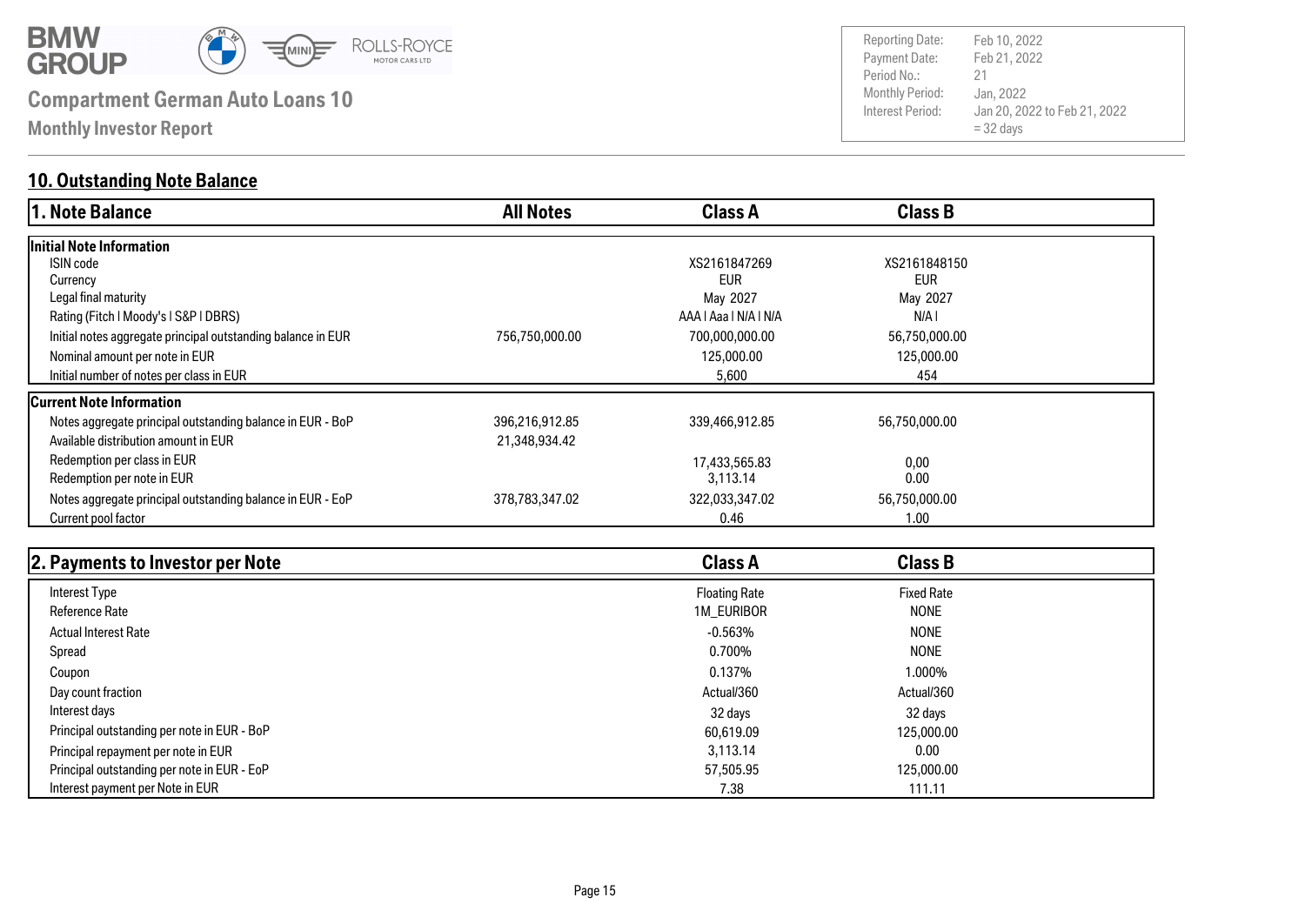

**Monthly Investor Report**

### **10. Outstanding Note Balance**

| 1. Note Balance                                              | <b>All Notes</b> | <b>Class A</b>        | <b>Class B</b> |  |
|--------------------------------------------------------------|------------------|-----------------------|----------------|--|
| lInitial Note Information                                    |                  |                       |                |  |
| ISIN code                                                    |                  | XS2161847269          | XS2161848150   |  |
| Currency                                                     |                  | <b>EUR</b>            | <b>EUR</b>     |  |
| Legal final maturity                                         |                  | May 2027              | May 2027       |  |
| Rating (Fitch   Moody's   S&P   DBRS)                        |                  | AAA   Aaa   N/A   N/A | N/A I          |  |
| Initial notes aggregate principal outstanding balance in EUR | 756,750,000.00   | 700,000,000.00        | 56,750,000.00  |  |
| Nominal amount per note in EUR                               |                  | 125,000.00            | 125,000.00     |  |
| Initial number of notes per class in EUR                     |                  | 5,600                 | 454            |  |
| Current Note Information                                     |                  |                       |                |  |
| Notes aggregate principal outstanding balance in EUR - BoP   | 396,216,912.85   | 339,466,912.85        | 56,750,000.00  |  |
| Available distribution amount in EUR                         | 21,348,934.42    |                       |                |  |
| Redemption per class in EUR                                  |                  | 17,433,565.83         | 0,00           |  |
| Redemption per note in EUR                                   |                  | 3,113.14              | 0.00           |  |
| Notes aggregate principal outstanding balance in EUR - EoP   | 378,783,347.02   | 322,033,347.02        | 56,750,000.00  |  |
| Current pool factor                                          |                  | 0.46                  | 1.00           |  |

| 2. Payments to Investor per Note            | <b>Class A</b>       | <b>Class B</b>    |  |
|---------------------------------------------|----------------------|-------------------|--|
| Interest Type                               | <b>Floating Rate</b> | <b>Fixed Rate</b> |  |
| <b>Reference Rate</b>                       | 1M_EURIBOR           | <b>NONE</b>       |  |
| <b>Actual Interest Rate</b>                 | $-0.563\%$           | <b>NONE</b>       |  |
| Spread                                      | 0.700%               | <b>NONE</b>       |  |
| Coupon                                      | 0.137%               | 1.000%            |  |
| Day count fraction                          | Actual/360           | Actual/360        |  |
| Interest days                               | 32 days              | 32 days           |  |
| Principal outstanding per note in EUR - BoP | 60,619.09            | 125,000.00        |  |
| Principal repayment per note in EUR         | 3.113.14             | 0.00              |  |
| Principal outstanding per note in EUR - EoP | 57,505.95            | 125,000.00        |  |
| Interest payment per Note in EUR            | 7.38                 | 111.11            |  |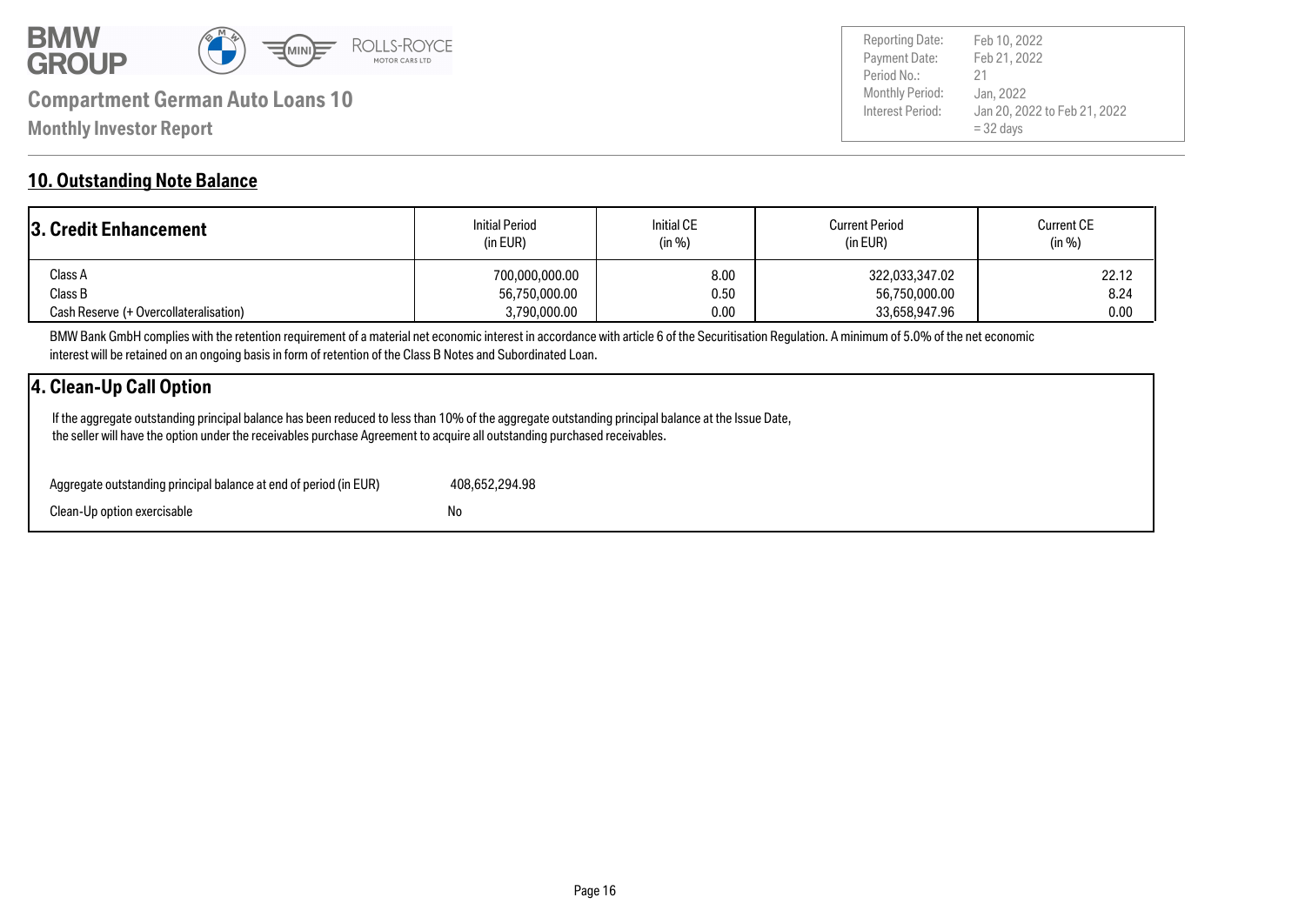

Payment Date: Period No.: Jan 20, 2022 to Feb 21, 2022  $= 32$  days Feb 21, 2022 Jan, 2022 21 Reporting Date: Feb 10, 2022

#### **10. Outstanding Note Balance**

| <b>3. Credit Enhancement</b>           | <b>Initial Period</b><br>(in EUR) | <b>Initial CE</b><br>(in %) | <b>Current Period</b><br>(in EUR) | <b>Current CE</b><br>(in %) |
|----------------------------------------|-----------------------------------|-----------------------------|-----------------------------------|-----------------------------|
| Class A                                | 700,000,000.00                    | 8.00                        | 322,033,347.02                    | 22.12                       |
| Class B                                | 56,750,000.00                     | 0.50                        | 56,750,000.00                     | 8.24                        |
| Cash Reserve (+ Overcollateralisation) | 3,790,000.00                      | 0.00                        | 33,658,947.96                     | 0.00                        |

BMW Bank GmbH complies with the retention requirement of a material net economic interest in accordance with article 6 of the Securitisation Regulation. A minimum of 5.0% of the net economic interest will be retained on an ongoing basis in form of retention of the Class B Notes and Subordinated Loan.

#### **4. Clean-Up Call Option**

 If the aggregate outstanding principal balance has been reduced to less than 10% of the aggregate outstanding principal balance at the Issue Date, the seller will have the option under the receivables purchase Agreement to acquire all outstanding purchased receivables.

| Aggregate outstanding principal balance at end of period (in EUR) | 408.652.294.98 |
|-------------------------------------------------------------------|----------------|
| Clean-Up option exercisable                                       | No             |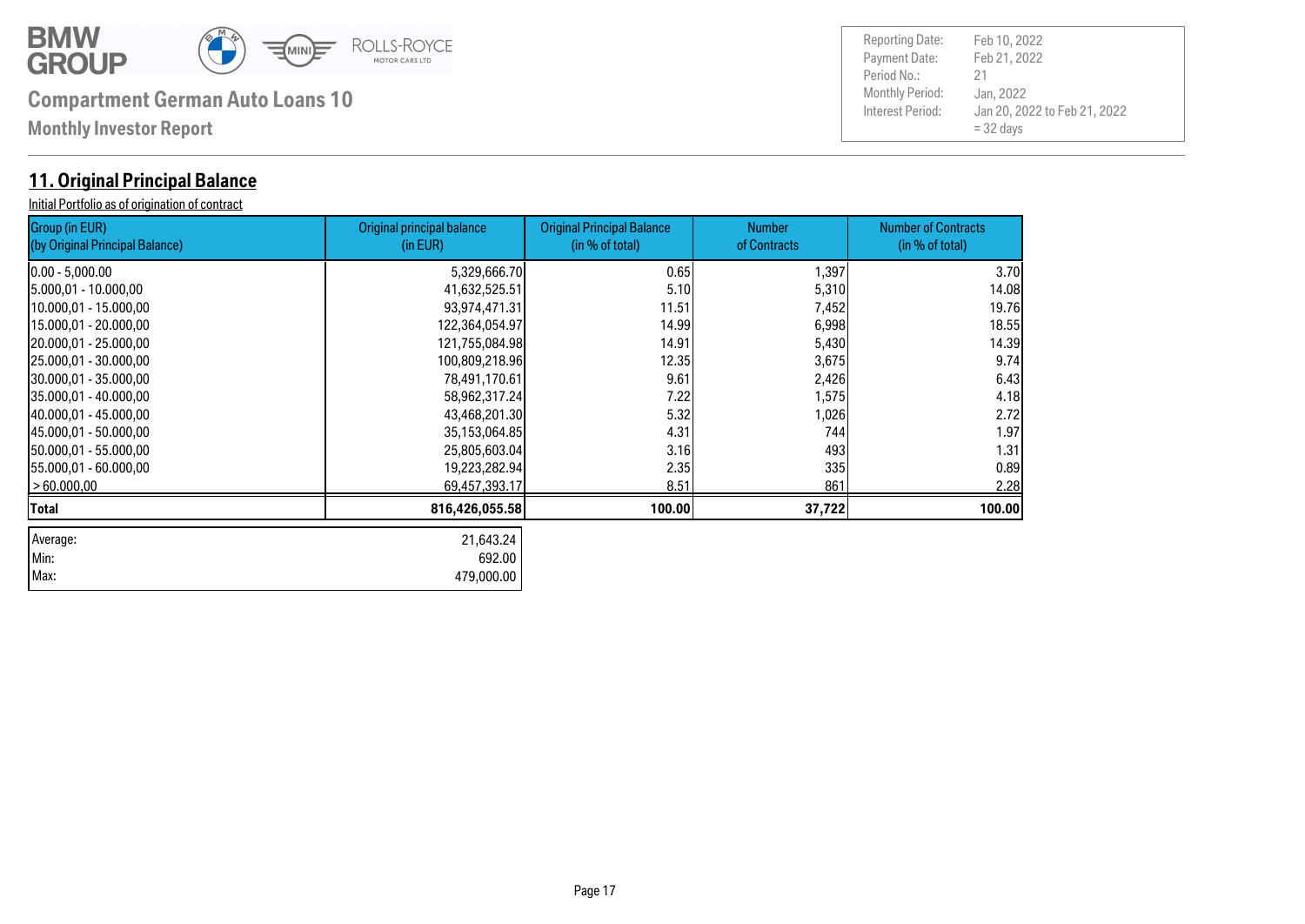

| Max: 479,000.00 Min: 692.00

## **Compartment German Auto Loans 10** Monthly Period:

**Monthly Investor Report**

#### **11. Original Principal Balance**

Initial Portfolio as of origination of contract

Group ( (by Orig

| Group (in EUR)<br>(by Original Principal Balance) | Original principal balance<br>(in EUR) | <b>Original Principal Balance</b><br>(in % of total) | <b>Number</b><br>of Contracts | <b>Number of Contracts</b><br>(in % of total) |
|---------------------------------------------------|----------------------------------------|------------------------------------------------------|-------------------------------|-----------------------------------------------|
| $0.00 - 5,000.00$                                 | 5,329,666.70                           | 0.65                                                 | 1,397                         | 3.70                                          |
| 5.000,01 - 10.000,00                              | 41,632,525.51                          | 5.10                                                 | 5,310                         | 14.08                                         |
| 10.000,01 - 15.000,00                             | 93,974,471.31                          | 11.51                                                | 7,452                         | 19.76                                         |
| 15.000,01 - 20.000,00                             | 122,364,054.97                         | 14.99                                                | 6,998                         | 18.55                                         |
| 20.000,01 - 25.000,00                             | 121,755,084.98                         | 14.91                                                | 5,430                         | 14.39                                         |
| 25.000,01 - 30.000,00                             | 100,809,218.96                         | 12.35                                                | 3,675                         | 9.74                                          |
| 30.000,01 - 35.000,00                             | 78,491,170.61                          | 9.61                                                 | 2,426                         | 6.43                                          |
| 35.000,01 - 40.000,00                             | 58,962,317.24                          | 7.22                                                 | 1,575                         | 4.18                                          |
| 40.000,01 - 45.000,00                             | 43,468,201.30                          | 5.32                                                 | 1,026                         | 2.72                                          |
| 45.000,01 - 50.000,00                             | 35,153,064.85                          | 4.31                                                 | 744                           | 1.97                                          |
| 50.000,01 - 55.000,00                             | 25,805,603.04                          | 3.16                                                 | 493                           | 1.31                                          |
| 55.000,01 - 60.000,00                             | 19,223,282.94                          | 2.35                                                 | 335                           | 0.89                                          |
| >60.000,00                                        | 69,457,393.17                          | 8.51                                                 | 861                           | 2.28                                          |
| Total                                             | 816,426,055.58                         | 100.00                                               | 37,722                        | 100.00                                        |
| Average:                                          | 21,643.24                              |                                                      |                               |                                               |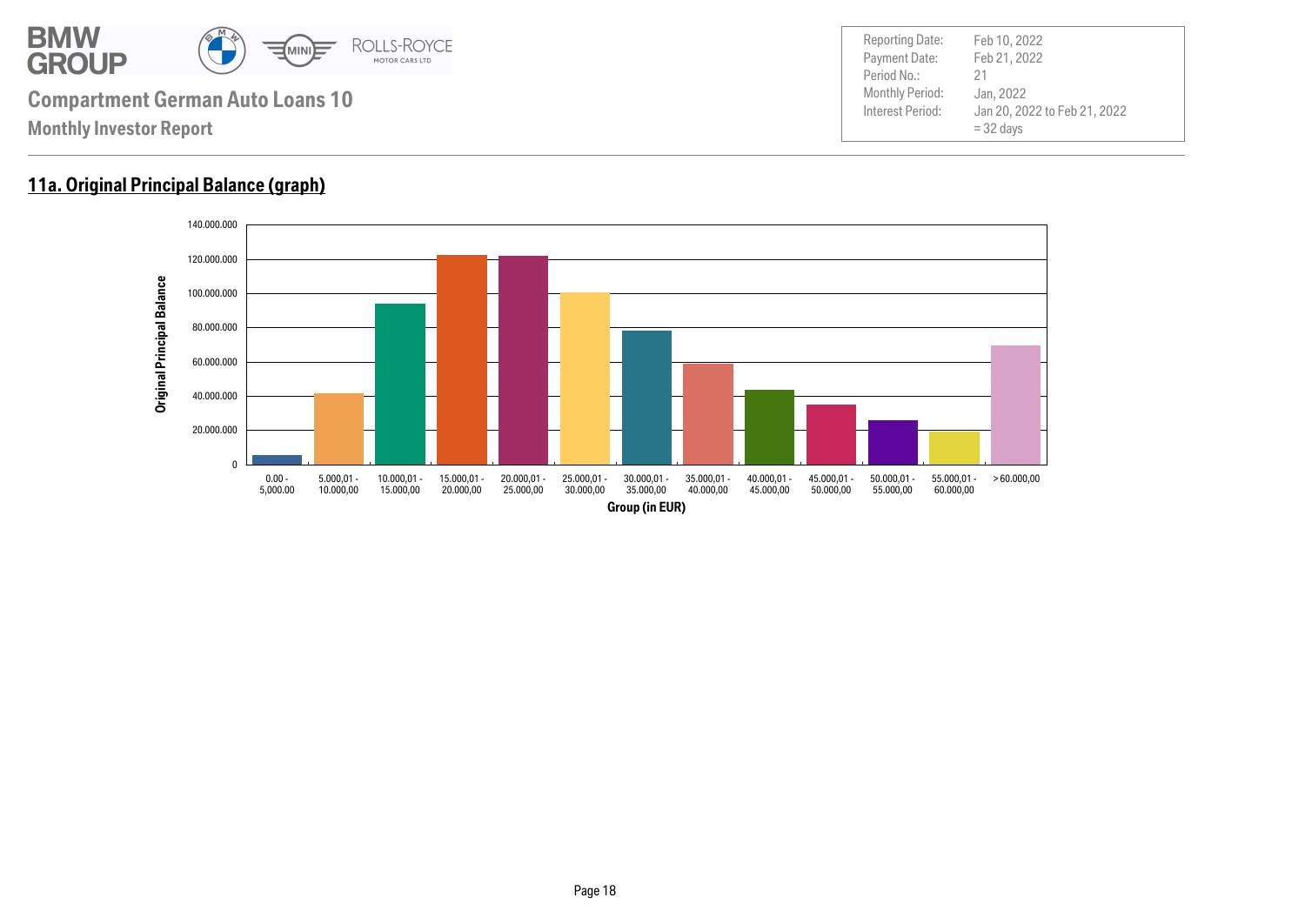

#### **11a. Original Principal Balance (graph)**

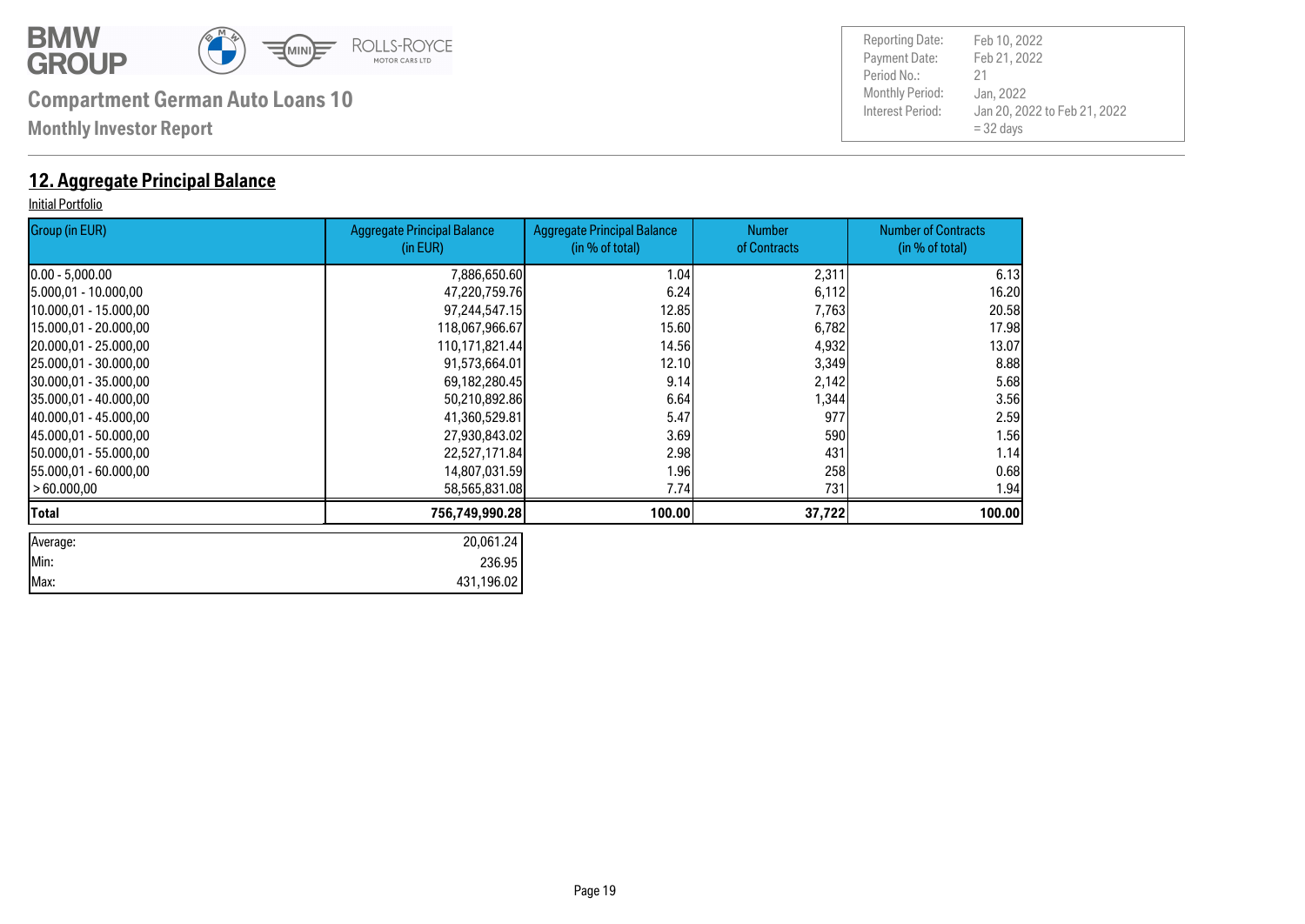

**Monthly Investor Report**

#### **12. Aggregate Principal Balance**

#### Initial Portfolio

| Group (in EUR)         | <b>Aggregate Principal Balance</b><br>(in EUR) | <b>Aggregate Principal Balance</b><br>(in % of total) | <b>Number</b><br>of Contracts | <b>Number of Contracts</b><br>(in % of total) |
|------------------------|------------------------------------------------|-------------------------------------------------------|-------------------------------|-----------------------------------------------|
| $[0.00 - 5,000.00]$    | 7,886,650.60                                   | 1.04                                                  | 2,311                         | 6.13                                          |
| 5.000,01 - 10.000,00   | 47,220,759.76                                  | 6.24                                                  | 6,112                         | 16.20                                         |
| 10.000,01 - 15.000,00  | 97,244,547.15                                  | 12.85                                                 | 7,763                         | 20.58                                         |
| 15.000,01 - 20.000,00  | 118,067,966.67                                 | 15.60                                                 | 6,782                         | 17.98                                         |
| 20.000,01 - 25.000,00  | 110,171,821.44                                 | 14.56                                                 | 4,932                         | 13.07                                         |
| 25.000,01 - 30.000,00  | 91,573,664.01                                  | 12.10                                                 | 3,349                         | 8.88                                          |
| 30.000,01 - 35.000,00  | 69,182,280.45                                  | 9.14                                                  | 2,142                         | 5.68                                          |
| 35.000,01 - 40.000,00  | 50,210,892.86                                  | 6.64                                                  | 1,344                         | 3.56                                          |
| 40.000,01 - 45.000,00  | 41,360,529.81                                  | 5.47                                                  | 977                           | 2.59                                          |
| 145.000.01 - 50.000.00 | 27,930,843.02                                  | 3.69                                                  | 590                           | 1.56                                          |
| 150.000,01 - 55.000,00 | 22,527,171.84                                  | 2.98                                                  | 431                           | 1.14                                          |
| 155.000,01 - 60.000,00 | 14,807,031.59                                  | 1.96                                                  | 258                           | 0.68                                          |
| > 60.000,00            | 58,565,831.08                                  | 7.74                                                  | 731                           | 1.94                                          |
| Total                  | 756,749,990.28                                 | 100.00                                                | 37,722                        | 100.00                                        |
| Average:               | 20,061.24                                      |                                                       |                               |                                               |
| Min:                   | 236.95                                         |                                                       |                               |                                               |
| Max:                   | 431,196.02                                     |                                                       |                               |                                               |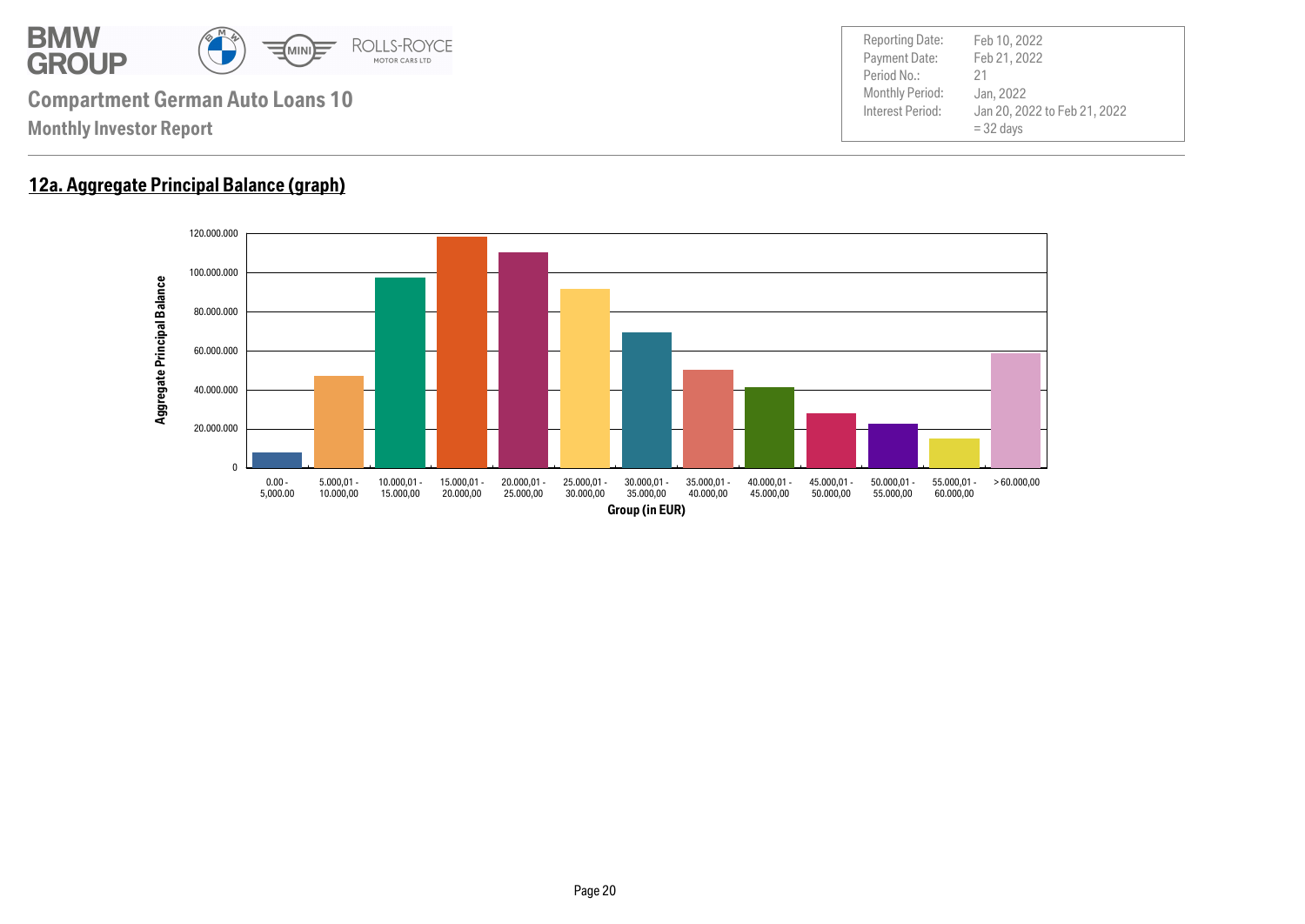

#### **12a. Aggregate Principal Balance (graph)**

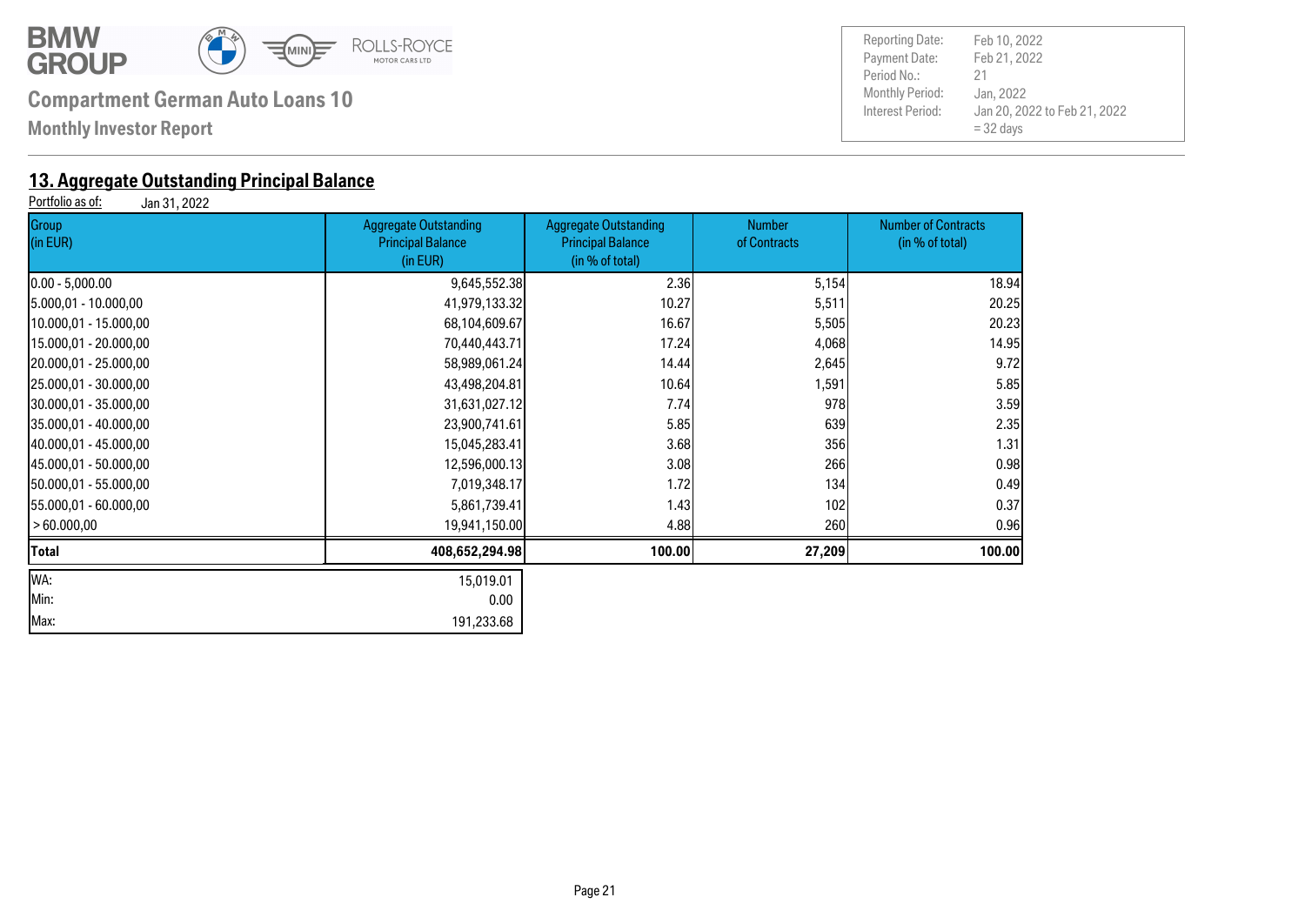

**Monthly Investor Report**

## **13. Aggregate Outstanding Principal Balance**<br>**Portfolio as of:** Jan 31, 2022

Jan 31, 2022

| Group<br>(in EUR)      | <b>Aggregate Outstanding</b><br><b>Principal Balance</b><br>(in EUR) | <b>Aggregate Outstanding</b><br><b>Principal Balance</b><br>(in % of total) | <b>Number</b><br>of Contracts | <b>Number of Contracts</b><br>(in % of total) |
|------------------------|----------------------------------------------------------------------|-----------------------------------------------------------------------------|-------------------------------|-----------------------------------------------|
| $[0.00 - 5,000.00]$    | 9,645,552.38                                                         | 2.36                                                                        | 5,154                         | 18.94                                         |
| 5.000,01 - 10.000,00   | 41,979,133.32                                                        | 10.27                                                                       | 5,511                         | 20.25                                         |
| 10.000,01 - 15.000,00  | 68,104,609.67                                                        | 16.67                                                                       | 5,505                         | 20.23                                         |
| 15.000,01 - 20.000,00  | 70,440,443.71                                                        | 17.24                                                                       | 4,068                         | 14.95                                         |
| 20.000,01 - 25.000,00  | 58,989,061.24                                                        | 14.44                                                                       | 2,645                         | 9.72                                          |
| 25.000,01 - 30.000,00  | 43,498,204.81                                                        | 10.64                                                                       | 1,591                         | 5.85                                          |
| 30.000,01 - 35.000,00  | 31,631,027.12                                                        | 7.74                                                                        | 978                           | 3.59                                          |
| 35.000,01 - 40.000,00  | 23,900,741.61                                                        | 5.85                                                                        | 639                           | 2.35                                          |
| 40.000,01 - 45.000,00  | 15,045,283.41                                                        | 3.68                                                                        | 356                           | 1.31                                          |
| 45.000,01 - 50.000,00  | 12,596,000.13                                                        | 3.08                                                                        | 266                           | 0.98                                          |
| 50.000,01 - 55.000,00  | 7,019,348.17                                                         | 1.72                                                                        | 134                           | 0.49                                          |
| 155.000,01 - 60.000,00 | 5,861,739.41                                                         | 1.43                                                                        | 102                           | 0.37                                          |
| > 60.000,00            | 19,941,150.00                                                        | 4.88                                                                        | 260                           | 0.96                                          |
| Total                  | 408,652,294.98                                                       | 100.00                                                                      | 27,209                        | 100.00                                        |
| WA:                    | 15,019.01                                                            |                                                                             |                               |                                               |
| Min:                   | 0.00                                                                 |                                                                             |                               |                                               |
| Max:                   | 191,233.68                                                           |                                                                             |                               |                                               |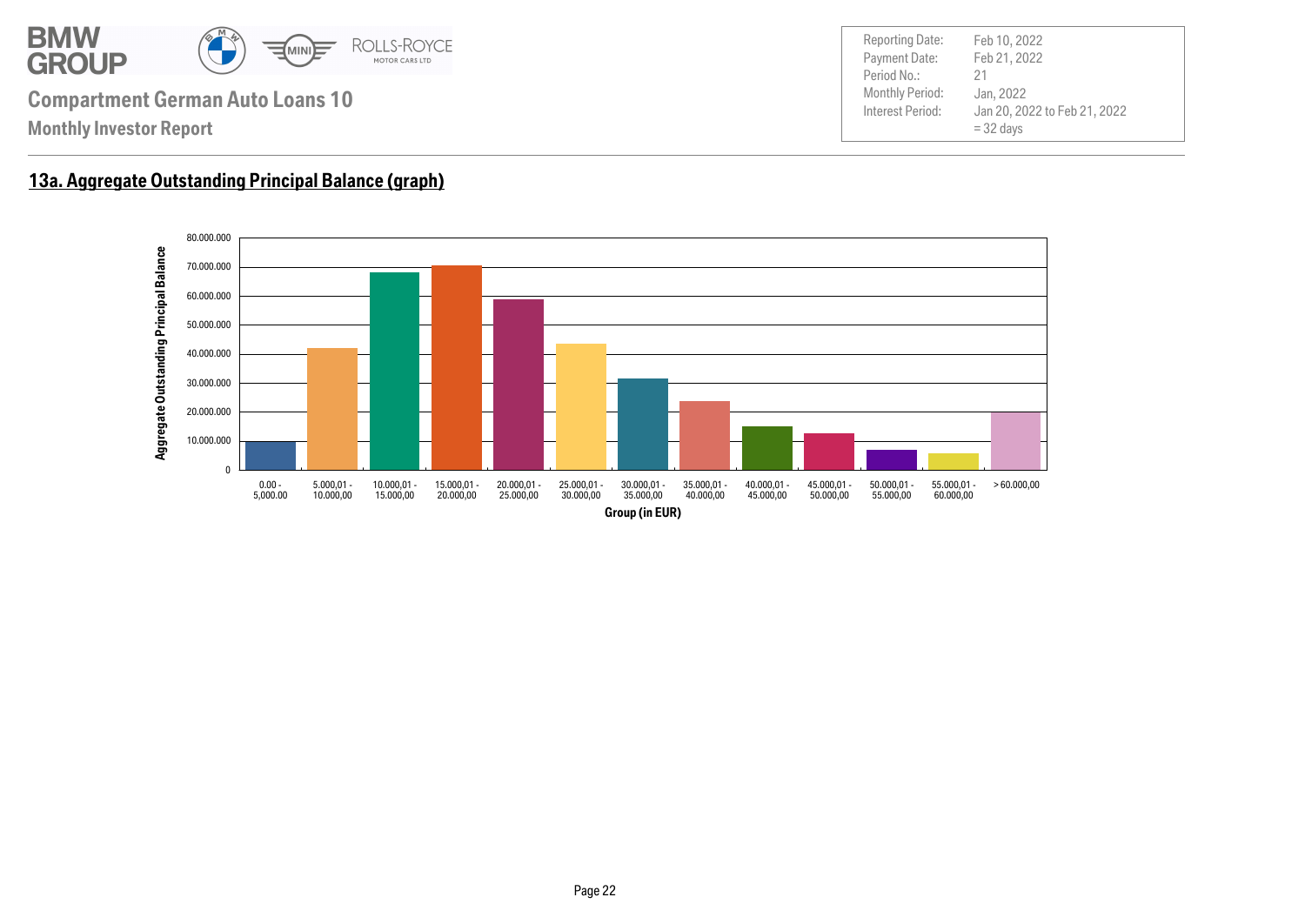

#### **13a. Aggregate Outstanding Principal Balance (graph)**

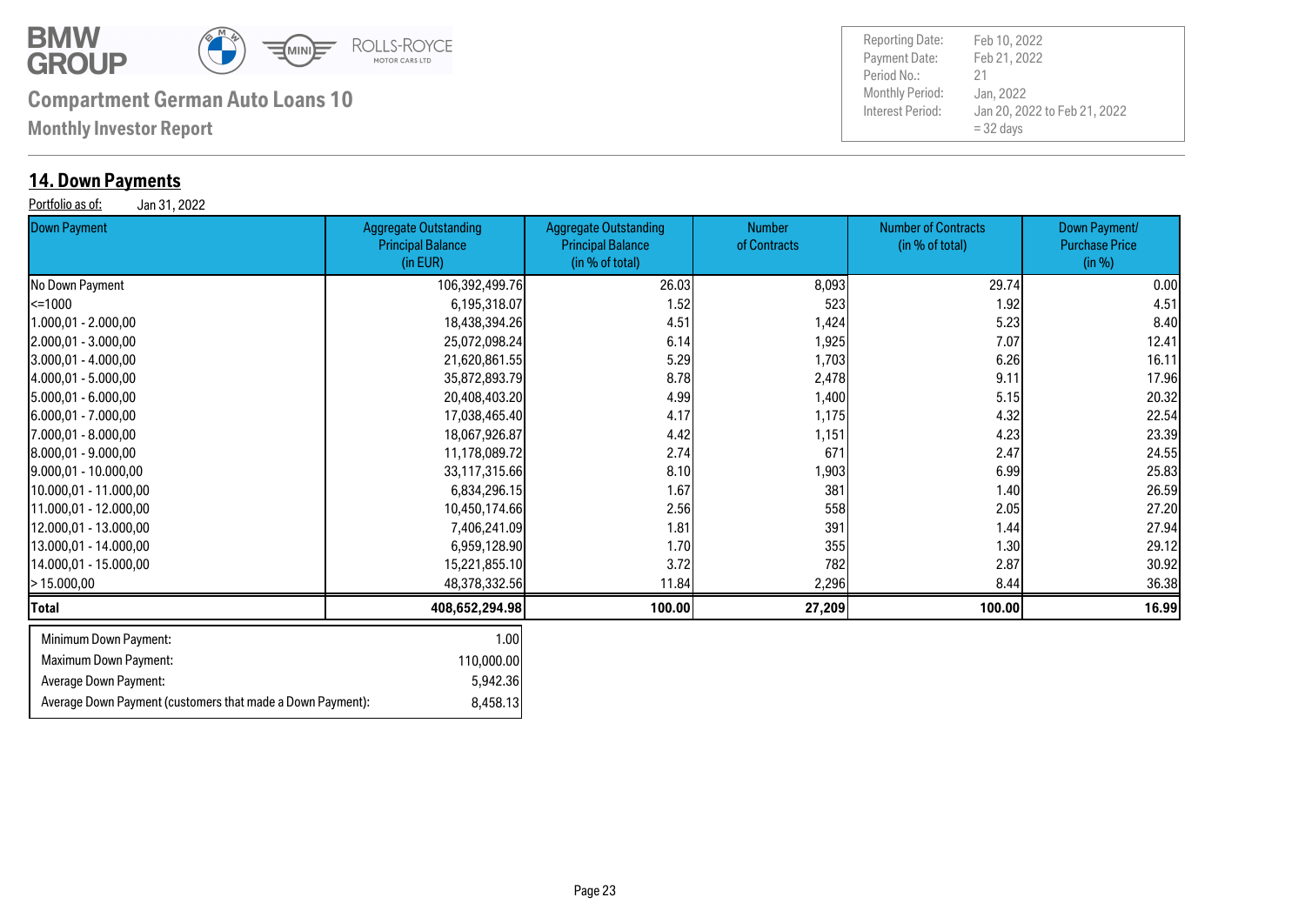

Average Down Payment (customers that made a Down Payment): 8,458.13

## **Compartment German Auto Loans 10** Monthly Period:

**Monthly Investor Report**

#### **14. Down Payments**

Portfolio as of: Jan 31, 2022

| 0 an 0 1, 2022<br>Down Payment | <b>Aggregate Outstanding</b><br><b>Principal Balance</b><br>(in EUR) | <b>Aggregate Outstanding</b><br><b>Principal Balance</b><br>(in % of total) | <b>Number</b><br>of Contracts | <b>Number of Contracts</b><br>(in % of total) | Down Payment/<br><b>Purchase Price</b><br>(in %) |
|--------------------------------|----------------------------------------------------------------------|-----------------------------------------------------------------------------|-------------------------------|-----------------------------------------------|--------------------------------------------------|
| No Down Payment                | 106,392,499.76                                                       | 26.03                                                                       | 8,093                         | 29.74                                         | 0.00                                             |
| k=1000                         | 6,195,318.07                                                         | 1.52                                                                        | 523                           | 1.92                                          | 4.51                                             |
| 1.000,01 - 2.000,00            | 18,438,394.26                                                        | 4.51                                                                        | 1,424                         | 5.23                                          | 8.40                                             |
| 2.000,01 - 3.000,00            | 25,072,098.24                                                        | 6.14                                                                        | 1,925                         | 7.07                                          | 12.41                                            |
| $[3.000, 01 - 4.000, 00]$      | 21,620,861.55                                                        | 5.29                                                                        | 1,703                         | 6.26                                          | 16.11                                            |
| 4.000,01 - 5.000,00            | 35,872,893.79                                                        | 8.78                                                                        | 2,478                         | 9.11                                          | 17.96                                            |
| 5.000,01 - 6.000,00            | 20,408,403.20                                                        | 4.99                                                                        | 1,400                         | 5.15                                          | 20.32                                            |
| 6.000,01 - 7.000,00            | 17,038,465.40                                                        | 4.17                                                                        | 1,175                         | 4.32                                          | 22.54                                            |
| 7.000,01 - 8.000,00            | 18,067,926.87                                                        | 4.42                                                                        | 1,151                         | 4.23                                          | 23.39                                            |
| 8.000,01 - 9.000,00            | 11,178,089.72                                                        | 2.74                                                                        | 671                           | 2.47                                          | 24.55                                            |
| $[9.000, 01 - 10.000, 00]$     | 33,117,315.66                                                        | 8.10                                                                        | 1,903                         | 6.99                                          | 25.83                                            |
| 10.000,01 - 11.000,00          | 6,834,296.15                                                         | 1.67                                                                        | 381                           | 1.40                                          | 26.59                                            |
| 11.000,01 - 12.000,00          | 10,450,174.66                                                        | 2.56                                                                        | 558                           | 2.05                                          | 27.20                                            |
| 12.000,01 - 13.000,00          | 7,406,241.09                                                         | 1.81                                                                        | 391                           | 1.44                                          | 27.94                                            |
| 13.000,01 - 14.000,00          | 6,959,128.90                                                         | 1.70                                                                        | 355                           | 1.30                                          | 29.12                                            |
| 14.000,01 - 15.000,00          | 15,221,855.10                                                        | 3.72                                                                        | 782                           | 2.87                                          | 30.92                                            |
| >15.000,00                     | 48,378,332.56                                                        | 11.84                                                                       | 2,296                         | 8.44                                          | 36.38                                            |
| Total                          | 408,652,294.98                                                       | 100.00                                                                      | 27,209                        | 100.00                                        | 16.99                                            |
| Minimum Down Payment:          | 1.00                                                                 |                                                                             |                               |                                               |                                                  |
| Maximum Down Payment:          | 110,000.00                                                           |                                                                             |                               |                                               |                                                  |
| Average Down Payment:          | 5,942.36                                                             |                                                                             |                               |                                               |                                                  |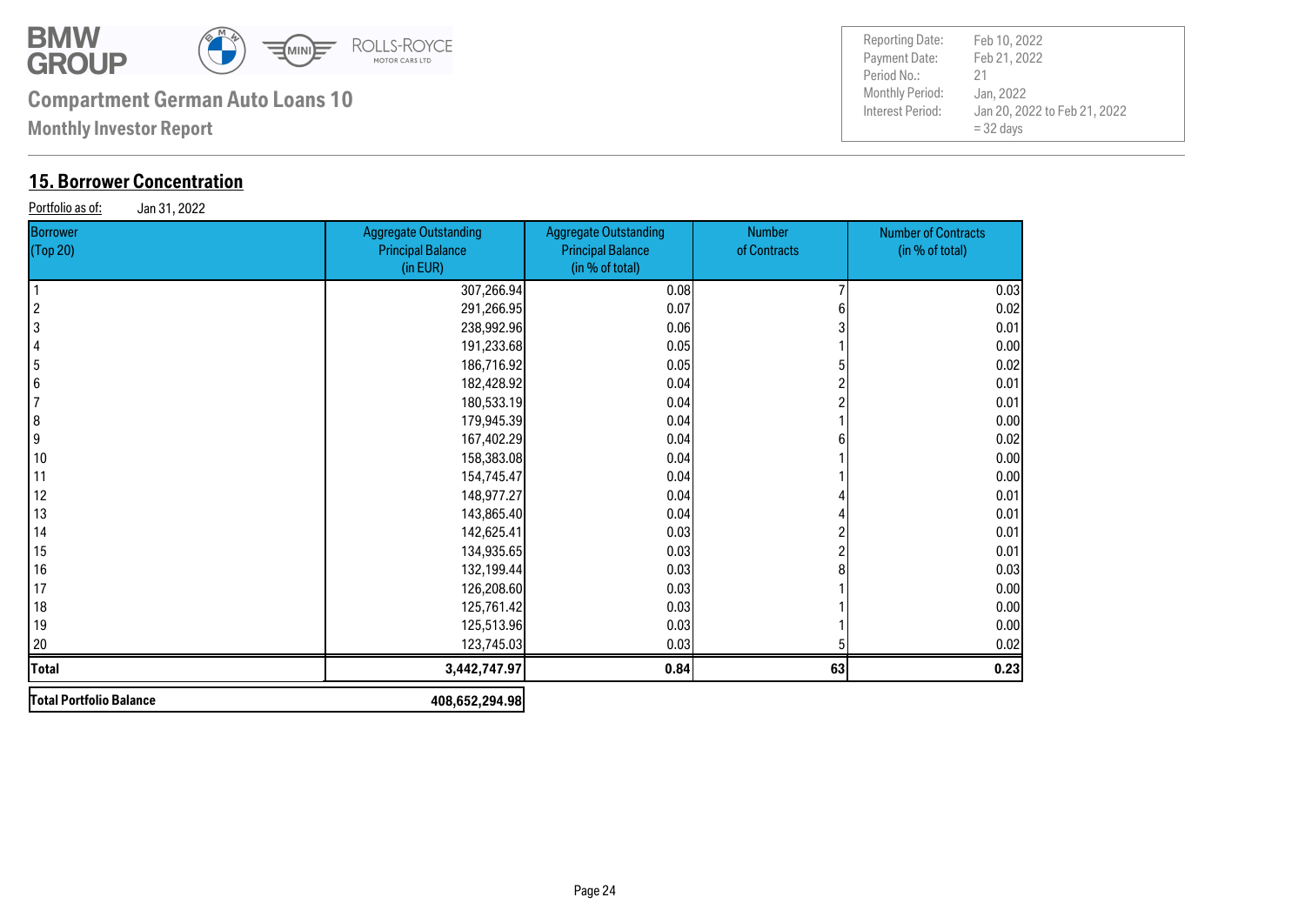

**Monthly Investor Report**

### **15. Borrower Concentration**

Portfolio as of: Jan 31, 2022

| Borrower<br>(Top 20)    | <b>Aggregate Outstanding</b><br><b>Principal Balance</b><br>(in EUR) | <b>Aggregate Outstanding</b><br><b>Principal Balance</b><br>(in % of total) | <b>Number</b><br>of Contracts | <b>Number of Contracts</b><br>(in % of total) |
|-------------------------|----------------------------------------------------------------------|-----------------------------------------------------------------------------|-------------------------------|-----------------------------------------------|
|                         | 307,266.94                                                           | 0.08                                                                        |                               | 0.03                                          |
| $\overline{\mathbf{c}}$ | 291,266.95                                                           | 0.07                                                                        |                               | 0.02                                          |
| 3                       | 238,992.96                                                           | 0.06                                                                        |                               | 0.01                                          |
| $\overline{4}$          | 191,233.68                                                           | 0.05                                                                        |                               | 0.00                                          |
| $\overline{\mathbf{5}}$ | 186,716.92                                                           | 0.05                                                                        |                               | 0.02                                          |
| $6\phantom{a}6$         | 182,428.92                                                           | 0.04                                                                        |                               | 0.01                                          |
| 7                       | 180,533.19                                                           | 0.04                                                                        |                               | 0.01                                          |
| $\bf{8}$                | 179,945.39                                                           | 0.04                                                                        |                               | 0.00                                          |
| 9                       | 167,402.29                                                           | 0.04                                                                        |                               | 0.02                                          |
| 10                      | 158,383.08                                                           | 0.04                                                                        |                               | 0.00                                          |
| 11                      | 154,745.47                                                           | 0.04                                                                        |                               | 0.00                                          |
| 12                      | 148,977.27                                                           | 0.04                                                                        |                               | 0.01                                          |
| 13                      | 143,865.40                                                           | 0.04                                                                        |                               | 0.01                                          |
| 14                      | 142,625.41                                                           | 0.03                                                                        |                               | 0.01                                          |
| 15                      | 134,935.65                                                           | 0.03                                                                        |                               | 0.01                                          |
| 16                      | 132,199.44                                                           | 0.03                                                                        |                               | 0.03                                          |
| 17                      | 126,208.60                                                           | 0.03                                                                        |                               | 0.00                                          |
| 18                      | 125,761.42                                                           | 0.03                                                                        |                               | 0.00                                          |
| 19                      | 125,513.96                                                           | 0.03                                                                        |                               | 0.00                                          |
| 20                      | 123,745.03                                                           | 0.03                                                                        |                               | 0.02                                          |
| <b>Total</b>            | 3,442,747.97                                                         | 0.84                                                                        | 63                            | 0.23                                          |
| Total Portfolio Balance | 408,652,294.98                                                       |                                                                             |                               |                                               |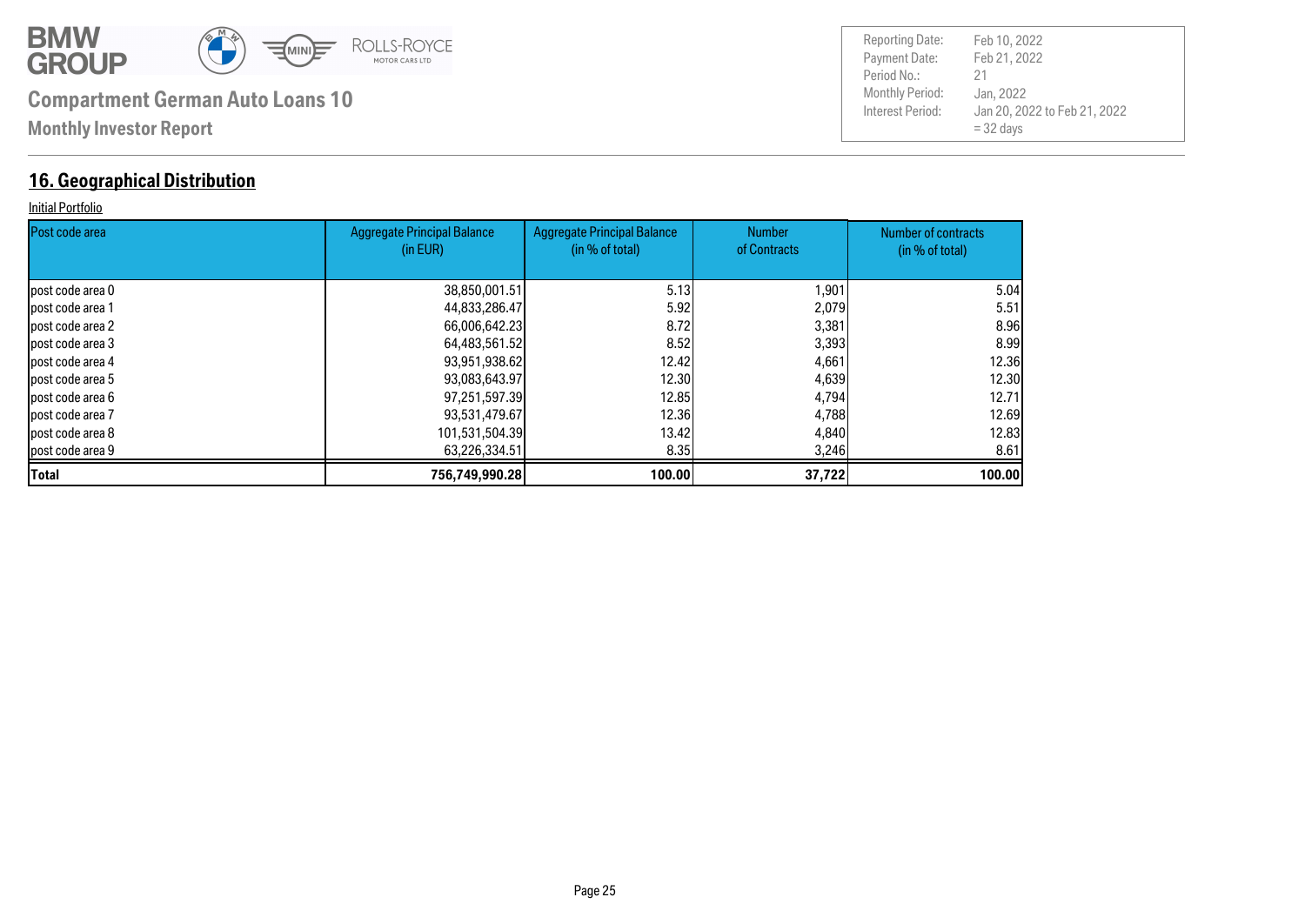

#### **16. Geographical Distribution**

#### Initial Portfolio

| <b>Post code area</b> | <b>Aggregate Principal Balance</b><br>(in EUR) | <b>Aggregate Principal Balance</b><br>(in % of total) | <b>Number</b><br>of Contracts | Number of contracts<br>(in % of total) |
|-----------------------|------------------------------------------------|-------------------------------------------------------|-------------------------------|----------------------------------------|
|                       |                                                |                                                       |                               |                                        |
| lpost code area 0     | 38,850,001.51                                  | 5.13                                                  | 1,901                         | 5.04                                   |
| lpost code area 1     | 44,833,286.47                                  | 5.92                                                  | 2,079                         | 5.51                                   |
| lpost code area 2     | 66,006,642.23                                  | 8.72                                                  | 3,381                         | 8.96                                   |
| post code area 3      | 64,483,561.52                                  | 8.52                                                  | 3,393                         | 8.99                                   |
| post code area 4      | 93,951,938.62                                  | 12.42                                                 | 4,661                         | <b>12.36</b>                           |
| post code area 5      | 93,083,643.97                                  | 12.30                                                 | 4,639                         | 12.30                                  |
| lpost code area 6     | 97,251,597.39                                  | 12.85                                                 | 4,794                         | 12.71                                  |
| post code area 7      | 93,531,479.67                                  | 12,36                                                 | 4,788                         | 12.69                                  |
| lpost code area 8     | 101,531,504.39                                 | 13.42 <b>1</b>                                        | 4,840                         | 12.83                                  |
| post code area 9      | 63,226,334.51                                  | 8.35                                                  | 3,246                         | 8.61                                   |
| <b>Total</b>          | 756,749,990.28                                 | 100.00                                                | 37,722                        | 100.00                                 |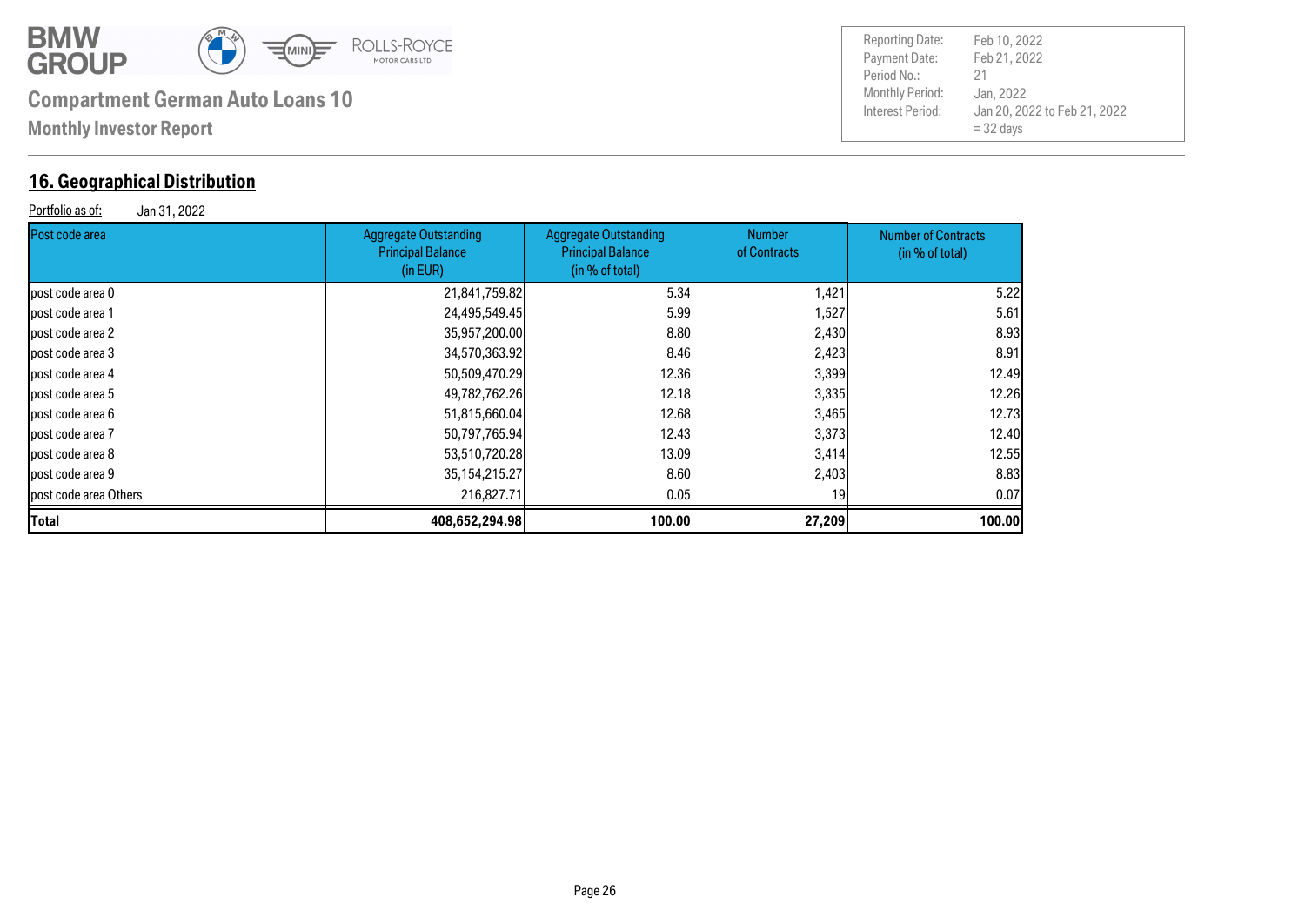

#### **16. Geographical Distribution**

| Portfolio as of:<br>Jan 31, 2022 |                                                                      |                                                                             |                               |                                               |  |  |
|----------------------------------|----------------------------------------------------------------------|-----------------------------------------------------------------------------|-------------------------------|-----------------------------------------------|--|--|
| <b>Post code area</b>            | <b>Aggregate Outstanding</b><br><b>Principal Balance</b><br>(in EUR) | <b>Aggregate Outstanding</b><br><b>Principal Balance</b><br>(in % of total) | <b>Number</b><br>of Contracts | <b>Number of Contracts</b><br>(in % of total) |  |  |
| lpost code area 0                | 21,841,759.82                                                        | 5.34                                                                        | 1,421                         | 5.22                                          |  |  |
| lpost code area 1                | 24,495,549.45                                                        | 5.99                                                                        | 1,527                         | 5.61                                          |  |  |
| lpost code area 2                | 35,957,200.00                                                        | 8.80                                                                        | 2,430                         | 8.93                                          |  |  |
| post code area 3                 | 34,570,363.92                                                        | 8.46                                                                        | 2,423                         | 8.91                                          |  |  |
| lpost code area 4                | 50,509,470.29                                                        | 12.36                                                                       | 3,399                         | 12.49                                         |  |  |
| lpost code area 5                | 49,782,762.26                                                        | 12.18                                                                       | 3,335                         | 12.26                                         |  |  |
| lpost code area 6                | 51,815,660.04                                                        | 12.68                                                                       | 3,465                         | 12.73                                         |  |  |
| lpost code area 7                | 50,797,765.94                                                        | 12.43                                                                       | 3,373                         | 12.40                                         |  |  |
| lpost code area 8                | 53,510,720.28                                                        | 13.09                                                                       | 3,414                         | 12.55                                         |  |  |
| lpost code area 9                | 35, 154, 215. 27                                                     | 8.60                                                                        | 2,403                         | 8.83                                          |  |  |
| post code area Others            | 216,827,71                                                           | 0.05                                                                        | 19                            | 0.07                                          |  |  |

**Total 408,652,294.98 100.00 27,209 100.00**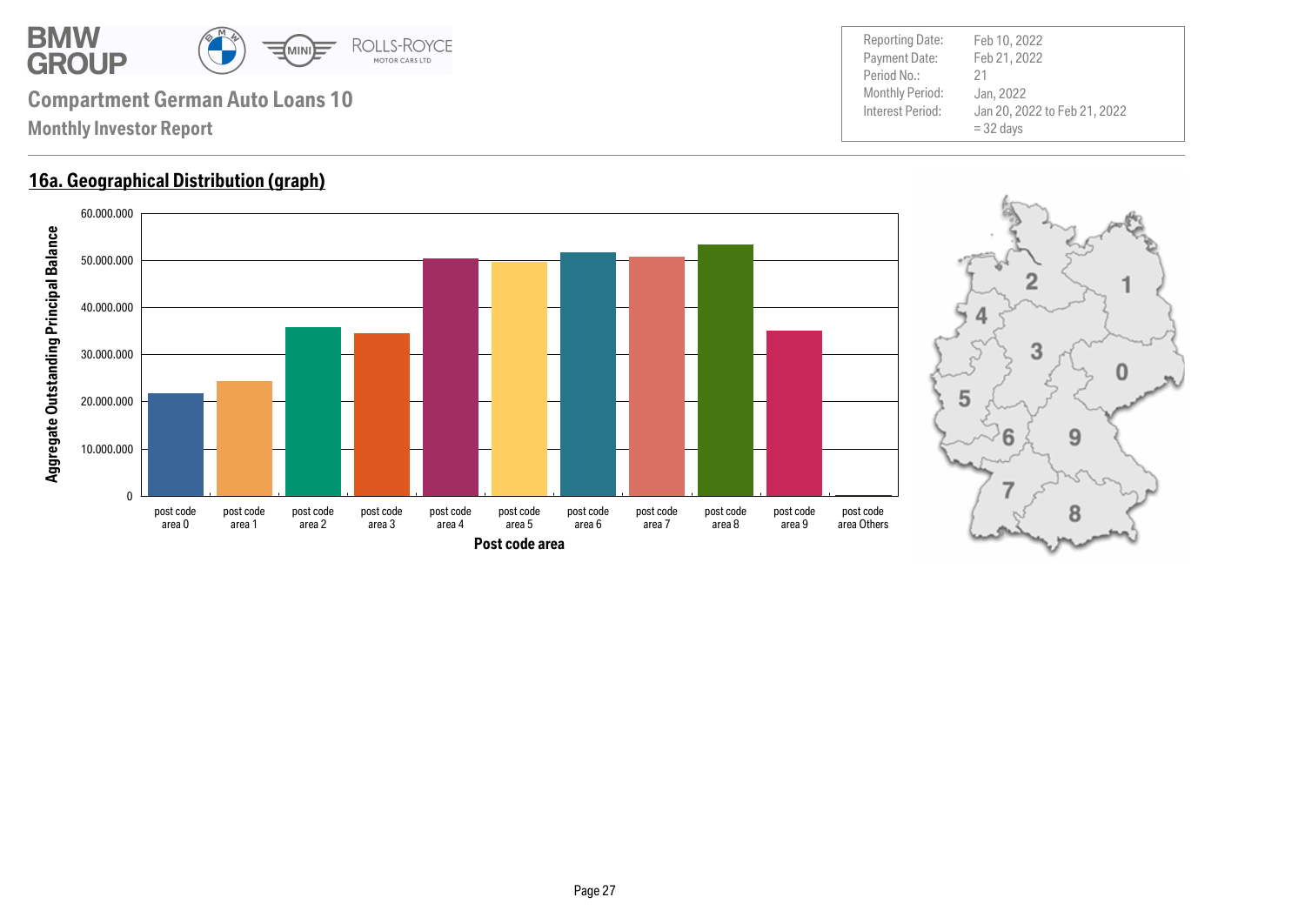

#### **16a. Geographical Distribution (graph)**



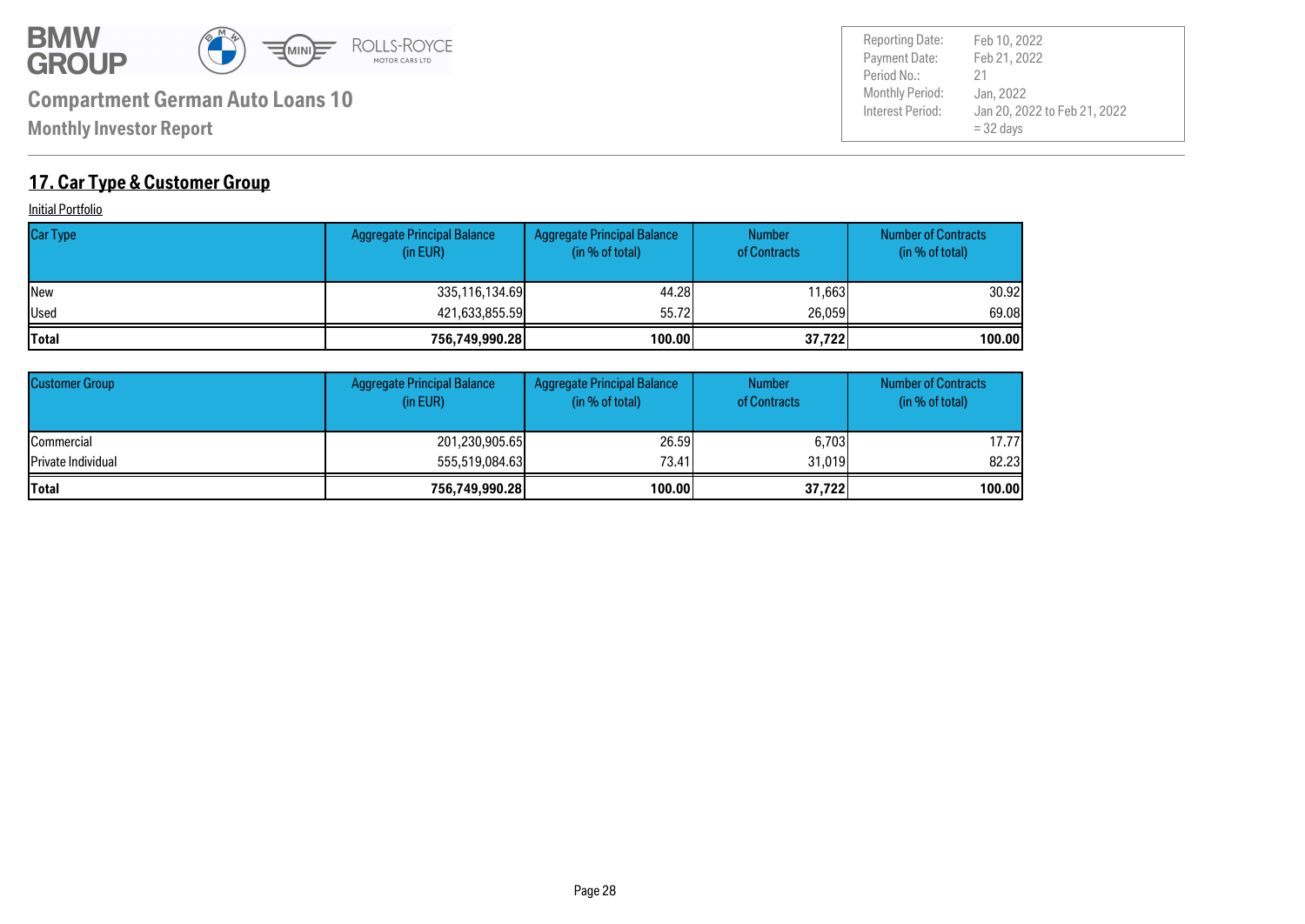

Payment Date: Period No.: Jan 20, 2022 to Feb 21, 2022 = 32 days Feb 21, 2022 Jan, 2022 21 Reporting Date: Feb 10, 2022

### **17. Car Type & Customer Group**

**Initial Portfolio** 

| <b>Car Type</b> | <b>Aggregate Principal Balance</b><br>(in EUR) | Aggregate Principal Balance<br>(in % of total) | <b>Number</b><br>of Contracts | <b>Number of Contracts</b><br>(in % of total) |
|-----------------|------------------------------------------------|------------------------------------------------|-------------------------------|-----------------------------------------------|
| <b>New</b>      | 335,116,134.69                                 | 44.28                                          | 11,663                        | 30.92l                                        |
| <b>Used</b>     | 421,633,855.59                                 | 55.72                                          | 26,059                        | 69.08                                         |
| <b>ITotal</b>   | 756,749,990.28                                 | 100.00                                         | 37,722                        | 100.00                                        |

| <b>Customer Group</b>      | <b>Aggregate Principal Balance</b><br>(in EUR) | Aggregate Principal Balance<br>(in % of total) | <b>Number</b><br>of Contracts | <b>Number of Contracts</b><br>(in % of total) |
|----------------------------|------------------------------------------------|------------------------------------------------|-------------------------------|-----------------------------------------------|
| <b>ICommercial</b>         | 201,230,905.65                                 | 26,59                                          | 6,703                         | 17.77l                                        |
| <b>IPrivate Individual</b> | 555,519,084,63                                 | 73.41                                          | 31.019                        | 82.23                                         |
| <b>Total</b>               | 756,749,990.28                                 | 100.00                                         | 37,722                        | 100.00                                        |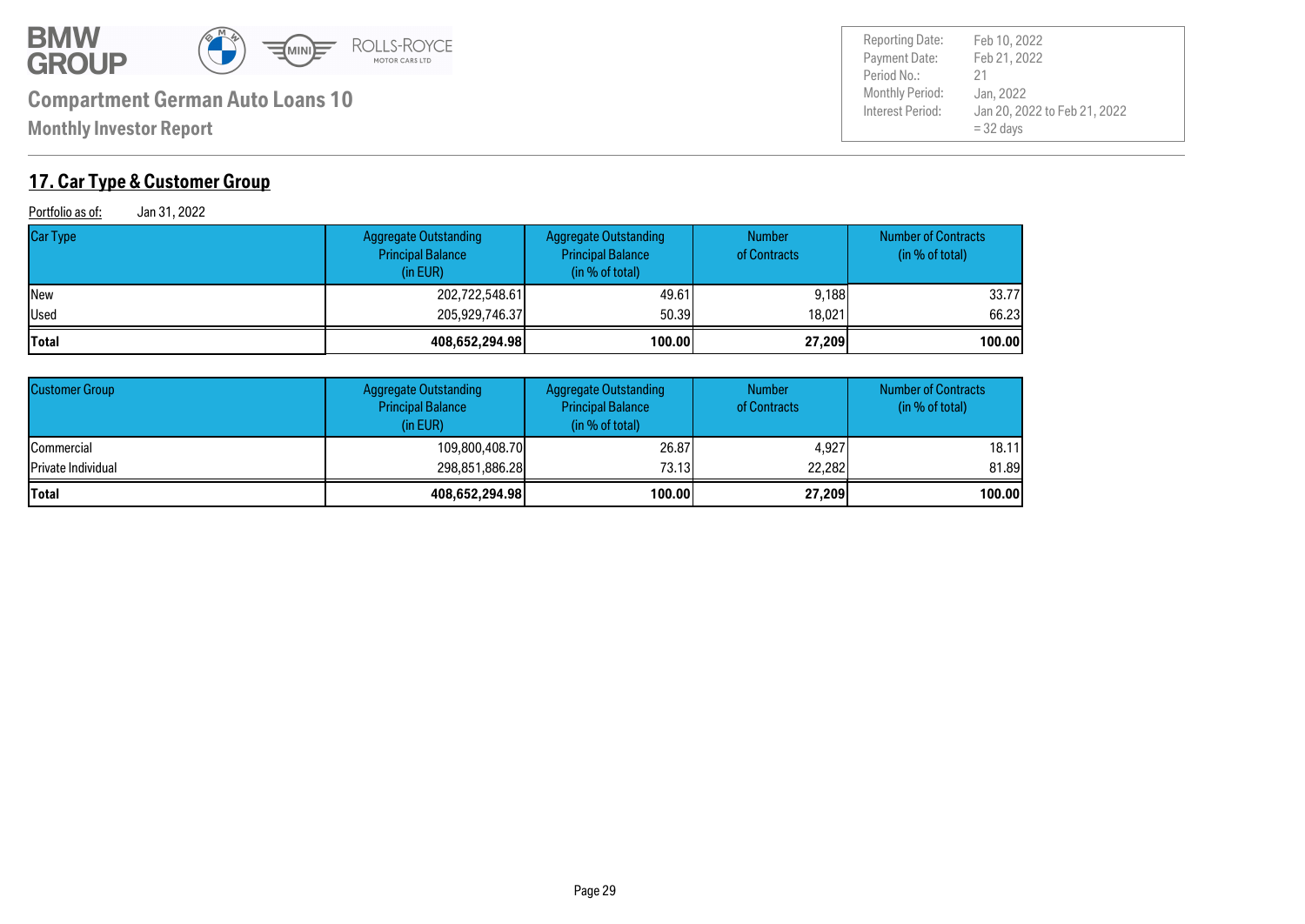

**Monthly Investor Report**

### **17. Car Type & Customer Group**

Portfolio as of: Jan 31, 2022

| Car Type | Aggregate Outstanding<br><b>Principal Balance</b><br>(in EUR) | <b>Aggregate Outstanding</b><br><b>Principal Balance</b><br>(in % of total) | <b>Number</b><br>of Contracts | <b>Number of Contracts</b><br>(in % of total) |
|----------|---------------------------------------------------------------|-----------------------------------------------------------------------------|-------------------------------|-----------------------------------------------|
| New      | 202,722,548.61                                                | 49.61                                                                       | 9,188                         | 33.77                                         |
| Used     | 205,929,746.37                                                | 50.39                                                                       | 18.021                        | 66.23                                         |
| Total    | 408,652,294.98                                                | 100.00                                                                      | 27,209                        | 100.00                                        |

| <b>Customer Group</b>      | <b>Aggregate Outstanding</b><br><b>Principal Balance</b><br>(in EUR) | <b>Aggregate Outstanding</b><br><b>Principal Balance</b><br>(in % of total) | <b>Number</b><br>of Contracts | <b>Number of Contracts</b><br>(in % of total) |
|----------------------------|----------------------------------------------------------------------|-----------------------------------------------------------------------------|-------------------------------|-----------------------------------------------|
| <b>ICommercial</b>         | 109,800,408.70                                                       | 26,87                                                                       | 4.927                         | 18.11                                         |
| <b>IPrivate Individual</b> | 298,851,886.28                                                       | 73.13                                                                       | 22,282                        | 81.89                                         |
| <b>Total</b>               | 408,652,294.98                                                       | 100.00                                                                      | 27,209                        | 100.00                                        |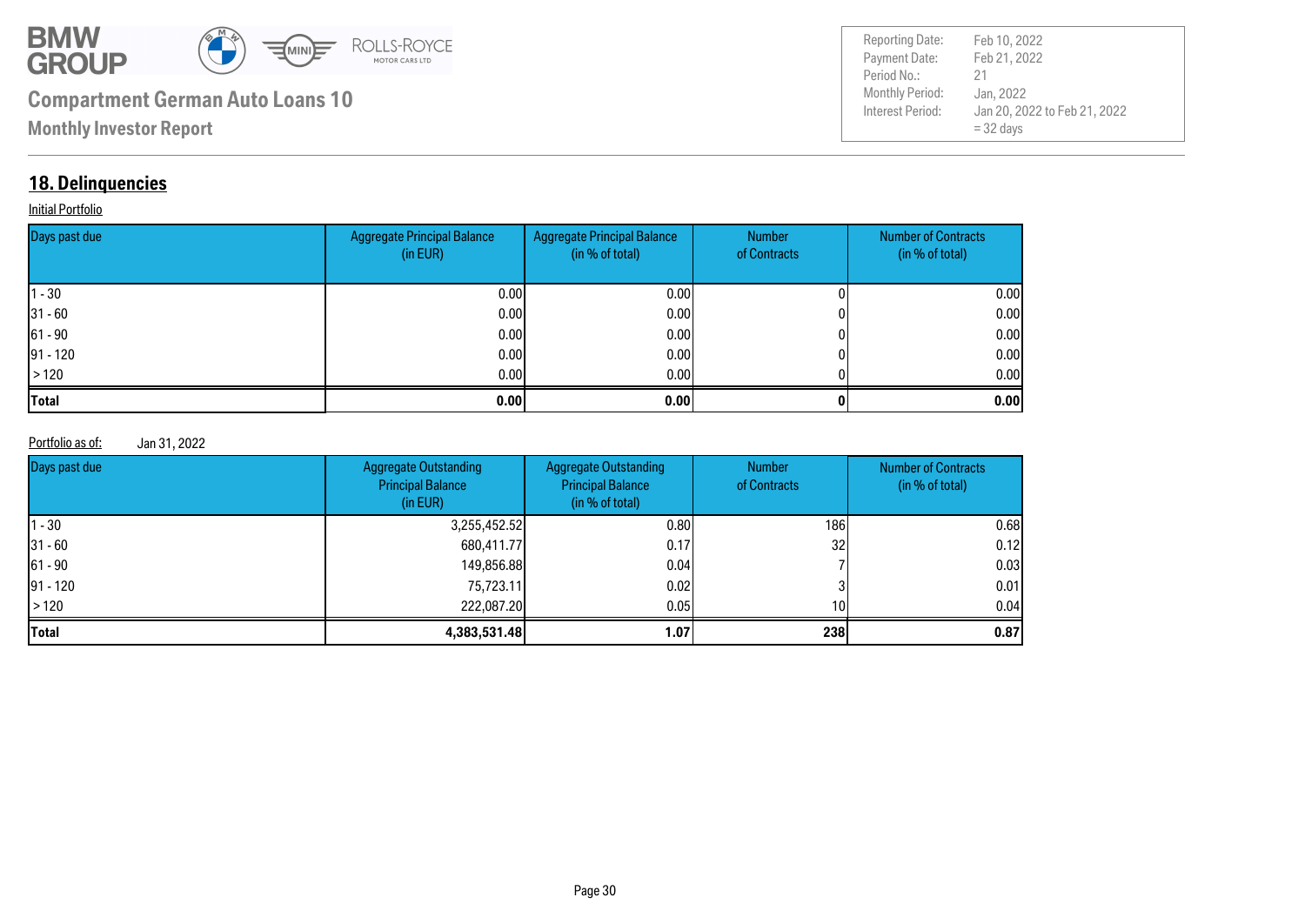

Payment Date: Period No.: Jan 20, 2022 to Feb 21, 2022 = 32 days Feb 21, 2022 Jan, 2022 21 Reporting Date: Feb 10, 2022

#### **18. Delinquencies**

#### **Initial Portfolio**

| Days past due | <b>Aggregate Principal Balance</b><br>(in EUR) | Aggregate Principal Balance<br>(in % of total) | Number<br>of Contracts | <b>Number of Contracts</b><br>(in % of total) |
|---------------|------------------------------------------------|------------------------------------------------|------------------------|-----------------------------------------------|
| $ 1 - 30 $    | 0.00                                           | 0.00 <sub>l</sub>                              |                        | 0.00                                          |
| $ 31 - 60 $   | 0.00                                           | 0.001                                          |                        | 0.00                                          |
| $ 61 - 90 $   | 0.00                                           | 0.001                                          |                        | 0.00                                          |
| $ 91 - 120 $  | 0.00                                           | 0.001                                          |                        | 0.00                                          |
| >120          | 0.00                                           | 0.001                                          |                        | 0.00                                          |
| <b>Total</b>  | 0.00                                           | 0.00                                           |                        | 0.00                                          |

Portfolio as of: Jan 31, 2022

| Days past due | <b>Aggregate Outstanding</b><br><b>Principal Balance</b><br>(in EUR) | <b>Aggregate Outstanding</b><br><b>Principal Balance</b><br>(in % of total) | <b>Number</b><br>of Contracts | <b>Number of Contracts</b><br>(in % of total) |
|---------------|----------------------------------------------------------------------|-----------------------------------------------------------------------------|-------------------------------|-----------------------------------------------|
| $-30$         | 3,255,452.52                                                         | 0.80                                                                        | 186                           | 0.68                                          |
| 31 - 60       | 680,411.77                                                           | 0.17                                                                        | 32                            | 0.12                                          |
| 61 - 90       | 149,856.88                                                           | 0.04                                                                        |                               | 0.03                                          |
| 91 - 120      | 75,723.11                                                            | 0.02                                                                        |                               | 0.01                                          |
| >120          | 222,087.20                                                           | 0.05                                                                        | 10 <sup>1</sup>               | 0.04                                          |
| Total         | 4,383,531.48                                                         | 1.07                                                                        | 238                           | 0.87                                          |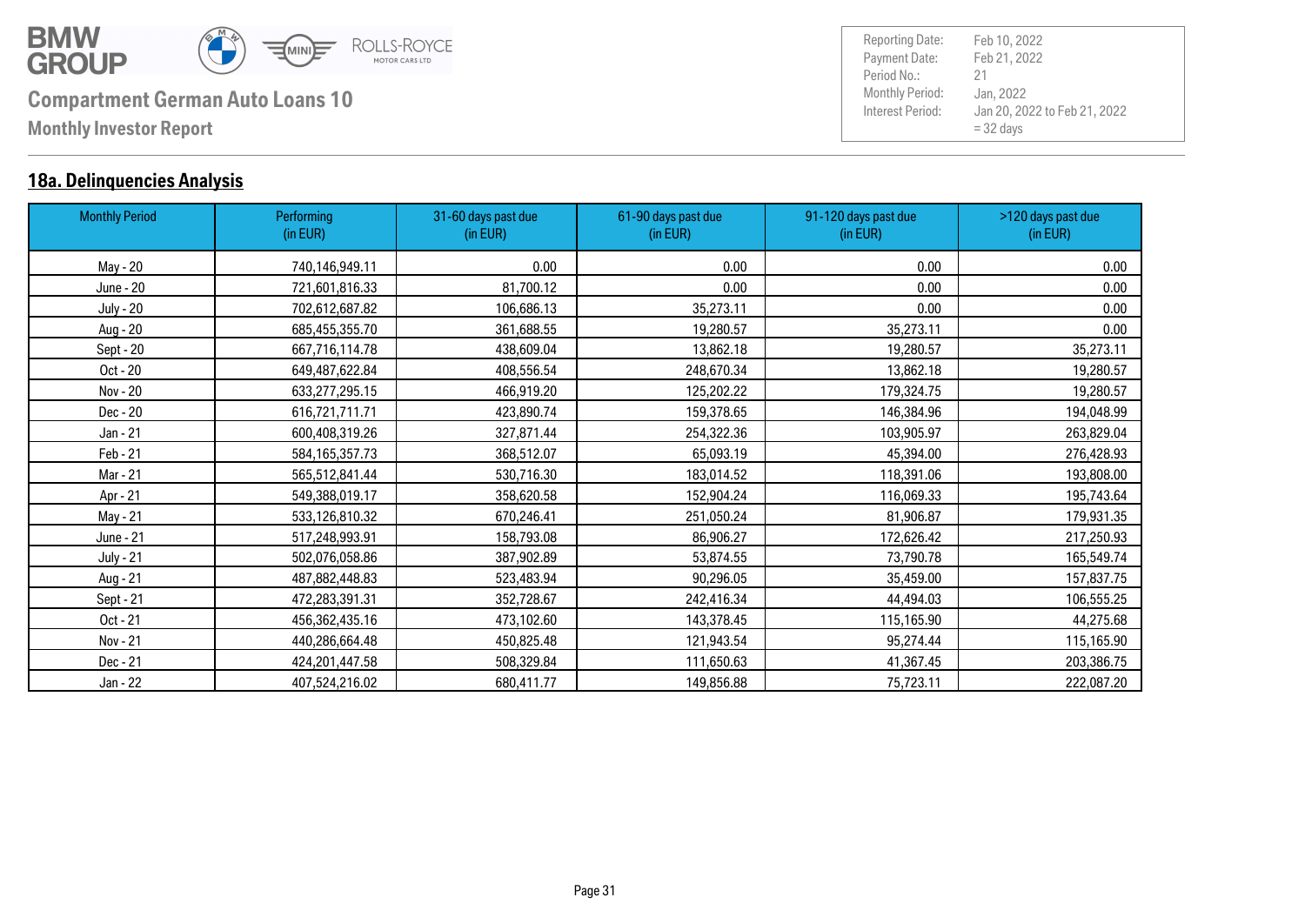

#### **18a. Delinquencies Analysis**

| <b>Monthly Period</b> | Performing<br>(in EUR) | 31-60 days past due<br>(in EUR) | 61-90 days past due<br>(in EUR) | 91-120 days past due<br>(in EUR) | >120 days past due<br>(in EUR) |
|-----------------------|------------------------|---------------------------------|---------------------------------|----------------------------------|--------------------------------|
| May - 20              | 740,146,949.11         | 0.00                            | 0.00                            | 0.00                             | 0.00                           |
| June - 20             | 721,601,816.33         | 81,700.12                       | 0.00                            | 0.00                             | 0.00                           |
| <b>July - 20</b>      | 702,612,687.82         | 106,686.13                      | 35,273.11                       | 0.00                             | 0.00                           |
| Aug - 20              | 685,455,355.70         | 361,688.55                      | 19,280.57                       | 35,273.11                        | 0.00                           |
| Sept - 20             | 667,716,114.78         | 438,609.04                      | 13,862.18                       | 19,280.57                        | 35,273.11                      |
| Oct - 20              | 649,487,622.84         | 408,556.54                      | 248,670.34                      | 13,862.18                        | 19,280.57                      |
| Nov - 20              | 633,277,295.15         | 466,919.20                      | 125,202.22                      | 179,324.75                       | 19,280.57                      |
| Dec - 20              | 616,721,711.71         | 423,890.74                      | 159,378.65                      | 146,384.96                       | 194,048.99                     |
| Jan - 21              | 600,408,319.26         | 327,871.44                      | 254,322.36                      | 103,905.97                       | 263,829.04                     |
| Feb - 21              | 584,165,357.73         | 368,512.07                      | 65,093.19                       | 45,394.00                        | 276,428.93                     |
| Mar - 21              | 565,512,841.44         | 530,716.30                      | 183,014.52                      | 118,391.06                       | 193,808.00                     |
| Apr - 21              | 549,388,019.17         | 358,620.58                      | 152,904.24                      | 116,069.33                       | 195,743.64                     |
| May - 21              | 533,126,810.32         | 670,246.41                      | 251,050.24                      | 81,906.87                        | 179,931.35                     |
| June - 21             | 517,248,993.91         | 158,793.08                      | 86,906.27                       | 172,626.42                       | 217,250.93                     |
| <b>July - 21</b>      | 502,076,058.86         | 387,902.89                      | 53,874.55                       | 73,790.78                        | 165,549.74                     |
| Aug - 21              | 487,882,448.83         | 523,483.94                      | 90,296.05                       | 35,459.00                        | 157,837.75                     |
| Sept - 21             | 472,283,391.31         | 352,728.67                      | 242,416.34                      | 44,494.03                        | 106,555.25                     |
| Oct - 21              | 456,362,435.16         | 473,102.60                      | 143,378.45                      | 115,165.90                       | 44,275.68                      |
| Nov - 21              | 440,286,664.48         | 450,825.48                      | 121,943.54                      | 95,274.44                        | 115,165.90                     |
| Dec - 21              | 424,201,447.58         | 508,329.84                      | 111,650.63                      | 41,367.45                        | 203,386.75                     |
| Jan - 22              | 407,524,216.02         | 680,411.77                      | 149,856.88                      | 75,723.11                        | 222,087.20                     |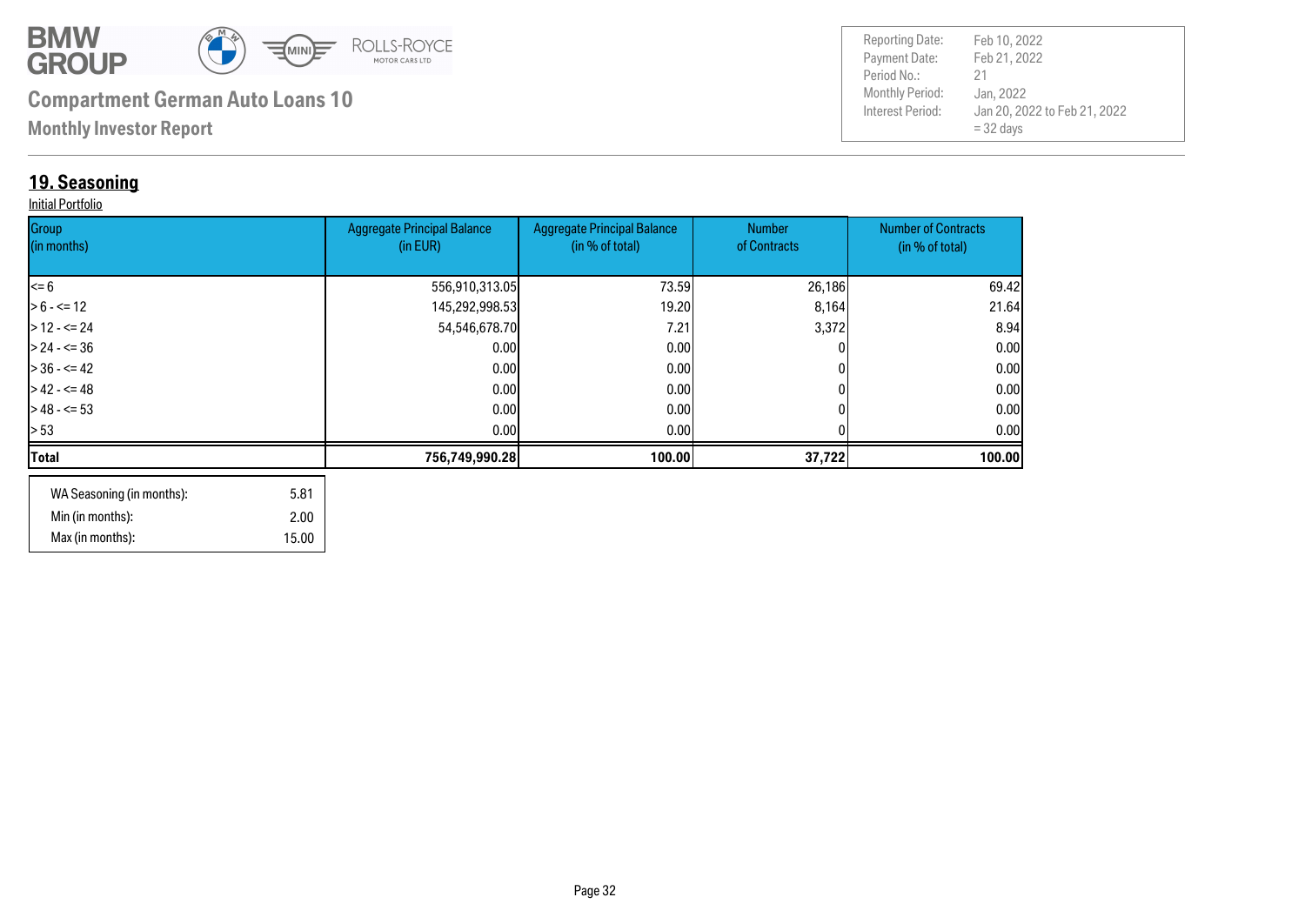

**Monthly Investor Report**

### **19. Seasoning**

#### Initial Portfolio

| Group<br>(in months) | <b>Aggregate Principal Balance</b><br>(in EUR) | <b>Aggregate Principal Balance</b><br>(in % of total) | Number<br>of Contracts | <b>Number of Contracts</b><br>(in % of total) |
|----------------------|------------------------------------------------|-------------------------------------------------------|------------------------|-----------------------------------------------|
|                      |                                                |                                                       |                        |                                               |
| $\leq 6$             | 556,910,313.05                                 | 73.59                                                 | 26,186                 | 69.42                                         |
| $> 6 - \le 12$       | 145,292,998.53                                 | 19.20                                                 | 8,164                  | 21.64                                         |
| $>12 - 5 = 24$       | 54,546,678.70                                  | 7.21                                                  | 3,372                  | 8.94                                          |
| $> 24 - 5 = 36$      | 0.00                                           | 0.00                                                  |                        | 0.00                                          |
| $> 36 - 5 = 42$      | 0.00                                           | 0.00                                                  |                        | 0.00                                          |
| $>42 - 5 = 48$       | 0.00                                           | 0.00                                                  |                        | 0.00                                          |
| $>$ 48 - <= 53       | 0.001                                          | 0.001                                                 |                        | 0.00                                          |
| > 53                 | 0.00                                           | 0.00 <sub>l</sub>                                     |                        | 0.001                                         |
| Total                | 756,749,990.28                                 | 100.00                                                | 37,722                 | 100.00                                        |
|                      |                                                |                                                       |                        |                                               |

| WA Seasoning (in months): | 5.81  |
|---------------------------|-------|
| Min (in months):          | 2.00  |
| Max (in months):          | 15.00 |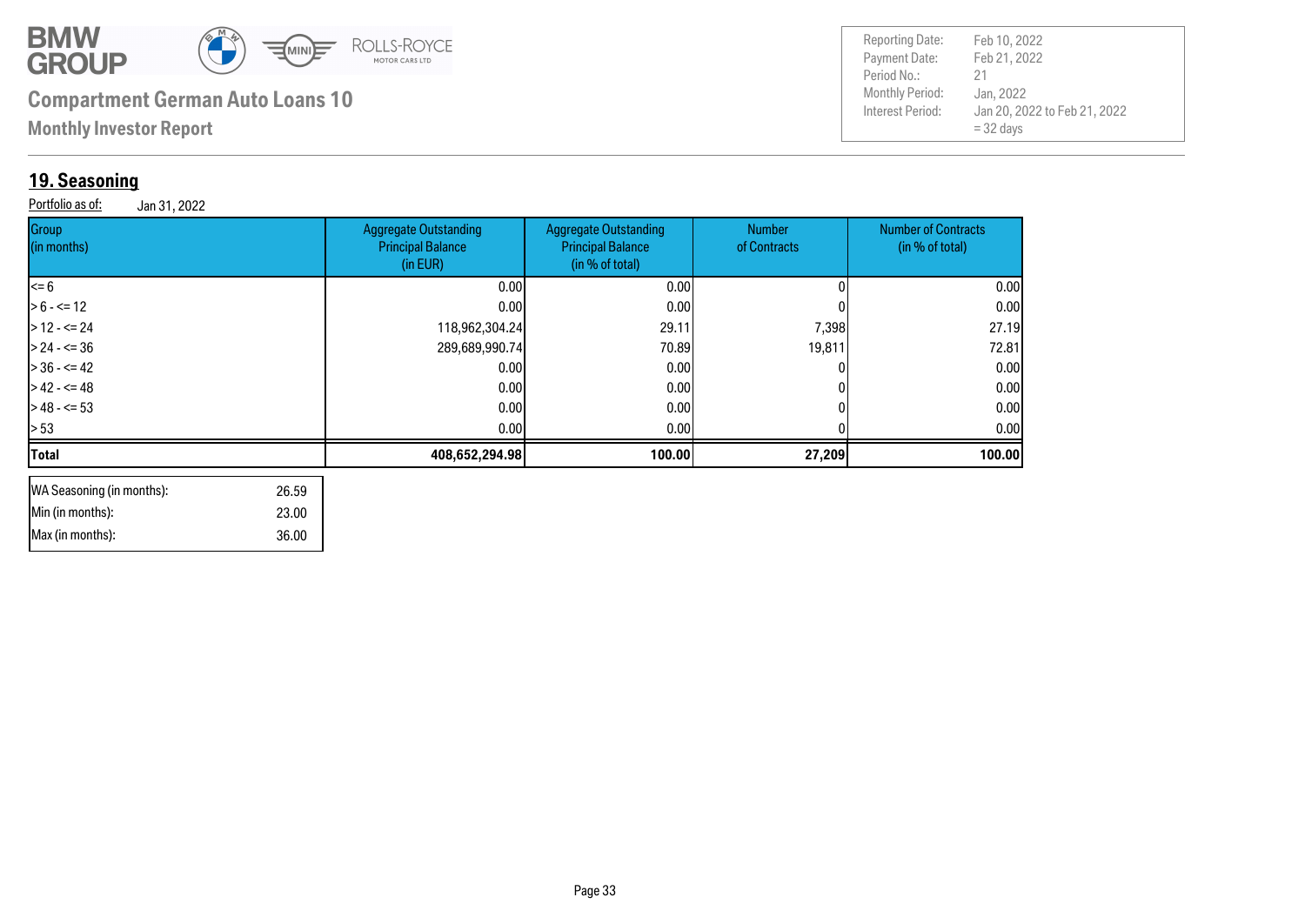

 36.00 23.00

## **Compartment German Auto Loans 10**

**Monthly Investor Report**

### **19. Seasoning**

 Min (in months): Max (in months):

Portfolio as of: Jan 31, 2022

| <b>Reporting Date:</b><br>Payment Date:<br>Period No.:<br><b>Monthly Period:</b><br>Interest Period: | Feb 10, 2022<br>Feb 21, 2022<br>21<br>Jan, 2022<br>Jan 20, 2022 to Feb 21, 2022<br>$=$ 32 days |
|------------------------------------------------------------------------------------------------------|------------------------------------------------------------------------------------------------|
|------------------------------------------------------------------------------------------------------|------------------------------------------------------------------------------------------------|

| Group<br>(in months)               | <b>Aggregate Outstanding</b><br><b>Principal Balance</b><br>(in EUR) | <b>Aggregate Outstanding</b><br><b>Principal Balance</b><br>(in % of total) | <b>Number</b><br>of Contracts | <b>Number of Contracts</b><br>(in % of total) |
|------------------------------------|----------------------------------------------------------------------|-----------------------------------------------------------------------------|-------------------------------|-----------------------------------------------|
| $= 6$                              | 0.00                                                                 | 0.00                                                                        |                               | 0.00                                          |
| $> 6 - \le 12$                     | 0.001                                                                | 0.00                                                                        |                               | 0.00                                          |
| $>12 - 524$                        | 118,962,304.24                                                       | 29.11                                                                       | 7,398                         | 27.19                                         |
| $> 24 - 50$                        | 289,689,990.74                                                       | 70.89                                                                       | 19,811                        | 72.81                                         |
| $> 36 - 5 = 42$                    | 0.00                                                                 | 0.00                                                                        |                               | 0.00                                          |
| $>42 - 5 = 48$                     | 0.00                                                                 | 0.00                                                                        |                               | 0.00                                          |
| $>48 - 53$                         | 0.00                                                                 | 0.00                                                                        |                               | 0.00                                          |
| > 53                               | 0.00                                                                 | 0.00                                                                        |                               | 0.00                                          |
| <b>Total</b>                       | 408,652,294.98                                                       | 100.00                                                                      | 27,209                        | 100.00                                        |
| WA Seasoning (in months):<br>26.59 |                                                                      |                                                                             |                               |                                               |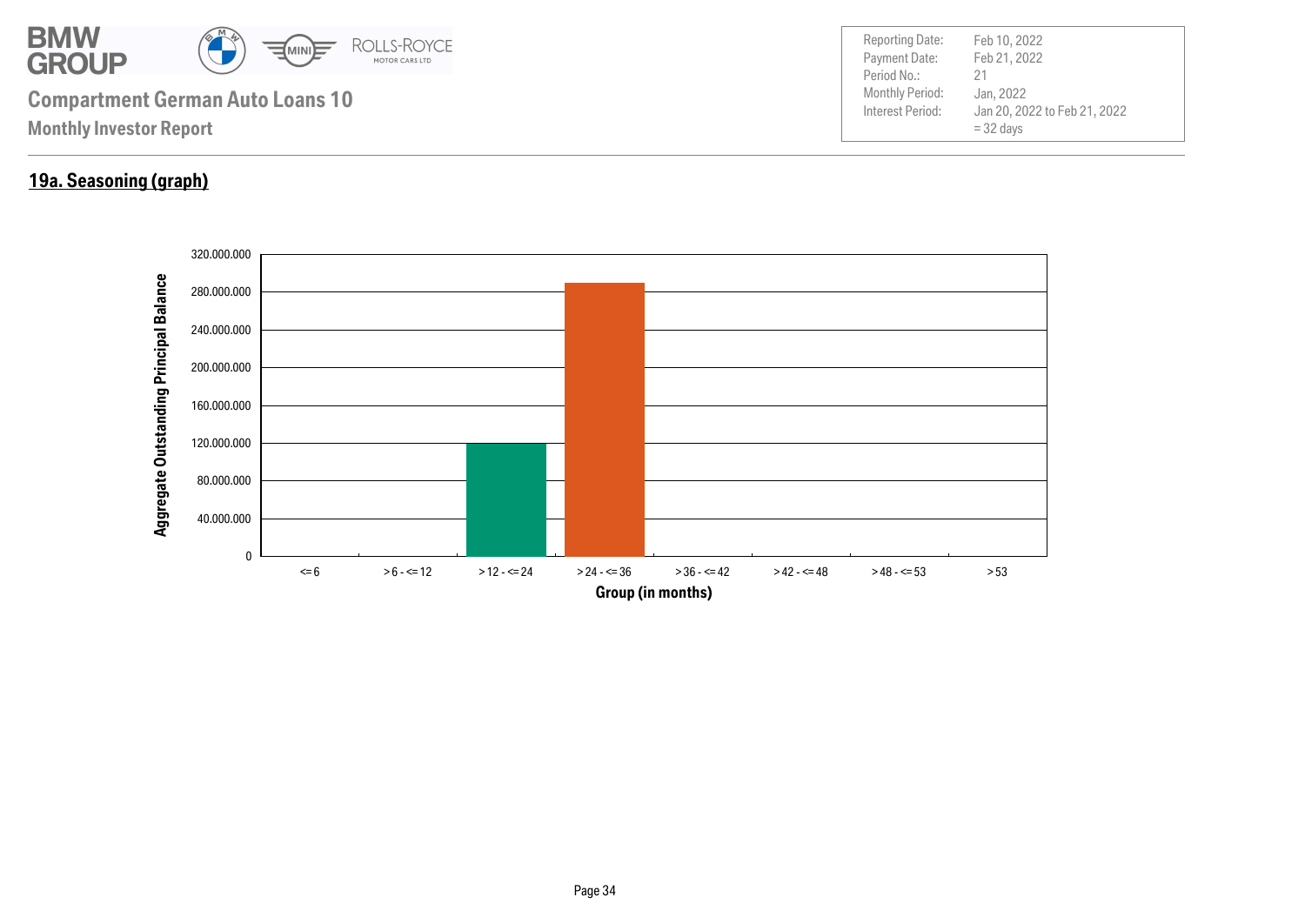

#### **19a. Seasoning (graph)**

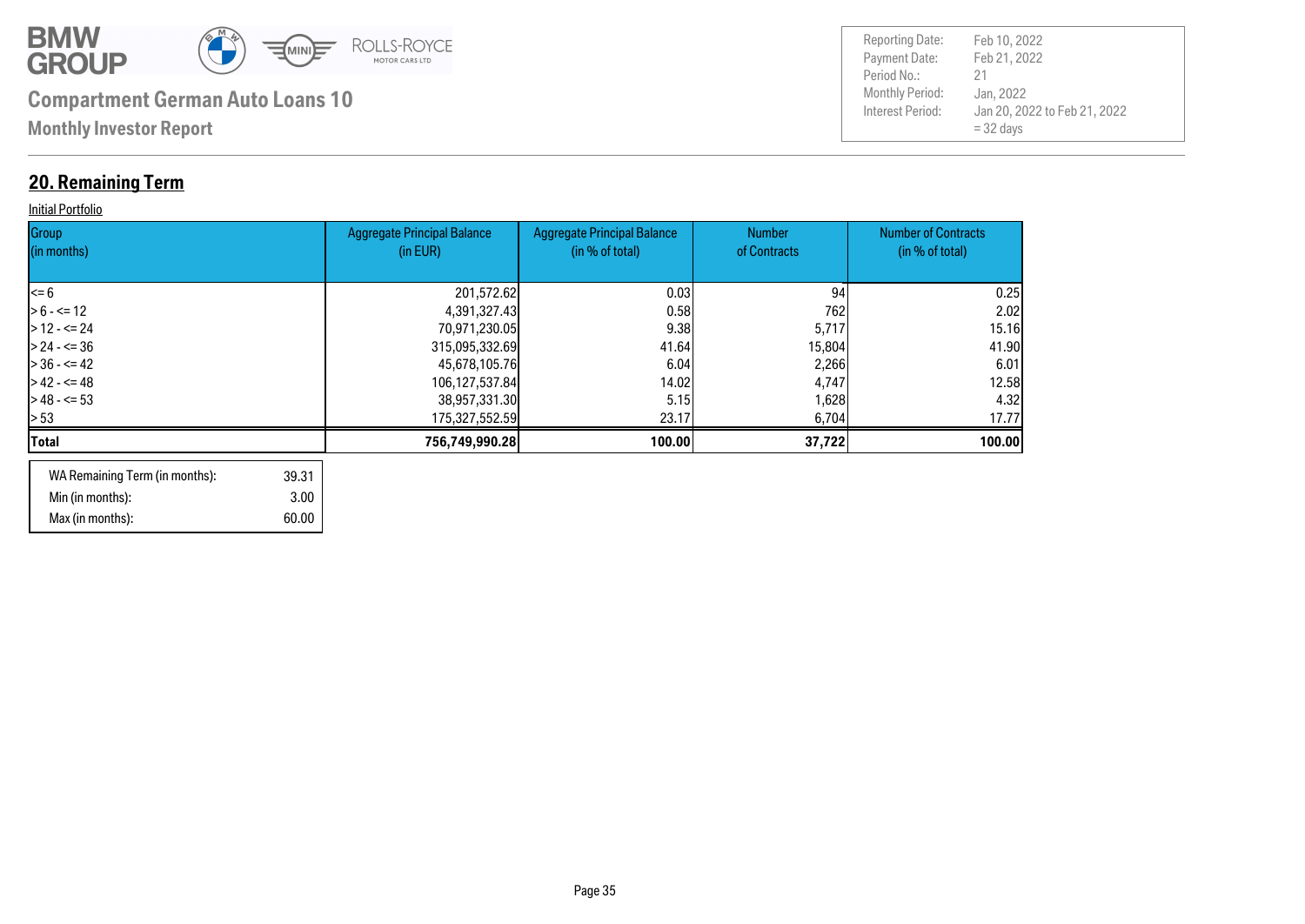

## **20. Remaining Term**

#### **Initial Portfolio**

| Group<br>(in months) | <b>Aggregate Principal Balance</b><br>(in EUR) | <b>Aggregate Principal Balance</b><br>(in % of total) | <b>Number</b><br>of Contracts | <b>Number of Contracts</b><br>(in % of total) |
|----------------------|------------------------------------------------|-------------------------------------------------------|-------------------------------|-----------------------------------------------|
| l<= 6                | 201,572.62                                     | 0.03                                                  | 94                            | 0.25                                          |
| $> 6 - \le 12$       | 4,391,327.43                                   | 0.58                                                  | 762                           | 2.02                                          |
| $>12 - 524$          | 70,971,230.05                                  | 9.38                                                  | 5,717                         | 15.16                                         |
| $> 24 - 5 = 36$      | 315,095,332.69                                 | 41.64                                                 | 15,804                        | 41.90                                         |
| $> 36 - 5 = 42$      | 45,678,105.76                                  | 6.04                                                  | 2,266                         | 6.01                                          |
| $> 42 - 5 = 48$      | 106,127,537.84                                 | 14.02                                                 | 4,747                         | 12.58                                         |
| $> 48 - 53$          | 38,957,331.30                                  | 5.15                                                  | 1,628                         | 4.32                                          |
| > 53                 | 175,327,552.59                                 | 23.17                                                 | 6,704                         | 17.77                                         |
| Total                | 756,749,990.28                                 | 100.00                                                | 37,722                        | 100.00                                        |
|                      |                                                |                                                       |                               |                                               |

| WA Remaining Term (in months): | 39.31 |
|--------------------------------|-------|
| Min (in months):               | 3.00  |
| Max (in months):               | 60.00 |

| <b>Reporting Date:</b><br>Payment Date:<br>Period No.: | Feb 10, 2022<br>Feb 21, 2022<br>21                       |
|--------------------------------------------------------|----------------------------------------------------------|
| <b>Monthly Period:</b><br>Interest Period:             | Jan, 2022<br>Jan 20, 2022 to Feb 21, 2022<br>$=$ 32 days |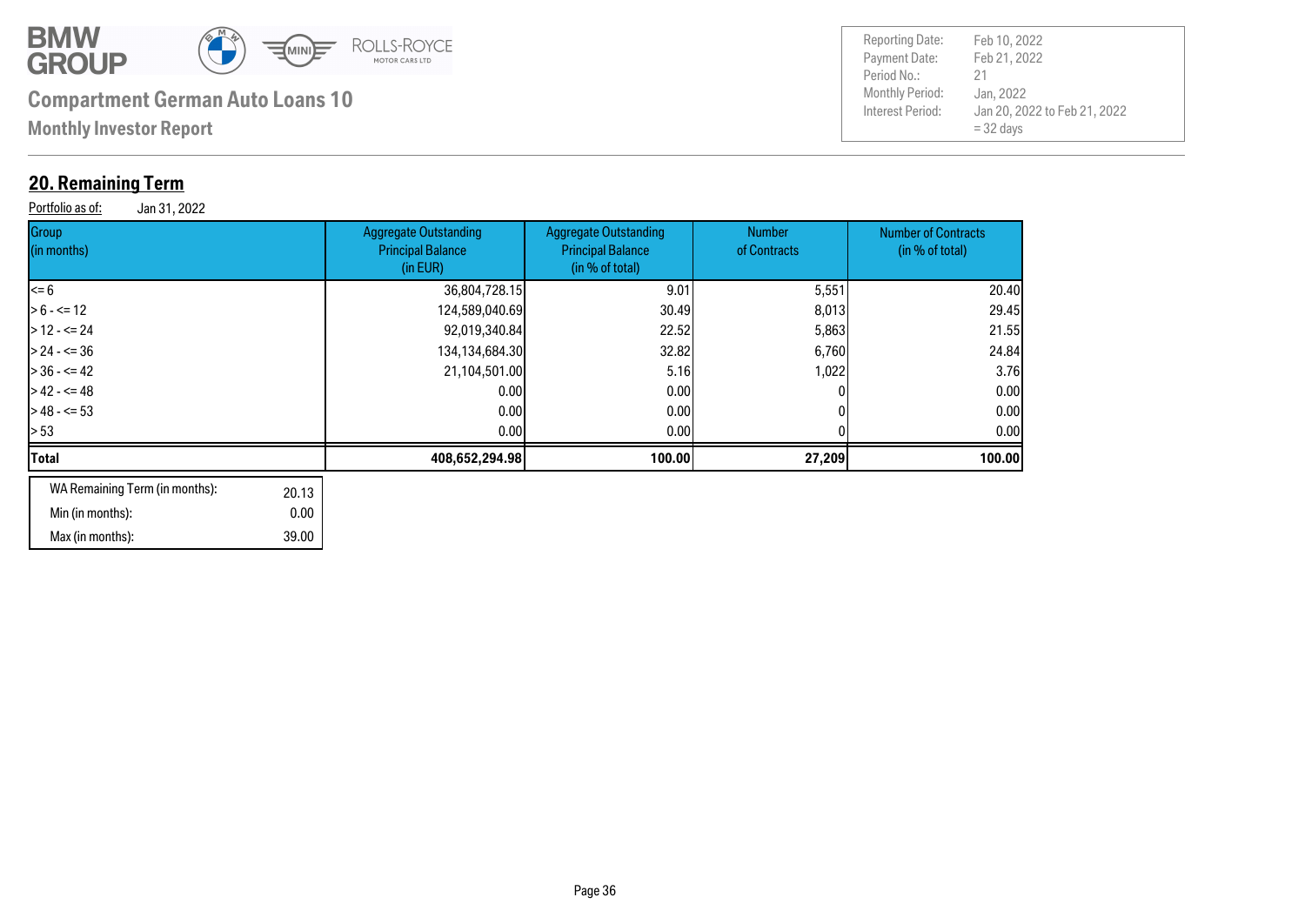

**Monthly Investor Report**

### **20. Remaining Term**

Portfolio as of: Jan 31, 2022

| Group<br>(in months)                            | <b>Aggregate Outstanding</b><br><b>Principal Balance</b><br>(in EUR) | <b>Aggregate Outstanding</b><br><b>Principal Balance</b><br>(in % of total) | Number<br>of Contracts | <b>Number of Contracts</b><br>(in % of total) |
|-------------------------------------------------|----------------------------------------------------------------------|-----------------------------------------------------------------------------|------------------------|-----------------------------------------------|
| <= 6                                            | 36,804,728.15                                                        | 9.01                                                                        | 5,551                  | 20.40                                         |
| $> 6 - \le 12$                                  | 124,589,040.69                                                       | 30.49                                                                       | 8,013                  | 29.45                                         |
| $>$ 12 - <= 24                                  | 92,019,340.84                                                        | <b>22.521</b>                                                               | 5,863                  | 21.55                                         |
| $>$ 24 - <= 36                                  | 134, 134, 684. 30                                                    | 32.82                                                                       | 6,760                  | 24.84                                         |
| > 36 - <= 42                                    | 21,104,501.00                                                        | 5.16                                                                        | 1,022                  | 3.76                                          |
| > 42 - <= 48                                    | 0.00                                                                 | 0.00 <sub>l</sub>                                                           |                        | 0.00                                          |
| $>$ 48 - <= 53                                  | 0.00                                                                 | 0.001                                                                       |                        | 0.00                                          |
| > 53                                            | 0.00                                                                 | 0.00                                                                        |                        | 0.00                                          |
| Total                                           | 408,652,294.98                                                       | 100.00                                                                      | 27,209                 | 100.00                                        |
| WA Remaining Term (in months).<br>$\sim$ $\sim$ |                                                                      |                                                                             |                        |                                               |

| WA Remaining Term (in months): | 20.13 |
|--------------------------------|-------|
| Min (in months):               | 0.00  |
| Max (in months):               | 39.00 |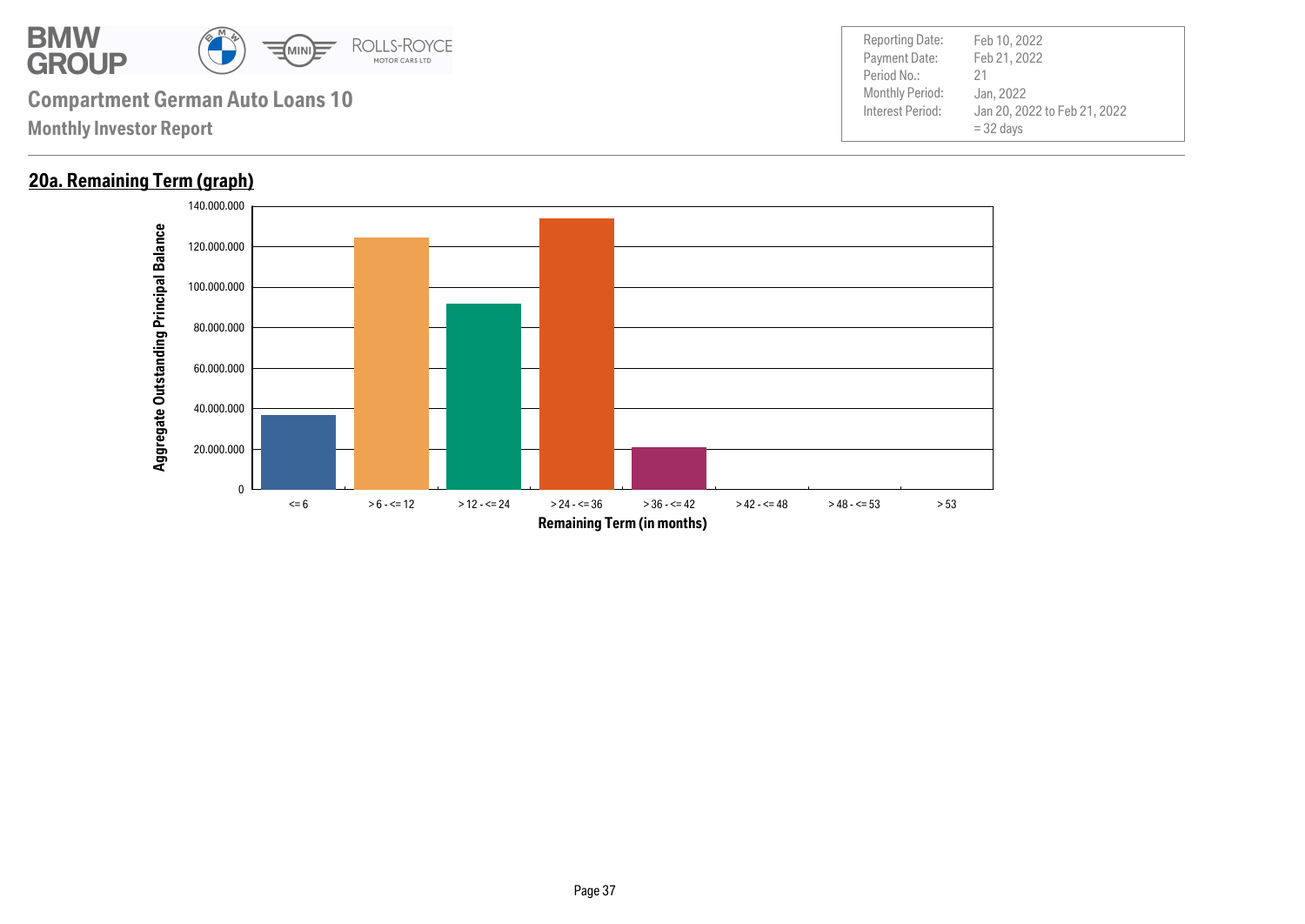

### **20a. Remaining Term (graph)**

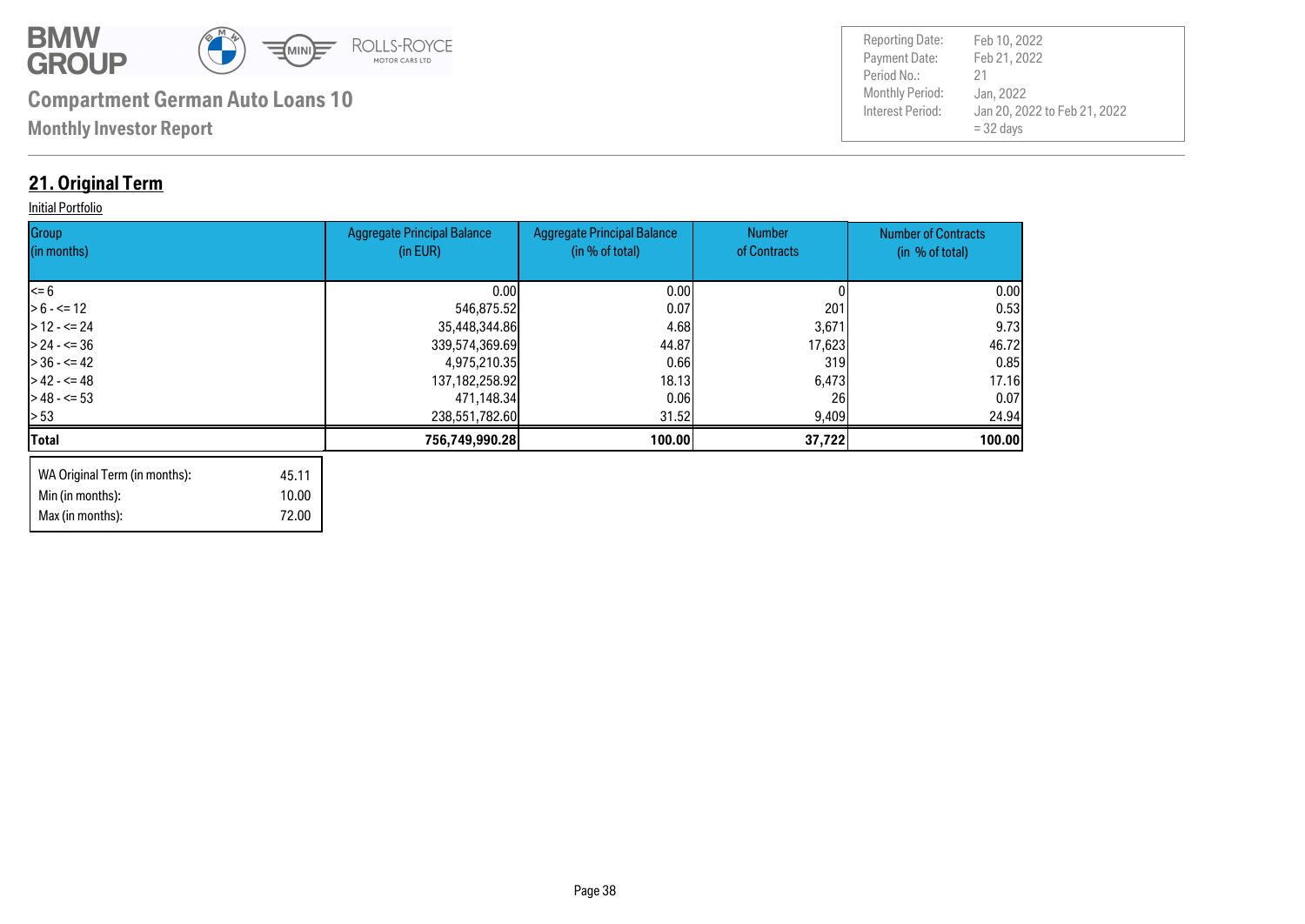

Max (in months): 72.00

| <b>Reporting Date:</b> | Feb 10, 2022                                |
|------------------------|---------------------------------------------|
| Payment Date:          | Feb 21, 2022                                |
| Period No.:            | 21                                          |
| <b>Monthly Period:</b> | Jan, 2022                                   |
| Interest Period:       | Jan 20, 2022 to Feb 21, 2022<br>$=$ 32 days |

### **21. Original Term**

#### **Initial Portfolio**

| Group<br>(in months)          |       | <b>Aggregate Principal Balance</b><br>(in EUR) | <b>Aggregate Principal Balance</b><br>(in % of total) | <b>Number</b><br>of Contracts | <b>Number of Contracts</b><br>(in % of total) |
|-------------------------------|-------|------------------------------------------------|-------------------------------------------------------|-------------------------------|-----------------------------------------------|
|                               |       |                                                |                                                       |                               |                                               |
| l<= 6                         |       | 0.001                                          | 0.00                                                  |                               | 0.00                                          |
| $> 6 - \le 12$                |       | 546,875.52                                     | 0.07                                                  | 201                           | 0.53                                          |
| $>12 - 524$                   |       | 35,448,344.86                                  | 4.68                                                  | 3,671                         | 9.73                                          |
| $> 24 - 5 = 36$               |       | 339,574,369.69                                 | 44.87                                                 | 17,623                        | 46.72                                         |
| - 36 - <= 42                  |       | 4,975,210.35                                   | 0.66                                                  | 319                           | 0.85                                          |
| $> 42 - 5 = 48$               |       | 137, 182, 258. 92                              | 18.13                                                 | 6,473                         | 17.16                                         |
| $> 48 - 53$                   |       | 471,148.34                                     | 0.061                                                 | <b>261</b>                    | 0.07                                          |
| > 53                          |       | 238,551,782.60                                 | 31.52                                                 | 9,409                         | 24.94                                         |
| Total                         |       | 756,749,990.28                                 | 100.00                                                | 37,722                        | 100.00                                        |
| WA Original Term (in months): | 45.11 |                                                |                                                       |                               |                                               |
| Min (in months):              | 10.00 |                                                |                                                       |                               |                                               |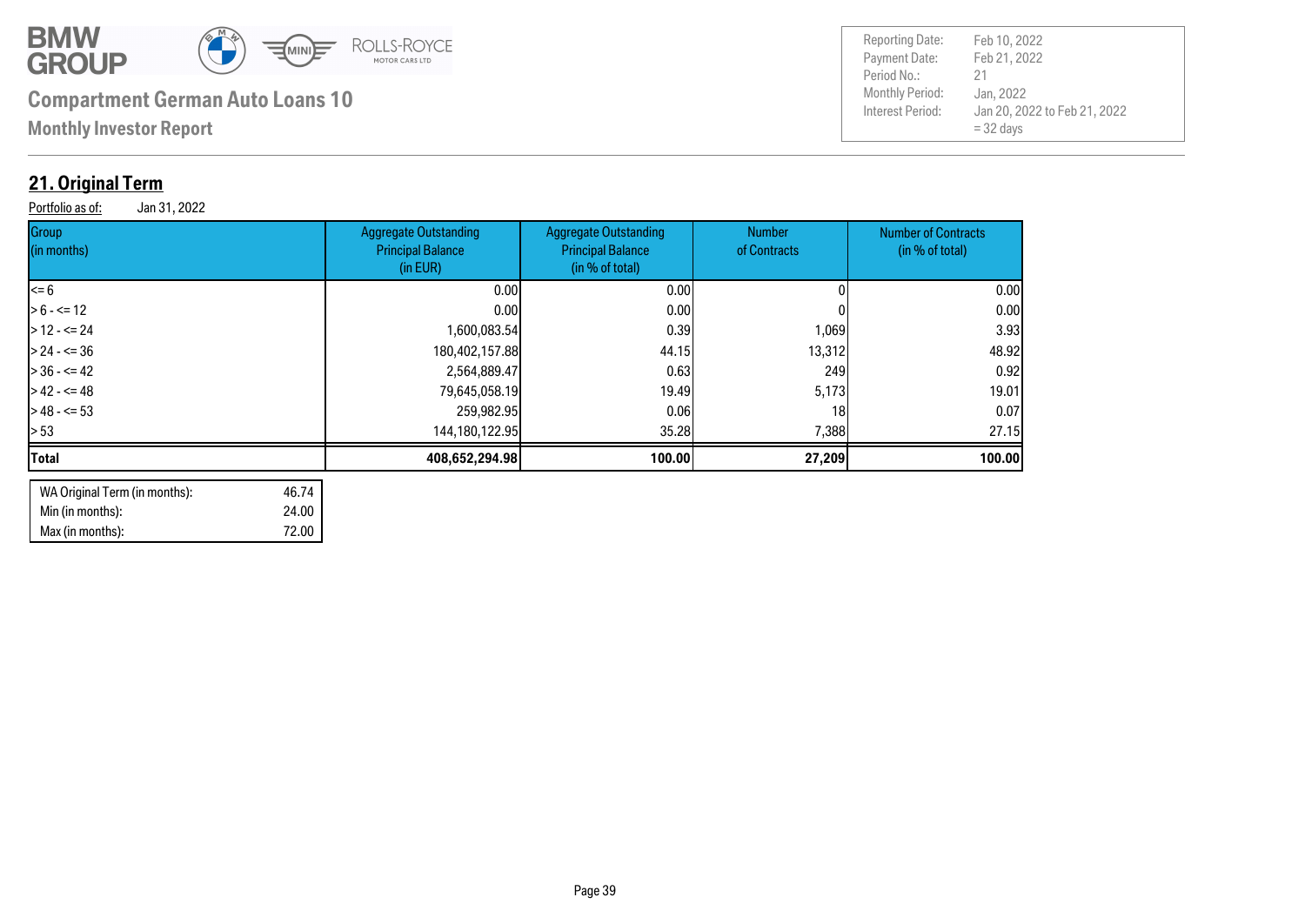

**Monthly Investor Report**

### **21. Original Term**

Portfolio as of: Jan 31, 2022

| Group<br>(in months) | <b>Aggregate Outstanding</b><br><b>Principal Balance</b><br>(in EUR) | <b>Aggregate Outstanding</b><br><b>Principal Balance</b><br>(in % of total) | Number<br>of Contracts | <b>Number of Contracts</b><br>(in % of total) |
|----------------------|----------------------------------------------------------------------|-----------------------------------------------------------------------------|------------------------|-----------------------------------------------|
| <= 6                 | 0.001                                                                | 0.00                                                                        |                        | 0.00                                          |
| $> 6 - \le 12$       | 0.00 <sub>l</sub>                                                    | 0.001                                                                       |                        | 0.00                                          |
| $>12 - 524$          | 1,600,083.54                                                         | 0.39                                                                        | 1,069                  | 3.93                                          |
| $> 24 - 5 = 36$      | 180,402,157.88                                                       | 44.15                                                                       | 13,312                 | 48.92                                         |
| $>36 - 542$          | 2,564,889.47                                                         | 0.63                                                                        | 249                    | 0.92                                          |
| $> 42 - 5 = 48$      | 79,645,058.19                                                        | 19.49                                                                       | 5,173                  | 19.01                                         |
| $>48 - 53$           | 259,982.95                                                           | 0.061                                                                       | 18                     | 0.07                                          |
| > 53                 | 144,180,122.95                                                       | 35.28                                                                       | 7,388                  | 27.15                                         |
| Total                | 408,652,294.98                                                       | 100.00                                                                      | 27,209                 | 100.00                                        |
|                      |                                                                      |                                                                             |                        |                                               |

| WA Original Term (in months): | 46.74 |
|-------------------------------|-------|
| Min (in months):              | 24.00 |
| Max (in months):              | 72.00 |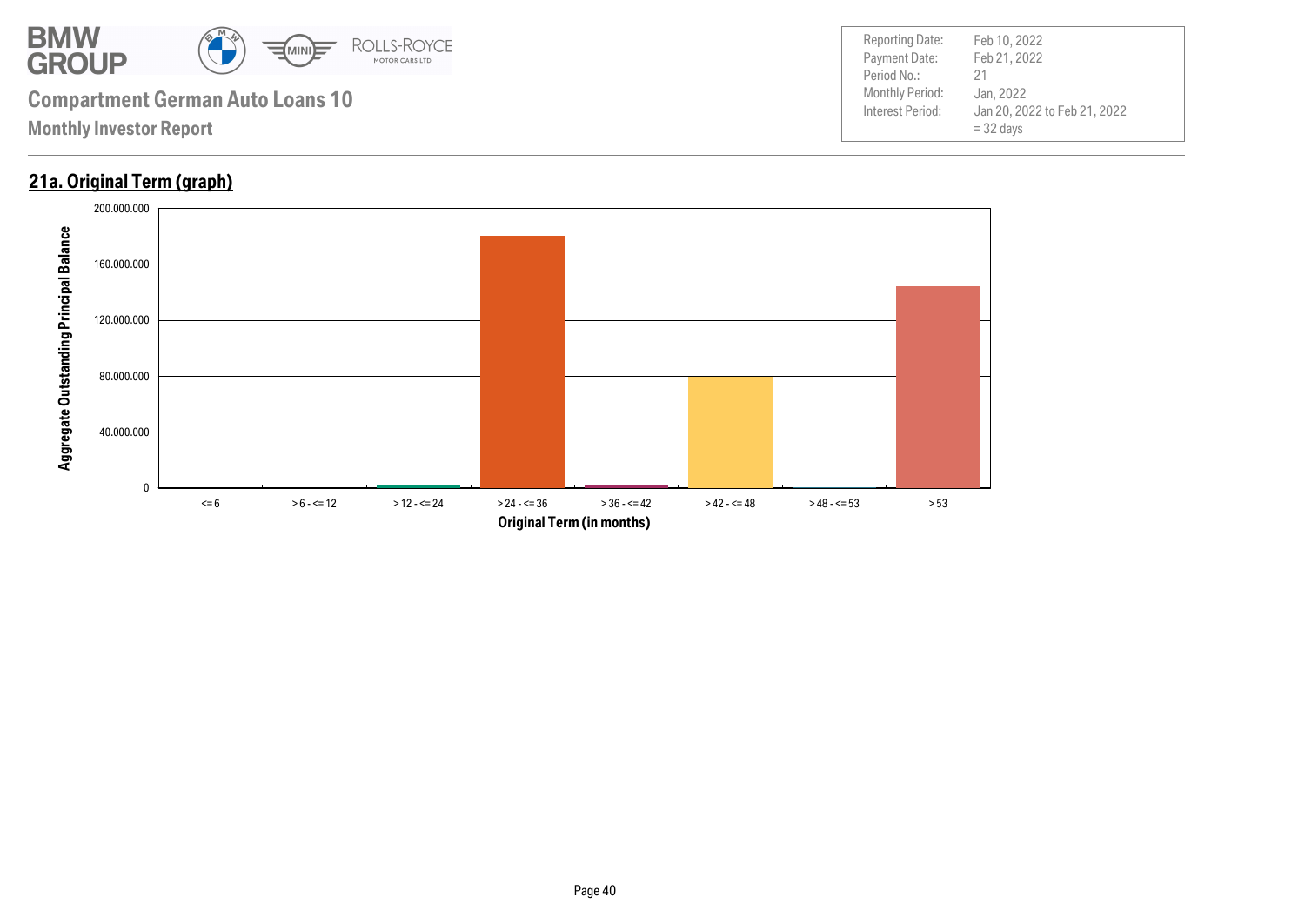

#### **21a. Original Term (graph)**

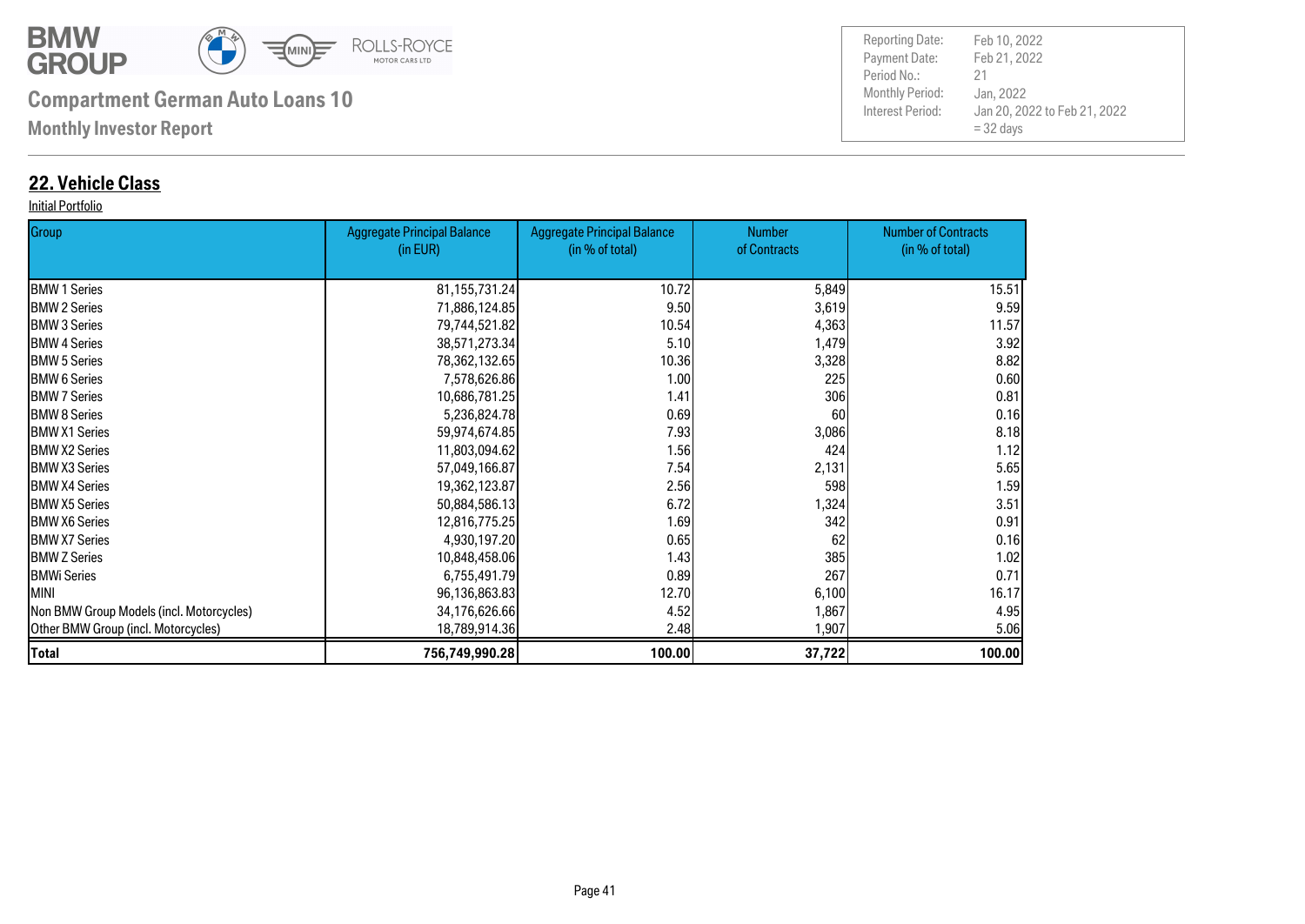

**Monthly Investor Report**

#### **22. Vehicle Class**

#### Initial Portfolio

| Group                                    | <b>Aggregate Principal Balance</b> | <b>Aggregate Principal Balance</b> | <b>Number</b> | <b>Number of Contracts</b> |
|------------------------------------------|------------------------------------|------------------------------------|---------------|----------------------------|
|                                          | (in EUR)                           | (in % of total)                    | of Contracts  | (in % of total)            |
| <b>BMW 1 Series</b>                      | 81, 155, 731. 24                   | 10.72                              | 5,849         | 15.51                      |
| <b>BMW 2 Series</b>                      | 71,886,124.85                      | 9.50                               | 3,619         | 9.59                       |
| <b>BMW 3 Series</b>                      | 79,744,521.82                      | 10.54                              | 4,363         | 11.57                      |
| <b>I</b> BMW 4 Series                    | 38,571,273.34                      | 5.10                               | 1,479         | 3.92                       |
| <b>BMW 5 Series</b>                      | 78,362,132.65                      | 10.36                              | 3,328         | 8.82                       |
| <b>I</b> BMW 6 Series                    | 7,578,626.86                       | 1.00                               | 225           | 0.60                       |
| <b>I</b> BMW 7 Series                    | 10,686,781.25                      | 1.41                               | 306           | 0.81                       |
| <b>BMW 8 Series</b>                      | 5,236,824.78                       | 0.69                               | 60            | 0.16                       |
| <b>IBMW X1 Series</b>                    | 59,974,674.85                      | 7.93                               | 3,086         | 8.18                       |
| <b>BMW X2 Series</b>                     | 11,803,094.62                      | 1.56                               | 424           | 1.12                       |
| <b>IBMW X3 Series</b>                    | 57,049,166.87                      | 7.54                               | 2,131         | 5.65                       |
| <b>BMW X4 Series</b>                     | 19,362,123.87                      | 2.56                               | 598           | 1.59                       |
| <b>IBMW X5 Series</b>                    | 50,884,586.13                      | 6.72                               | 1,324         | 3.51                       |
| <b>IBMW X6 Series</b>                    | 12,816,775.25                      | 1.69                               | 342           | 0.91                       |
| <b>BMW X7 Series</b>                     | 4,930,197.20                       | 0.65                               | 62            | 0.16                       |
| <b>BMW Z Series</b>                      | 10,848,458.06                      | 1.43                               | 385           | 1.02                       |
| <b>BMWi Series</b>                       | 6,755,491.79                       | 0.89                               | 267           | 0.71                       |
| <b>MINI</b>                              | 96,136,863.83                      | 12.70                              | 6,100         | 16.17                      |
| Non BMW Group Models (incl. Motorcycles) | 34,176,626.66                      | 4.52                               | 1,867         | 4.95                       |
| Other BMW Group (incl. Motorcycles)      | 18,789,914.36                      | 2.48                               | 1,907         | 5.06                       |
| <b>Total</b>                             | 756,749,990.28                     | 100.00                             | 37,722        | 100.00                     |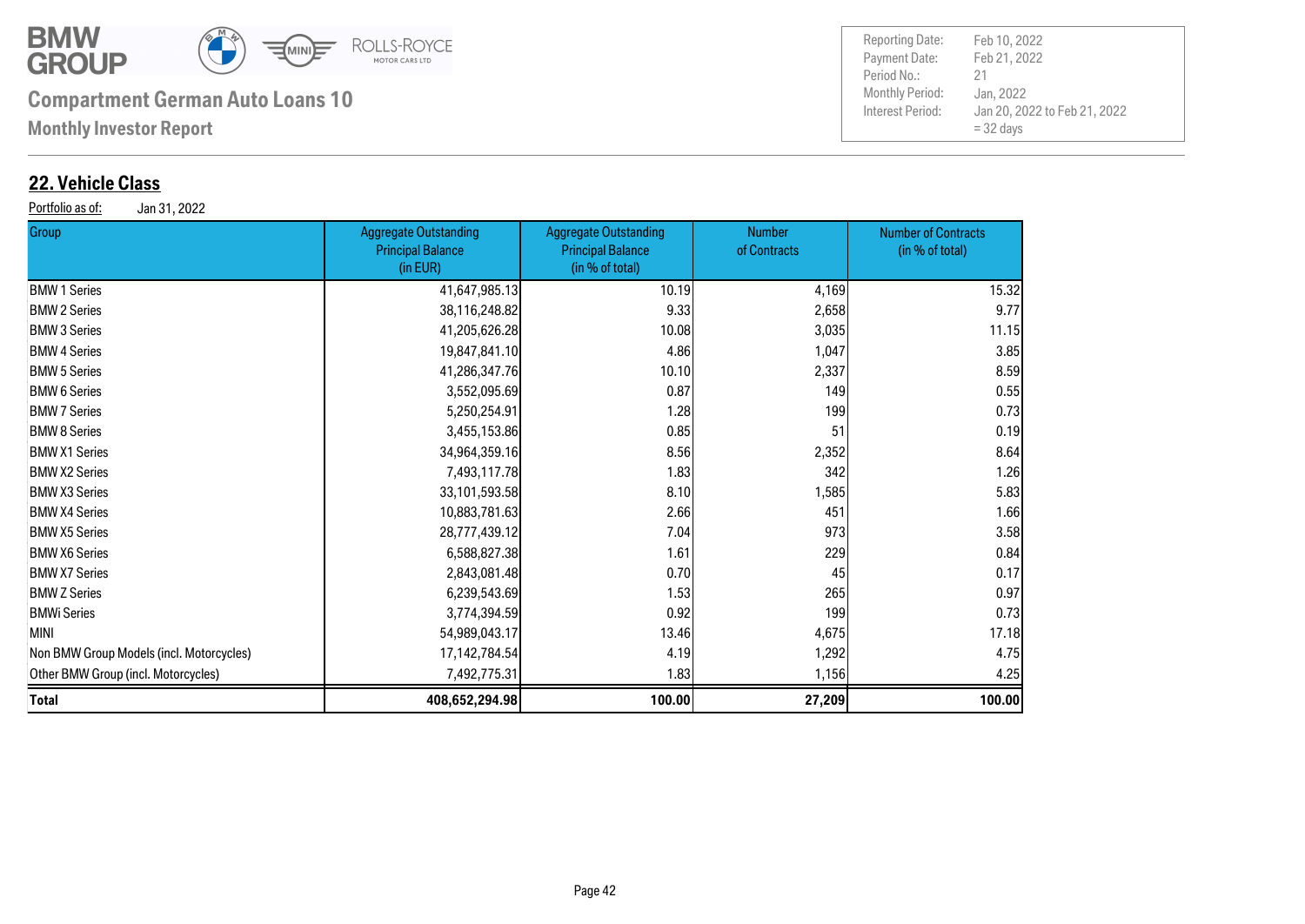

**Monthly Investor Report**

#### **22. Vehicle Class**

Portfolio as of: Jan 31, 2022

| <b>Group</b>                             | Aggregate Outstanding<br><b>Principal Balance</b><br>(in EUR) | <b>Aggregate Outstanding</b><br><b>Principal Balance</b><br>(in % of total) | Number<br>of Contracts | <b>Number of Contracts</b><br>(in % of total) |
|------------------------------------------|---------------------------------------------------------------|-----------------------------------------------------------------------------|------------------------|-----------------------------------------------|
| <b>BMW 1 Series</b>                      | 41,647,985.13                                                 | 10.19                                                                       | 4,169                  | 15.32                                         |
| <b>BMW 2 Series</b>                      | 38,116,248.82                                                 | 9.33                                                                        | 2,658                  | 9.77                                          |
| <b>BMW 3 Series</b>                      | 41,205,626.28                                                 | 10.08                                                                       | 3,035                  | 11.15                                         |
| <b>BMW 4 Series</b>                      | 19,847,841.10                                                 | 4.86                                                                        | 1,047                  | 3.85                                          |
| <b>BMW 5 Series</b>                      | 41,286,347.76                                                 | 10.10                                                                       | 2,337                  | 8.59                                          |
| <b>BMW 6 Series</b>                      | 3,552,095.69                                                  | 0.87                                                                        | 149                    | 0.55                                          |
| <b>BMW 7 Series</b>                      | 5,250,254.91                                                  | 1.28                                                                        | 199                    | 0.73                                          |
| <b>BMW 8 Series</b>                      | 3,455,153.86                                                  | 0.85                                                                        | 51                     | 0.19                                          |
| <b>BMW X1 Series</b>                     | 34,964,359.16                                                 | 8.56                                                                        | 2,352                  | 8.64                                          |
| <b>BMW X2 Series</b>                     | 7,493,117.78                                                  | 1.83                                                                        | 342                    | 1.26                                          |
| <b>BMW X3 Series</b>                     | 33,101,593.58                                                 | 8.10                                                                        | 1,585                  | 5.83                                          |
| <b>BMW X4 Series</b>                     | 10,883,781.63                                                 | 2.66                                                                        | 451                    | 1.66                                          |
| <b>BMW X5 Series</b>                     | 28,777,439.12                                                 | 7.04                                                                        | 973                    | 3.58                                          |
| <b>BMW X6 Series</b>                     | 6,588,827.38                                                  | 1.61                                                                        | 229                    | 0.84                                          |
| <b>BMW X7 Series</b>                     | 2,843,081.48                                                  | 0.70                                                                        | 45                     | 0.17                                          |
| <b>BMW Z Series</b>                      | 6,239,543.69                                                  | 1.53                                                                        | 265                    | 0.97                                          |
| BMWi Series                              | 3,774,394.59                                                  | 0.92                                                                        | 199                    | 0.73                                          |
| MINI                                     | 54,989,043.17                                                 | 13.46                                                                       | 4,675                  | 17.18                                         |
| Non BMW Group Models (incl. Motorcycles) | 17, 142, 784. 54                                              | 4.19                                                                        | 1,292                  | 4.75                                          |
| Other BMW Group (incl. Motorcycles)      | 7,492,775.31                                                  | 1.83                                                                        | 1,156                  | 4.25                                          |
| Total                                    | 408,652,294.98                                                | 100.00                                                                      | 27,209                 | 100.00                                        |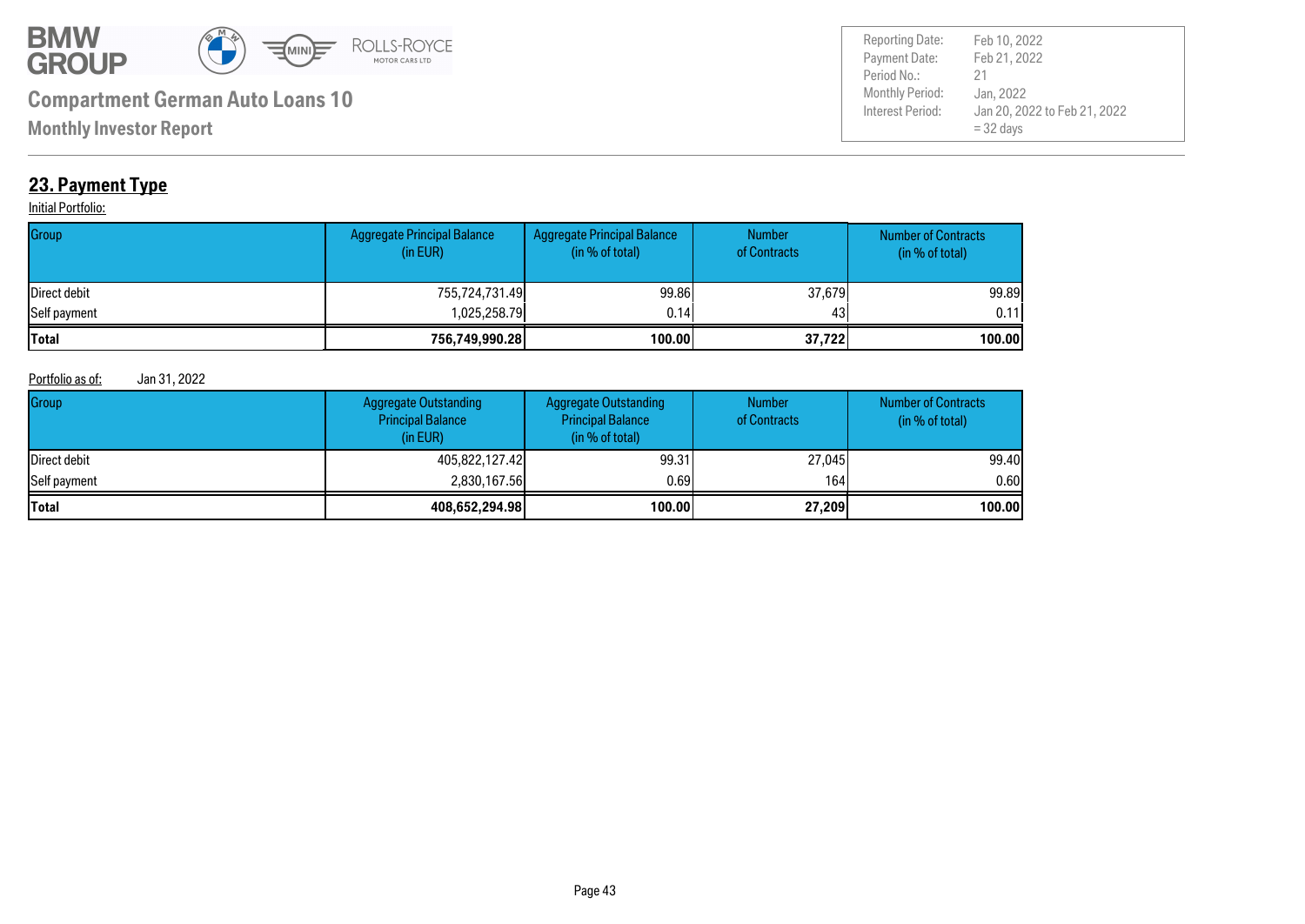

Payment Date: Period No.: Jan 20, 2022 to Feb 21, 2022 = 32 days Feb 21, 2022 Jan, 2022 21 Reporting Date: Feb 10, 2022

**Monthly Investor Report**

### **23. Payment Type**

#### **Initial Portfolio:**

| Group        | <b>Aggregate Principal Balance</b><br>(in EUR) | Aggregate Principal Balance<br>(in % of total) | <b>Number</b><br>of Contracts | <b>Number of Contracts</b><br>(in % of total) |
|--------------|------------------------------------------------|------------------------------------------------|-------------------------------|-----------------------------------------------|
| Direct debit | 755,724,731.49                                 | 99.86                                          | 37,679                        | 99.89                                         |
| Self payment | 1.025.258.79                                   | 0.14                                           | 431                           | 0.11                                          |
| <b>Total</b> | 756,749,990.28                                 | 100.00                                         | 37,722                        | 100.00                                        |

#### Portfolio as of: Jan 31, 2022

| Group        | <b>Aggregate Outstanding</b><br><b>Principal Balance</b><br>(in EUR) | <b>Aggregate Outstanding</b><br><b>Principal Balance</b><br>(in % of total) | <b>Number</b><br>of Contracts | <b>Number of Contracts</b><br>(in % of total) |
|--------------|----------------------------------------------------------------------|-----------------------------------------------------------------------------|-------------------------------|-----------------------------------------------|
| Direct debit | 405,822,127.42                                                       | 99.31                                                                       | 27,045                        | 99.40                                         |
| Self payment | 2,830,167.56                                                         | 0.691                                                                       | 164                           | 0.60                                          |
| <b>Total</b> | 408,652,294.98                                                       | 100.00                                                                      | 27,209                        | 100.00                                        |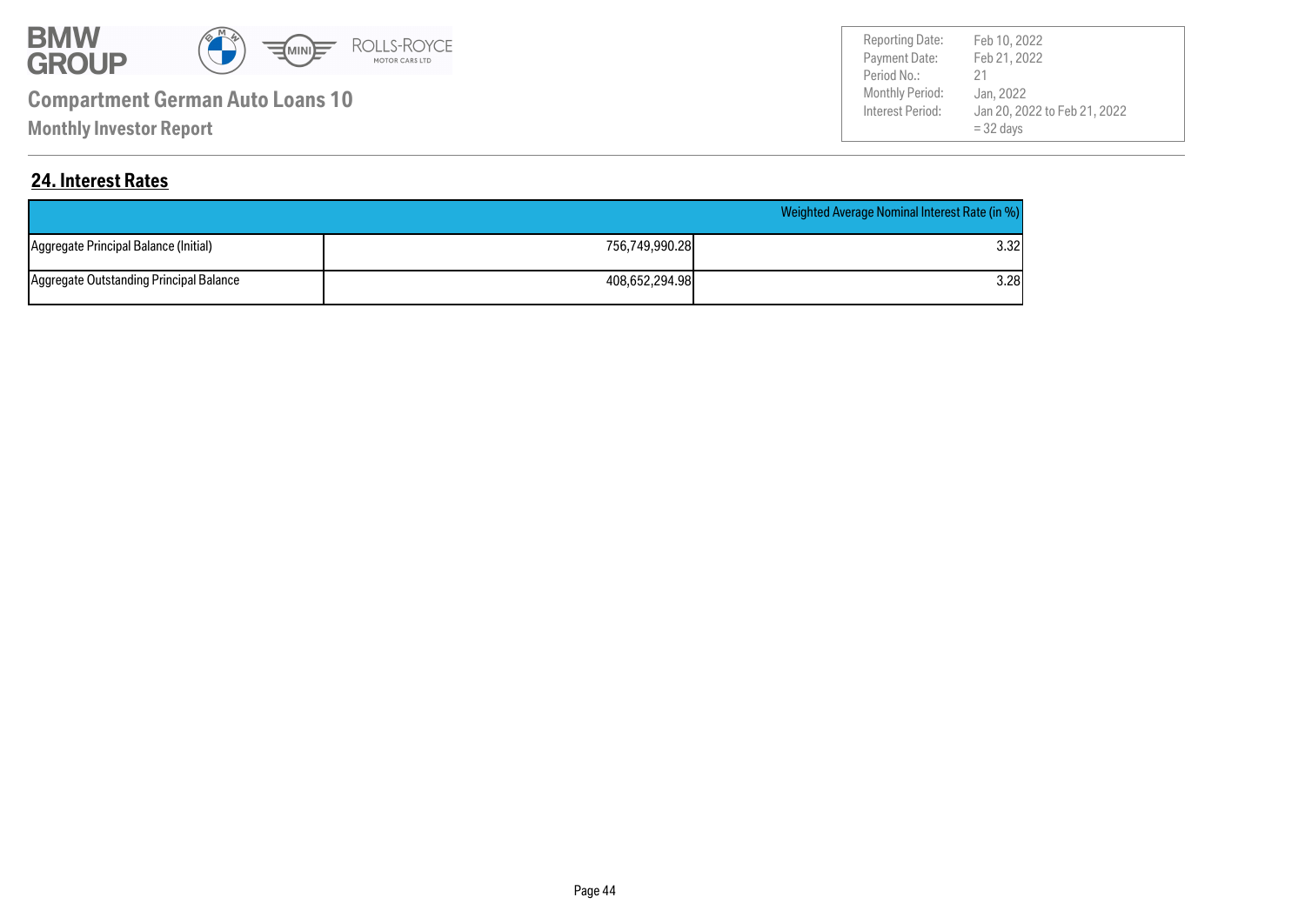

**Monthly Investor Report**

Payment Date: Period No.: Jan 20, 2022 to Feb 21, 2022 = 32 days Feb 21, 2022 Jan, 2022 21 Reporting Date: Feb 10, 2022

#### **24. Interest Rates**

|                                         |                | Weighted Average Nominal Interest Rate (in %) |
|-----------------------------------------|----------------|-----------------------------------------------|
| Aggregate Principal Balance (Initial)   | 756.749.990.28 | 3.32l                                         |
| Aggregate Outstanding Principal Balance | 408.652.294.98 | 3.28l                                         |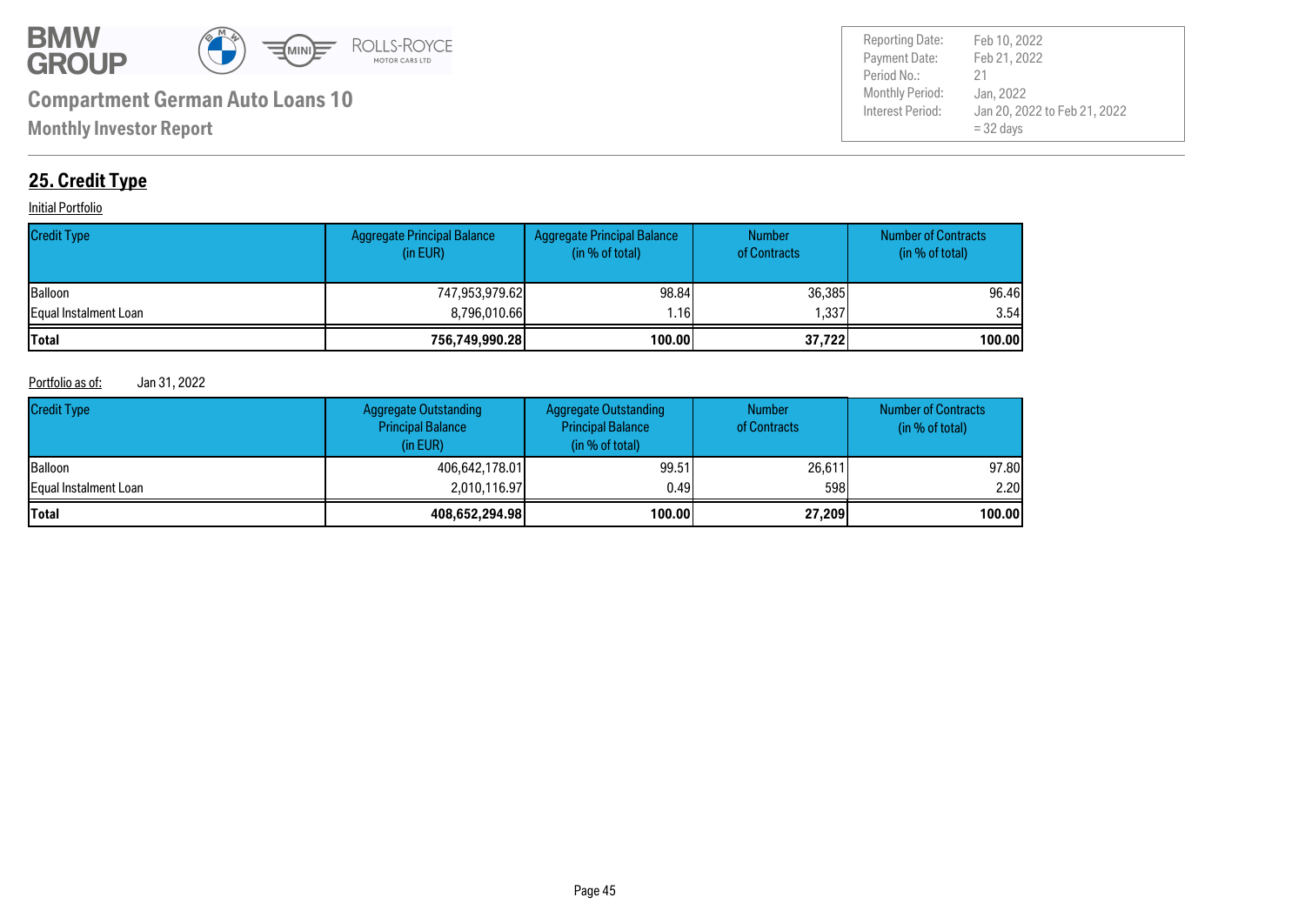

Payment Date: Period No.: Jan 20, 2022 to Feb 21, 2022 = 32 days Feb 21, 2022 Jan, 2022 21 Reporting Date: Feb 10, 2022

### **25. Credit Type**

#### **Initial Portfolio**

| <b>Credit Type</b>    | Aggregate Principal Balance<br>(in EUR) | Aggregate Principal Balance<br>(in % of total) | <b>Number</b><br>of Contracts | <b>Number of Contracts</b><br>(in % of total) |
|-----------------------|-----------------------------------------|------------------------------------------------|-------------------------------|-----------------------------------------------|
| <b>Balloon</b>        | 747,953,979.62                          | 98.84                                          | 36,385                        | 96.46                                         |
| Equal Instalment Loan | 8,796,010.66                            | .16                                            | 337،،                         | 3.54                                          |
| <b>Total</b>          | 756,749,990.28                          | 100.00                                         | 37,722                        | 100.00                                        |

#### Portfolio as of: Jan 31, 2022

| <b>Credit Type</b>           | <b>Aggregate Outstanding</b><br><b>Principal Balance</b><br>(in EUR) | Aggregate Outstanding<br><b>Principal Balance</b><br>(in % of total) | <b>Number</b><br>of Contracts | <b>Number of Contracts</b><br>(in % of total) |
|------------------------------|----------------------------------------------------------------------|----------------------------------------------------------------------|-------------------------------|-----------------------------------------------|
| <b>IBalloon</b>              | 406,642,178.01                                                       | 99.51                                                                | 26,611                        | 97.80                                         |
| <b>Equal Instalment Loan</b> | 2.010.116.97                                                         | 0.491                                                                | 598                           | 2.20                                          |
| <b>Total</b>                 | 408,652,294.98                                                       | 100.00                                                               | 27,209                        | 100.00                                        |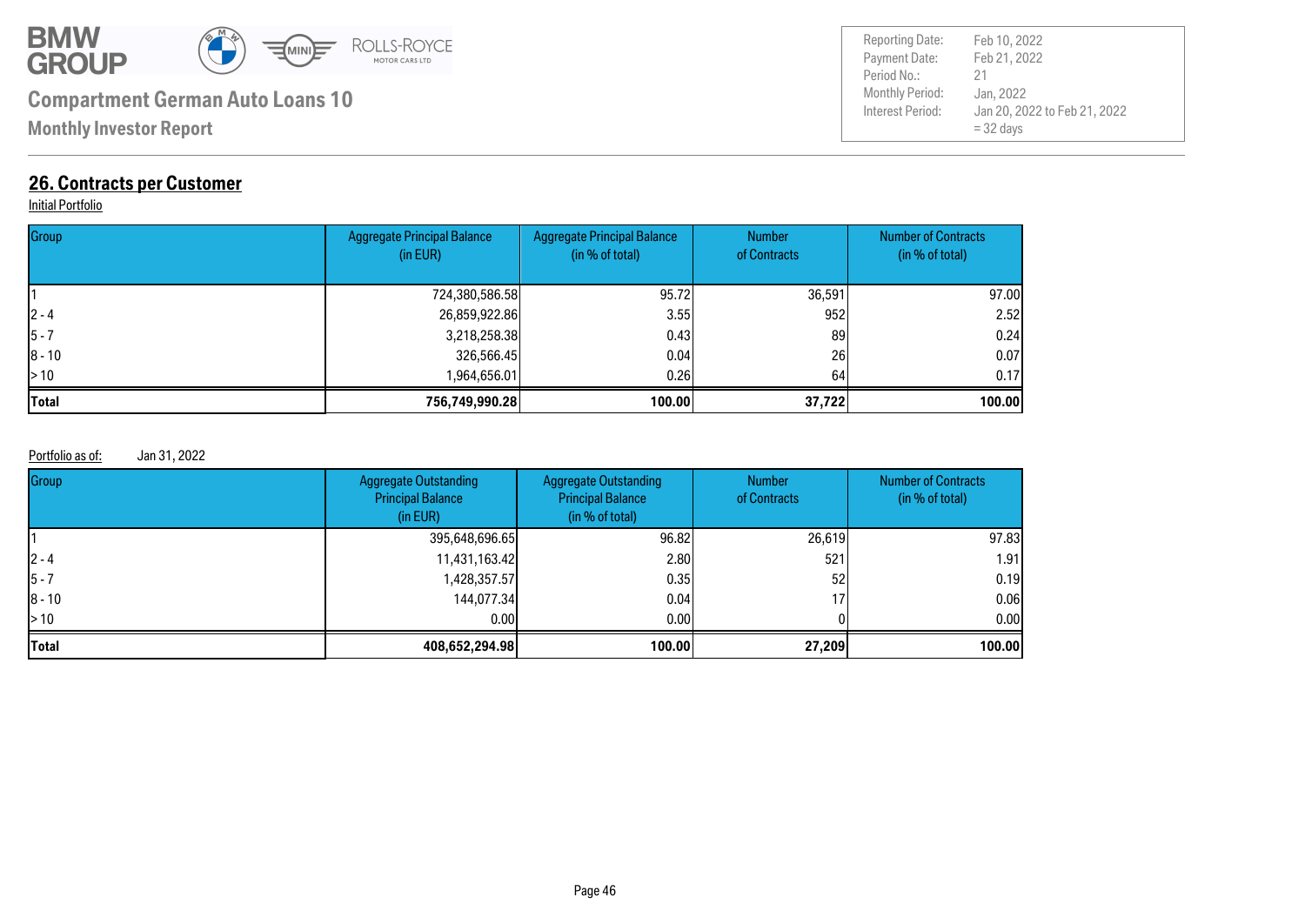

**Monthly Investor Report**

### **26. Contracts per Customer**

#### **Initial Portfolio**

| Group        | <b>Aggregate Principal Balance</b><br>(in EUR) | <b>Aggregate Principal Balance</b><br>(in % of total) | <b>Number</b><br>of Contracts | <b>Number of Contracts</b><br>(in % of total) |
|--------------|------------------------------------------------|-------------------------------------------------------|-------------------------------|-----------------------------------------------|
|              | 724,380,586.58                                 | 95.72                                                 | 36,591                        | 97.00                                         |
| $ 2 - 4 $    | 26,859,922.86                                  | 3.55                                                  | 952                           | 2.52                                          |
| $ 5 - 7$     | 3,218,258.38                                   | 0.43                                                  | 89                            | 0.24                                          |
| $ 8 - 10$    | 326,566.45                                     | 0.04                                                  | 26                            | 0.07                                          |
| $\geq 10$    | 1,964,656.01                                   | 0.261                                                 | 64                            | 0.17                                          |
| <b>Total</b> | 756,749,990.28                                 | 100.00                                                | 37,722                        | 100.00                                        |

#### Portfolio as of: Jan 31, 2022

| Group                    | <b>Aggregate Outstanding</b><br><b>Principal Balance</b><br>(in EUR) | <b>Aggregate Outstanding</b><br><b>Principal Balance</b><br>(in % of total) | <b>Number</b><br>of Contracts | <b>Number of Contracts</b><br>(in % of total) |
|--------------------------|----------------------------------------------------------------------|-----------------------------------------------------------------------------|-------------------------------|-----------------------------------------------|
|                          | 395,648,696.65                                                       | 96.82                                                                       | 26,619                        | 97.83                                         |
| $ 2 - 4 $                | 11,431,163.42                                                        | 2.80                                                                        | 521                           | 1.91                                          |
| $ 5 - 7 $                | 1,428,357.57                                                         | 0.351                                                                       | 52                            | 0.19                                          |
| $ 8 - 10$                | 144,077.34                                                           | 0.041                                                                       | 17                            | 0.06                                          |
| $\blacktriangleright$ 10 | 0.00                                                                 | 0.001                                                                       |                               | 0.00                                          |
| <b>Total</b>             | 408,652,294.98                                                       | 100.00                                                                      | 27,209                        | 100.00                                        |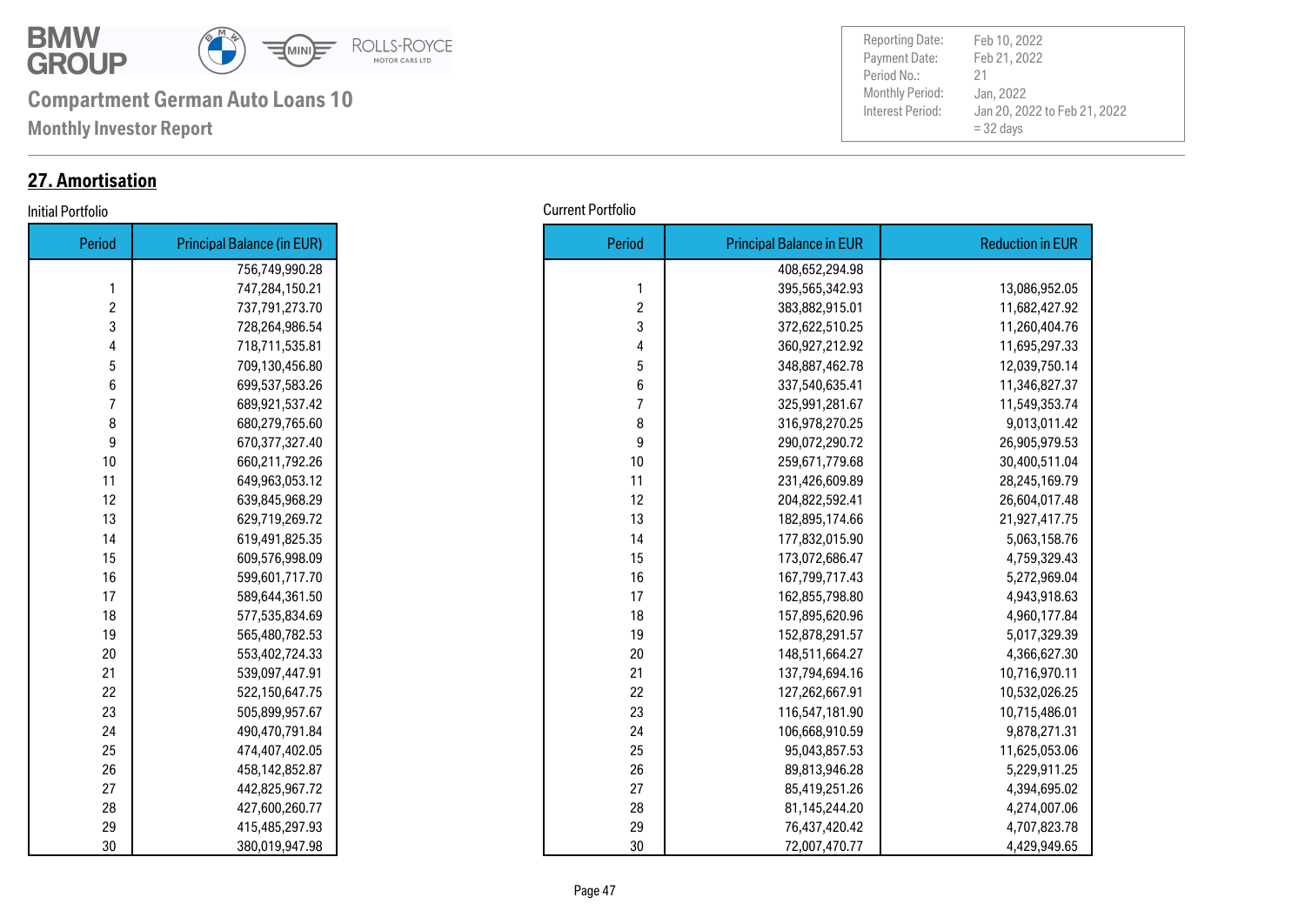

**Monthly Investor Report**

#### **27. Amortisation**

| Period | <b>Principal Balance (in EUR)</b> |
|--------|-----------------------------------|
|        | 756,749,990.28                    |
| 1      | 747,284,150.21                    |
| 2      | 737,791,273.70                    |
| 3      | 728,264,986.54                    |
| 4      | 718,711,535.81                    |
| 5      | 709,130,456.80                    |
| 6      | 699,537,583.26                    |
| 7      | 689,921,537.42                    |
| 8      | 680,279,765.60                    |
| 9      | 670,377,327.40                    |
| 10     | 660,211,792.26                    |
| 11     | 649,963,053.12                    |
| 12     | 639,845,968.29                    |
| 13     | 629,719,269.72                    |
| 14     | 619,491,825.35                    |
| 15     | 609,576,998.09                    |
| 16     | 599,601,717.70                    |
| 17     | 589,644,361.50                    |
| 18     | 577,535,834.69                    |
| 19     | 565,480,782.53                    |
| 20     | 553,402,724.33                    |
| 21     | 539,097,447.91                    |
| 22     | 522,150,647.75                    |
| 23     | 505,899,957.67                    |
| 24     | 490,470,791.84                    |
| 25     | 474,407,402.05                    |
| 26     | 458,142,852.87                    |
| 27     | 442,825,967.72                    |
| 28     | 427,600,260.77                    |
| 29     | 415,485,297.93                    |
| 30     | 380,019,947.98                    |

Payment Date: Period No.: Jan 20, 2022 to Feb 21, 2022 = 32 days Feb 21, 2022 Jan, 2022 21 Reporting Date: Feb 10, 2022

#### Initial Portfolio Current Portfolio

| Period         | <b>Principal Balance (in EUR)</b> |
|----------------|-----------------------------------|
|                | 756,749,990.28                    |
| 1              | 747,284,150.21                    |
| $\overline{c}$ | 737,791,273.70                    |
| 3              | 728,264,986.54                    |
| 4              | 718,711,535.81                    |
| 5              | 709,130,456.80                    |
| 6              | 699,537,583.26                    |
| $\overline{7}$ | 689,921,537.42                    |
| 8              | 680,279,765.60                    |
| 9              | 670,377,327.40                    |
| 10             | 660,211,792.26                    |
| 11             | 649,963,053.12                    |
| 12             | 639,845,968.29                    |
| 13             | 629,719,269.72                    |
| 14             | 619,491,825.35                    |
| 15             | 609,576,998.09                    |
| 16             | 599,601,717.70                    |
| 17             | 589,644,361.50                    |
| 18             | 577,535,834.69                    |
| 19             | 565,480,782.53                    |
| 20             | 553,402,724.33                    |
| 21             | 539,097,447.91                    |
| 22             | 522,150,647.75                    |
| 23             | 505,899,957.67                    |
| 24             | 490,470,791.84                    |
| 25             | 474,407,402.05                    |
| 26             | 458,142,852.87                    |
| 27             | 442,825,967.72                    |
| 28             | 427,600,260.77                    |
| 29             | 415,485,297.93                    |
| 30             | 380,019,947.98                    |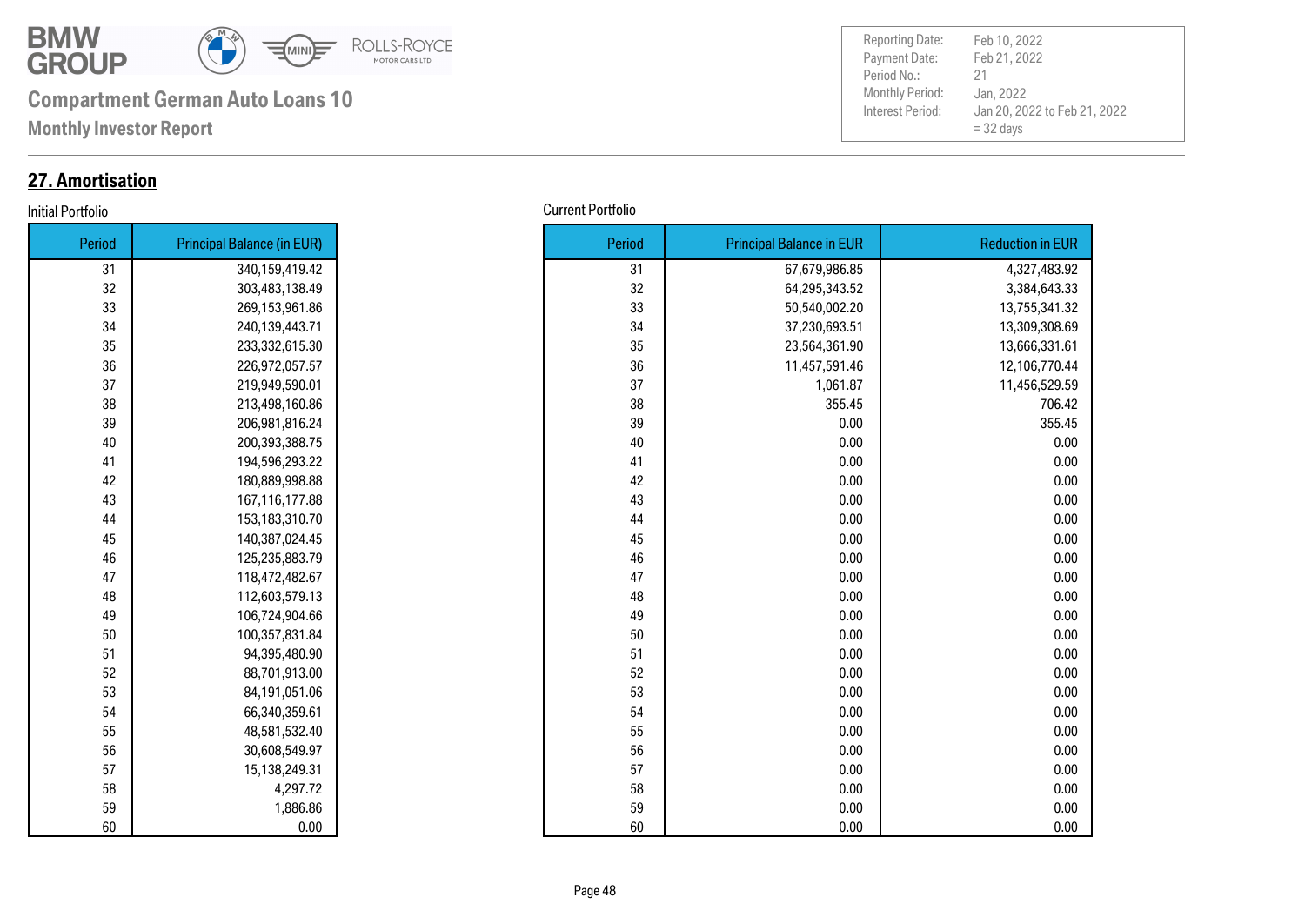

**Monthly Investor Report**

### **27. Amortisation**

#### **Initial Portfolio**

| Period | <b>Principal Balance (in EUR)</b> |
|--------|-----------------------------------|
| 31     | 340,159,419.42                    |
| 32     | 303,483,138.49                    |
| 33     | 269,153,961.86                    |
| 34     | 240,139,443.71                    |
| 35     | 233,332,615.30                    |
| 36     | 226,972,057.57                    |
| 37     | 219,949,590.01                    |
| 38     | 213,498,160.86                    |
| 39     | 206,981,816.24                    |
| 40     | 200,393,388.75                    |
| 41     | 194,596,293.22                    |
| 42     | 180,889,998.88                    |
| 43     | 167,116,177.88                    |
| 44     | 153,183,310.70                    |
| 45     | 140,387,024.45                    |
| 46     | 125,235,883.79                    |
| 47     | 118,472,482.67                    |
| 48     | 112,603,579.13                    |
| 49     | 106,724,904.66                    |
| 50     | 100,357,831.84                    |
| 51     | 94,395,480.90                     |
| 52     | 88,701,913.00                     |
| 53     | 84,191,051.06                     |
| 54     | 66,340,359.61                     |
| 55     | 48,581,532.40                     |
| 56     | 30,608,549.97                     |
| 57     | 15,138,249.31                     |
| 58     | 4,297.72                          |
| 59     | 1,886.86                          |
| 60     | 0.00                              |

| Period | <b>Principal Balance (in EUR)</b> |
|--------|-----------------------------------|
| 31     | 340,159,419.42                    |
| 32     | 303,483,138.49                    |
| 33     | 269,153,961.86                    |
| 34     | 240,139,443.71                    |
| 35     | 233,332,615.30                    |
| 36     | 226,972,057.57                    |
| 37     | 219,949,590.01                    |
| 38     | 213,498,160.86                    |
| 39     | 206,981,816.24                    |
| 40     | 200,393,388.75                    |
| 41     | 194,596,293.22                    |
| 42     | 180,889,998.88                    |
| 43     | 167,116,177.88                    |
| 44     | 153,183,310.70                    |
| 45     | 140,387,024.45                    |
| 46     | 125,235,883.79                    |
| 47     | 118,472,482.67                    |
| 48     | 112,603,579.13                    |
| 49     | 106,724,904.66                    |
| 50     | 100,357,831.84                    |
| 51     | 94,395,480.90                     |
| 52     | 88,701,913.00                     |
| 53     | 84,191,051.06                     |
| 54     | 66,340,359.61                     |
| 55     | 48,581,532.40                     |
| 56     | 30,608,549.97                     |
| 57     | 15,138,249.31                     |
| 58     | 4,297.72                          |
| 59     | 1,886.86                          |
| 60     | 0.00                              |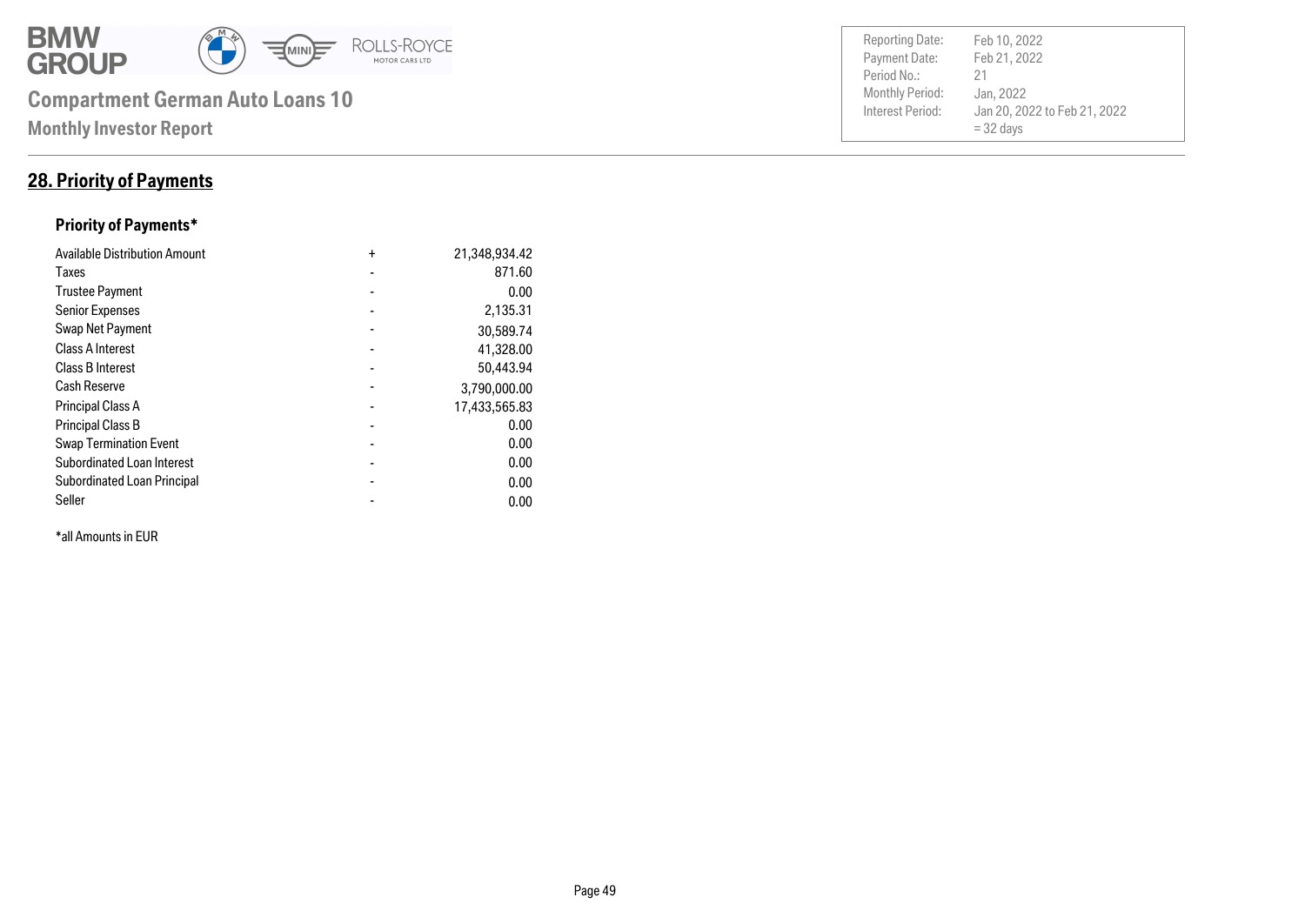

#### **28. Priority of Payments**

#### **Priority of Payments\***

| <b>Available Distribution Amount</b> | $\ddot{}$      | 21,348,934.42 |
|--------------------------------------|----------------|---------------|
| Taxes                                |                | 871.60        |
| <b>Trustee Payment</b>               |                | 0.00          |
| <b>Senior Expenses</b>               |                | 2,135.31      |
| Swap Net Payment                     |                | 30,589.74     |
| <b>Class A Interest</b>              |                | 41,328.00     |
| <b>Class B Interest</b>              |                | 50,443.94     |
| <b>Cash Reserve</b>                  |                | 3,790,000.00  |
| <b>Principal Class A</b>             |                | 17,433,565.83 |
| <b>Principal Class B</b>             |                | 0.00          |
| <b>Swap Termination Event</b>        |                | 0.00          |
| <b>Subordinated Loan Interest</b>    | $\blacksquare$ | 0.00          |
| <b>Subordinated Loan Principal</b>   |                | 0.00          |
| Seller                               |                | 0.00          |

\*all Amounts in EUR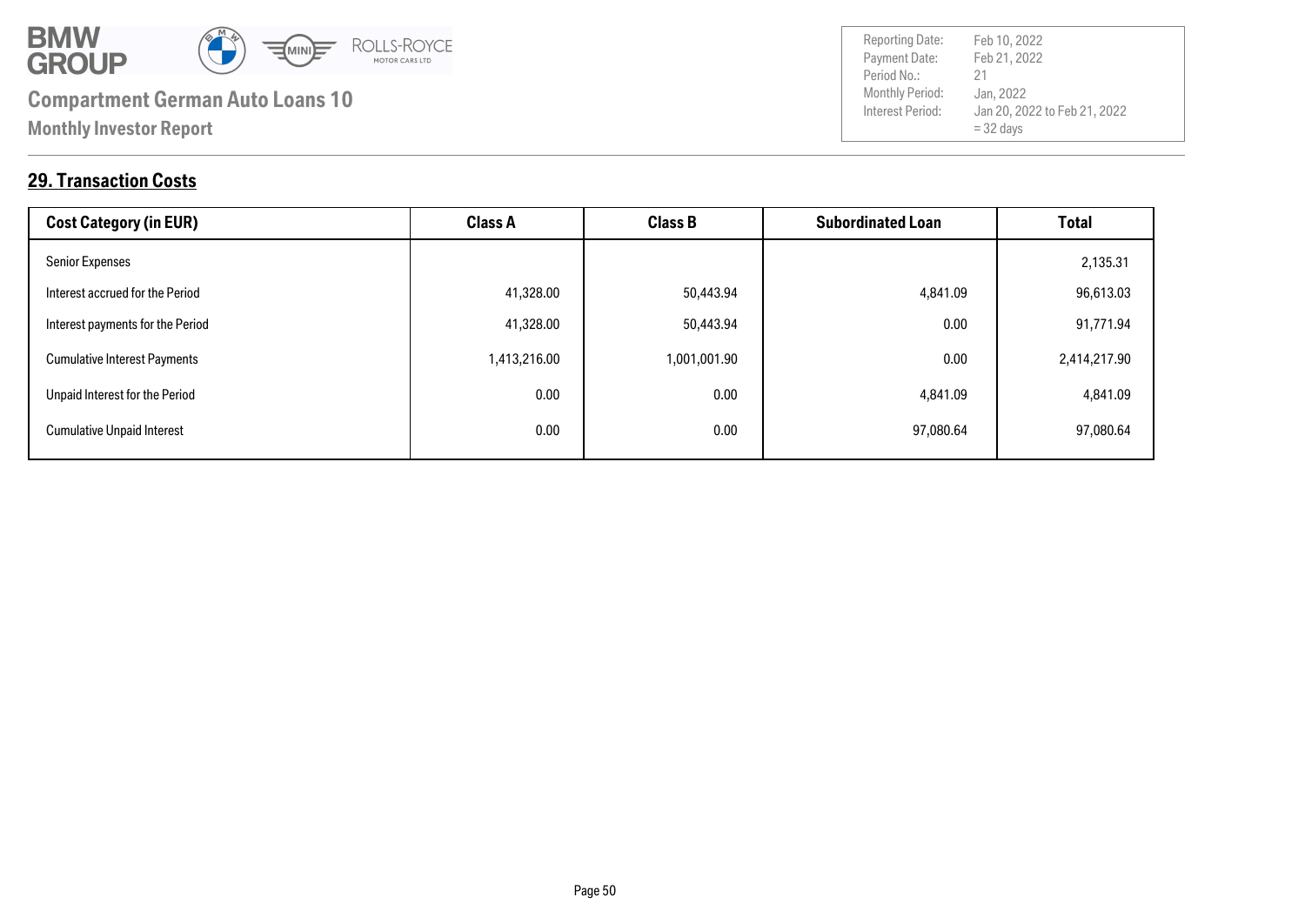

Payment Date: Period No.: Jan 20, 2022 to Feb 21, 2022 = 32 days Feb 21, 2022 Jan, 2022 21 Reporting Date: Feb 10, 2022

#### **29. Transaction Costs**

| <b>Cost Category (in EUR)</b>       | <b>Class A</b> | <b>Class B</b> | <b>Subordinated Loan</b> | <b>Total</b> |
|-------------------------------------|----------------|----------------|--------------------------|--------------|
| <b>Senior Expenses</b>              |                |                |                          | 2,135.31     |
| Interest accrued for the Period     | 41,328.00      | 50,443.94      | 4,841.09                 | 96,613.03    |
| Interest payments for the Period    | 41,328.00      | 50,443.94      | 0.00                     | 91,771.94    |
| <b>Cumulative Interest Payments</b> | 1,413,216.00   | 1,001,001.90   | 0.00                     | 2,414,217.90 |
| Unpaid Interest for the Period      | 0.00           | 0.00           | 4,841.09                 | 4,841.09     |
| <b>Cumulative Unpaid Interest</b>   | 0.00           | 0.00           | 97,080.64                | 97,080.64    |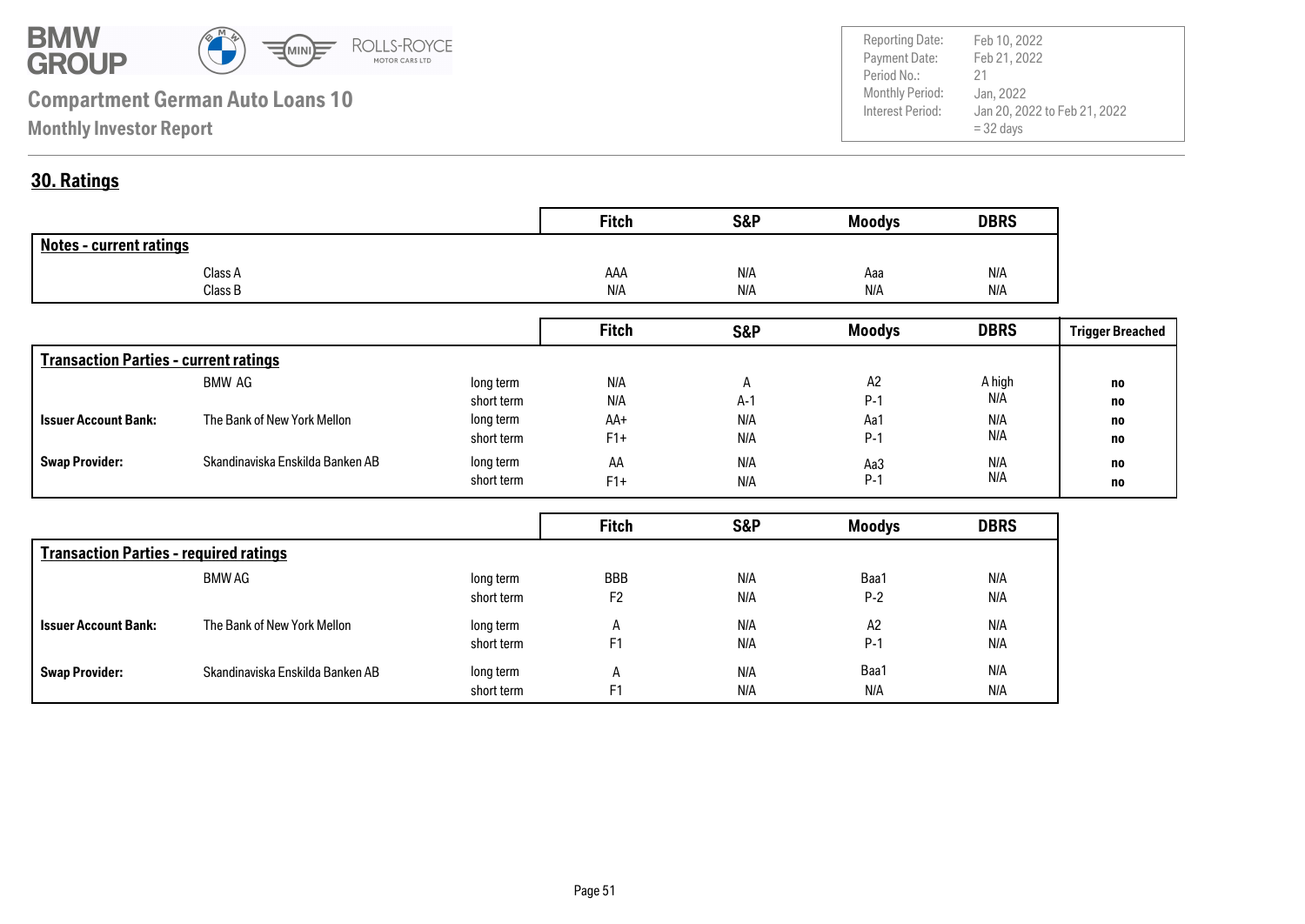

Payment Date: Period No.: Jan 20, 2022 to Feb 21, 2022 = 32 days Feb 21, 2022 Jan, 2022 21 Reporting Date: Feb 10, 2022

#### **30. Ratings**

|                                | <b>Fitch</b> | <b>S&amp;P</b> | <b>Moodys</b> | <b>DBRS</b> |
|--------------------------------|--------------|----------------|---------------|-------------|
| <b>Notes - current ratings</b> |              |                |               |             |
| Class A                        | AAA          | N/A            | Aaa           | N/A         |
| Class B                        | N/A          | N/A            | N/A           | N/A         |

|                                              |                                  |            | <b>Fitch</b> | <b>S&amp;P</b> | <b>Moodys</b> | <b>DBRS</b> | <b>Trigger Breached</b> |
|----------------------------------------------|----------------------------------|------------|--------------|----------------|---------------|-------------|-------------------------|
| <b>Transaction Parties - current ratings</b> |                                  |            |              |                |               |             |                         |
|                                              | BMW AG                           | long term  | N/A          |                | A2            | A high      | no                      |
|                                              |                                  | short term | N/A          | $A-1$          | $P-1$         | N/A         | no                      |
| <b>Issuer Account Bank:</b>                  | The Bank of New York Mellon      | long term  | AA+          | N/A            | Aa1           | N/A         | no                      |
|                                              |                                  | short term | $F1+$        | N/A            | $P-1$         | N/A         | no                      |
| <b>Swap Provider:</b>                        | Skandinaviska Enskilda Banken AB | long term  | AA           | N/A            | Aa3           | N/A         | no                      |
|                                              |                                  | short term | $F1+$        | N/A            | $P-1$         | N/A         | no                      |

|                                               |                                  |            | <b>Fitch</b>   | S&P | <b>Moodys</b> | <b>DBRS</b> |
|-----------------------------------------------|----------------------------------|------------|----------------|-----|---------------|-------------|
| <b>Transaction Parties - required ratings</b> |                                  |            |                |     |               |             |
|                                               | BMW AG                           | long term  | <b>BBB</b>     | N/A | Baa1          | N/A         |
|                                               |                                  | short term | F <sub>2</sub> | N/A | $P-2$         | N/A         |
| <b>Issuer Account Bank:</b>                   | The Bank of New York Mellon      | long term  | A              | N/A | A2            | N/A         |
|                                               |                                  | short term | F <sub>1</sub> | N/A | $P-1$         | N/A         |
| <b>Swap Provider:</b>                         | Skandinaviska Enskilda Banken AB | long term  | A              | N/A | Baa1          | N/A         |
|                                               |                                  | short term | F <sub>1</sub> | N/A | N/A           | N/A         |